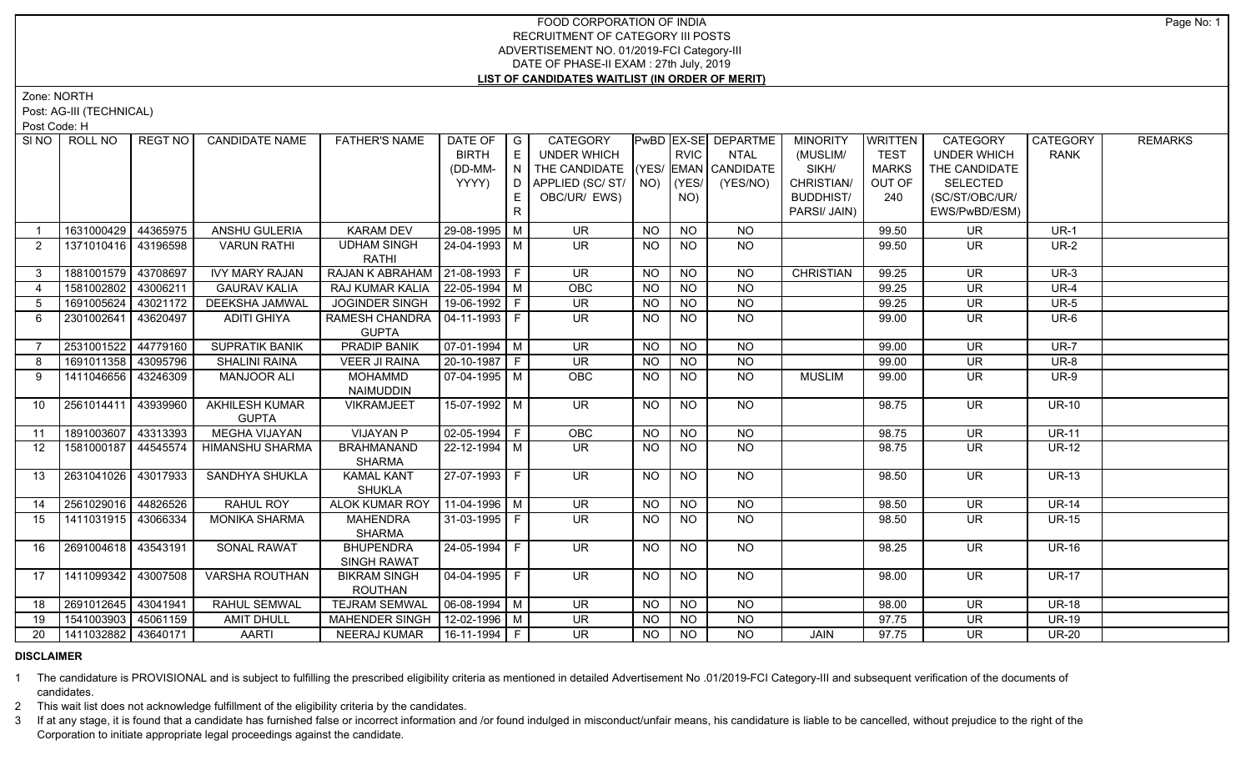Zone: NORTH

Post: AG-III (TECHNICAL)

Post Code: H

| SI <sub>NO</sub> | ROLL NO               | <b>REGT NO</b> | <b>CANDIDATE NAME</b>                 | <b>FATHER'S NAME</b>                            | DATE OF<br><b>BIRTH</b><br>(DD-MM-<br>YYYY) | $\overline{\phantom{a}}$ G<br>E<br>IN I<br>E. | CATEGORY<br>UNDER WHICH<br>THE CANDIDATE (YES/ EMAN CANDIDATE<br>D APPLIED (SC/ ST/ NO)<br>OBC/UR/ EWS) |           | <b>RVIC</b><br>(YES/<br>NO) | PwBD EX-SE DEPARTME<br>NTAL<br>(YES/NO) | <b>MINORITY</b><br>(MUSLIM/<br>SIKH/<br>CHRISTIAN/<br><b>BUDDHIST/</b> | <b>WRITTEN</b><br><b>TEST</b><br><b>MARKS</b><br>OUT OF<br>240 | CATEGORY<br><b>UNDER WHICH</b><br>THE CANDIDATE<br><b>SELECTED</b><br>(SC/ST/OBC/UR/ | CATEGORY<br><b>RANK</b> | <b>REMARKS</b> |
|------------------|-----------------------|----------------|---------------------------------------|-------------------------------------------------|---------------------------------------------|-----------------------------------------------|---------------------------------------------------------------------------------------------------------|-----------|-----------------------------|-----------------------------------------|------------------------------------------------------------------------|----------------------------------------------------------------|--------------------------------------------------------------------------------------|-------------------------|----------------|
|                  |                       |                |                                       |                                                 |                                             | R                                             |                                                                                                         |           |                             |                                         | PARSI/ JAIN)                                                           |                                                                | EWS/PwBD/ESM)                                                                        |                         |                |
|                  | 1631000429 44365975   |                | ANSHU GULERIA                         | <b>KARAM DEV</b>                                | 29-08-1995 M                                |                                               | <b>UR</b>                                                                                               | <b>NO</b> | <b>NO</b>                   | <b>NO</b>                               |                                                                        | 99.50                                                          | <b>UR</b>                                                                            | $UR-1$                  |                |
| 2                | 1371010416 43196598   |                | <b>VARUN RATHI</b>                    | <b>UDHAM SINGH</b><br><b>RATHI</b>              | 24-04-1993   M                              |                                               | UR.                                                                                                     | <b>NO</b> | <b>NO</b>                   | NO.                                     |                                                                        | 99.50                                                          | <b>UR</b>                                                                            | <b>UR-2</b>             |                |
| 3 <sup>1</sup>   | 1881001579 43708697   |                | <b>IVY MARY RAJAN</b>                 | RAJAN K ABRAHAM   21-08-1993   F                |                                             |                                               | <b>UR</b>                                                                                               | NO.       | <b>NO</b>                   | <b>NO</b>                               | <b>CHRISTIAN</b>                                                       | 99.25                                                          | <b>UR</b>                                                                            | $UR-3$                  |                |
| $\overline{4}$   | 1581002802 43006211   |                | <b>GAURAV KALIA</b>                   | RAJ KUMAR KALIA                                 | $22 - 05 - 1994$ M                          |                                               | OBC                                                                                                     | <b>NO</b> | <b>NO</b>                   | <b>NO</b>                               |                                                                        | 99.25                                                          | <b>UR</b>                                                                            | UR-4                    |                |
| $5\overline{)}$  | 1691005624 43021172   |                | <b>DEEKSHA JAMWAL</b>                 | <b>JOGINDER SINGH</b>                           | $19-06-1992$ F                              |                                               | <b>UR</b>                                                                                               | <b>NO</b> | <b>NO</b>                   | <b>NO</b>                               |                                                                        | 99.25                                                          | <b>UR</b>                                                                            | <b>UR-5</b>             |                |
| 6                | 2301002641 43620497   |                | <b>ADITI GHIYA</b>                    | RAMESH CHANDRA   04-11-1993   F<br><b>GUPTA</b> |                                             |                                               | <b>UR</b>                                                                                               | <b>NO</b> | <b>NO</b>                   | <b>NO</b>                               |                                                                        | 99.00                                                          | <b>UR</b>                                                                            | UR-6                    |                |
| $\overline{7}$   | 2531001522            | 44779160       | <b>SUPRATIK BANIK</b>                 | <b>PRADIP BANIK</b>                             | $\sqrt{07-01-1994}$ M                       |                                               | $\overline{\mathsf{UR}}$                                                                                | <b>NO</b> | $\overline{NO}$             | $\overline{NQ}$                         |                                                                        | 99.00                                                          | $\overline{\mathsf{UR}}$                                                             | $UR-7$                  |                |
| 8                | 1691011358 43095796   |                | <b>SHALINI RAINA</b>                  | <b>VEER JI RAINA</b>                            | $20-10-1987$ F                              |                                               | $\overline{\mathsf{UR}}$                                                                                | <b>NO</b> | <b>NO</b>                   | <b>NO</b>                               |                                                                        | 99.00                                                          | <b>UR</b>                                                                            | UR-8                    |                |
| 9                | 1411046656   43246309 |                | <b>MANJOOR ALI</b>                    | <b>MOHAMMD</b><br><b>NAIMUDDIN</b>              | 07-04-1995   M                              |                                               | OBC                                                                                                     | <b>NO</b> | NO.                         | NO.                                     | <b>MUSLIM</b>                                                          | 99.00                                                          | <b>UR</b>                                                                            | <b>UR-9</b>             |                |
| 10               | 2561014411 43939960   |                | <b>AKHILESH KUMAR</b><br><b>GUPTA</b> | <b>VIKRAMJEET</b>                               | 15-07-1992 M                                |                                               | $\overline{\mathsf{UR}}$                                                                                | <b>NO</b> | <b>NO</b>                   | $\overline{NO}$                         |                                                                        | 98.75                                                          | $\overline{\mathsf{UR}}$                                                             | $UR-10$                 |                |
| 11               | 1891003607 43313393   |                | <b>MEGHA VIJAYAN</b>                  | <b>VIJAYAN P</b>                                | $\boxed{02-05-1994}$ F                      |                                               | OBC                                                                                                     | <b>NO</b> | <b>NO</b>                   | $N$ O                                   |                                                                        | 98.75                                                          | $\overline{\mathsf{UR}}$                                                             | <b>UR-11</b>            |                |
| 12               | 1581000187   44545574 |                | HIMANSHU SHARMA                       | <b>BRAHMANAND</b><br><b>SHARMA</b>              | 22-12-1994   M                              |                                               | <b>UR</b>                                                                                               | NO.       | NO                          | NO.                                     |                                                                        | 98.75                                                          | UR                                                                                   | <b>UR-12</b>            |                |
| 13               | 2631041026 43017933   |                | <b>SANDHYA SHUKLA</b>                 | <b>KAMAL KANT</b><br><b>SHUKLA</b>              | 27-07-1993 F                                |                                               | $\overline{\mathsf{UR}}$                                                                                | <b>NO</b> | <b>NO</b>                   | NO                                      |                                                                        | 98.50                                                          | $\overline{\mathsf{UR}}$                                                             | <b>UR-13</b>            |                |
| 14               | 2561029016 44826526   |                | RAHUL ROY                             | <b>ALOK KUMAR ROY</b>                           | $11-04-1996$ M                              |                                               | <b>UR</b>                                                                                               | <b>NO</b> | <b>NO</b>                   | <b>NO</b>                               |                                                                        | 98.50                                                          | <b>UR</b>                                                                            | <b>UR-14</b>            |                |
| 15               | 1411031915 43066334   |                | <b>MONIKA SHARMA</b>                  | <b>MAHENDRA</b><br><b>SHARMA</b>                | 31-03-1995 F                                |                                               | <b>UR</b>                                                                                               | <b>NO</b> | NO.                         | <b>NO</b>                               |                                                                        | 98.50                                                          | <b>UR</b>                                                                            | <b>UR-15</b>            |                |
| 16               | 2691004618   43543191 |                | <b>SONAL RAWAT</b>                    | <b>BHUPENDRA</b><br><b>SINGH RAWAT</b>          | 24-05-1994 F                                |                                               | $\overline{\mathsf{UR}}$                                                                                | <b>NO</b> | <b>NO</b>                   | NO                                      |                                                                        | 98.25                                                          | <b>UR</b>                                                                            | <b>UR-16</b>            |                |
| 17               | 1411099342 43007508   |                | <b>VARSHA ROUTHAN</b>                 | <b>BIKRAM SINGH</b><br><b>ROUTHAN</b>           | $\vert 04 - 04 - 1995 \vert$ F              |                                               | $\overline{\mathsf{UR}}$                                                                                | <b>NO</b> | <b>NO</b>                   | $N$ <sup>O</sup>                        |                                                                        | 98.00                                                          | $\overline{\mathsf{UR}}$                                                             | $UR-17$                 |                |
| 18               | 2691012645 43041941   |                | RAHUL SEMWAL                          | <b>TEJRAM SEMWAL</b>                            | $\boxed{06-08-1994}$ M                      |                                               | UR                                                                                                      | <b>NO</b> | <b>NO</b>                   | <b>NO</b>                               |                                                                        | 98.00                                                          | <b>UR</b>                                                                            | <b>UR-18</b>            |                |
| 19               | 1541003903 45061159   |                | <b>AMIT DHULL</b>                     | <b>MAHENDER SINGH</b>                           | 12-02-1996   M                              |                                               | <b>UR</b>                                                                                               | <b>NO</b> | <b>NO</b>                   | <b>NO</b>                               |                                                                        | 97.75                                                          | <b>UR</b>                                                                            | <b>UR-19</b>            |                |
| 20               | 1411032882 43640171   |                | <b>AARTI</b>                          | NEERAJ KUMAR                                    | 16-11-1994   F                              |                                               | $\overline{\mathsf{UR}}$                                                                                | NO        | NO                          | <b>NO</b>                               | JAIN                                                                   | 97.75                                                          | <b>UR</b>                                                                            | <b>UR-20</b>            |                |

## **DISCLAIMER**

1 The candidature is PROVISIONAL and is subject to fulfilling the prescribed eligibility criteria as mentioned in detailed Advertisement No .01/2019-FCI Category-III and subsequent verification of the documents of candidates.

2 This wait list does not acknowledge fulfillment of the eligibility criteria by the candidates.

3 If at any stage, it is found that a candidate has furnished false or incorrect information and /or found indulged in misconduct/unfair means, his candidature is liable to be cancelled, without prejudice to the right of t Corporation to initiate appropriate legal proceedings against the candidate.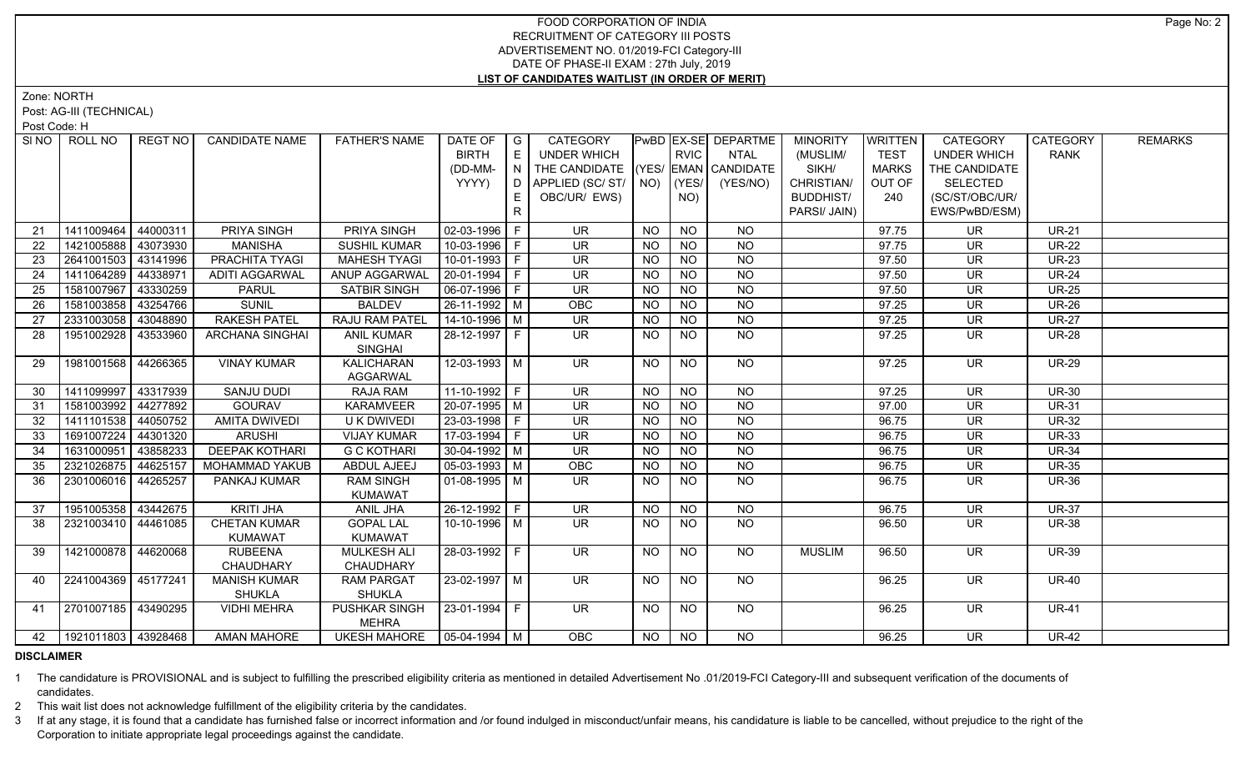Zone: NORTH

Post: AG-III (TECHNICAL)

Post Code: H

| SI NO 1 | ROLL NO                    | REGT NO  | <b>CANDIDATE NAME</b>  | <b>FATHER'S NAME</b>               | DATE OF            | $\overline{\phantom{a}}$ G | CATEGORY                 |           |                | PwBD EX-SE DEPARTME | <b>MINORITY</b>  | <b>WRITTEN</b> | <b>CATEGORY</b>          | <b>CATEGORY</b> | <b>REMARKS</b> |
|---------|----------------------------|----------|------------------------|------------------------------------|--------------------|----------------------------|--------------------------|-----------|----------------|---------------------|------------------|----------------|--------------------------|-----------------|----------------|
|         |                            |          |                        |                                    | <b>BIRTH</b>       | E                          | <b>UNDER WHICH</b>       |           | <b>RVIC</b>    | <b>NTAL</b>         | (MUSLIM/         | <b>TEST</b>    | <b>UNDER WHICH</b>       | <b>RANK</b>     |                |
|         |                            |          |                        |                                    | (DD-MM-            | N                          | THE CANDIDATE (YES/      |           |                | EMAN CANDIDATE      | SIKH/            | <b>MARKS</b>   | THE CANDIDATE            |                 |                |
|         |                            |          |                        |                                    | YYYY)              | D                          | APPLIED (SC/ST/          | NO)       | (YES/          | (YES/NO)            | CHRISTIAN/       | OUT OF         | <b>SELECTED</b>          |                 |                |
|         |                            |          |                        |                                    |                    | E.                         | OBC/UR/ EWS)             |           | NO)            |                     | <b>BUDDHIST/</b> | 240            | (SC/ST/OBC/UR/           |                 |                |
|         |                            |          |                        |                                    |                    | $\mathsf{R}$               |                          |           |                |                     | PARSI/ JAIN)     |                | EWS/PwBD/ESM)            |                 |                |
| 21      | 1411009464                 | 44000311 | PRIYA SINGH            | PRIYA SINGH                        | $02-03-1996$   F   |                            | <b>UR</b>                | <b>NO</b> | <b>NO</b>      | <b>NO</b>           |                  | 97.75          | <b>UR</b>                | <b>UR-21</b>    |                |
| 22      | 1421005888                 | 43073930 | <b>MANISHA</b>         | <b>SUSHIL KUMAR</b>                | 10-03-1996 F       |                            | <b>UR</b>                | <b>NO</b> | <b>NO</b>      | $N$ O               |                  | 97.75          | <b>UR</b>                | <b>UR-22</b>    |                |
| 23      | 2641001503                 | 43141996 | PRACHITA TYAGI         | <b>MAHESH TYAGI</b>                | $10-01-1993$ F     |                            | $\overline{\mathsf{UR}}$ | <b>NO</b> | NO             | $N$ O               |                  | 97.50          | <b>UR</b>                | <b>UR-23</b>    |                |
| 24      | 1411064289                 | 44338971 | <b>ADITI AGGARWAL</b>  | ANUP AGGARWAL                      | 20-01-1994 F       |                            | <b>UR</b>                | <b>NO</b> | <b>NO</b>      | N <sub>O</sub>      |                  | 97.50          | <b>UR</b>                | <b>UR-24</b>    |                |
| 25      | 1581007967                 | 43330259 | <b>PARUL</b>           | SATBIR SINGH                       | 06-07-1996 F       |                            | <b>UR</b>                | <b>NO</b> | <b>NO</b>      | $N$ O               |                  | 97.50          | <b>UR</b>                | <b>UR-25</b>    |                |
| 26      | 1581003858                 | 43254766 | <b>SUNIL</b>           | <b>BALDEV</b>                      | 26-11-1992 M       |                            | OBC                      | <b>NO</b> | <b>NO</b>      | N <sub>O</sub>      |                  | 97.25          | UR                       | <b>UR-26</b>    |                |
| 27      | 2331003058                 | 43048890 | <b>RAKESH PATEL</b>    | RAJU RAM PATEL                     | $14 - 10 - 1996$ M |                            | <b>UR</b>                | <b>NO</b> | <b>NO</b>      | $N$ O               |                  | 97.25          | UR                       | <b>UR-27</b>    |                |
| 28      | 1951002928                 | 43533960 | <b>ARCHANA SINGHAI</b> | <b>ANIL KUMAR</b>                  | 28-12-1997 F       |                            | $\overline{\mathsf{UR}}$ | NO        | N <sub>O</sub> | N <sub>O</sub>      |                  | 97.25          | $\overline{\mathsf{UR}}$ | <b>UR-28</b>    |                |
|         |                            |          |                        | <b>SINGHAI</b>                     |                    |                            |                          |           |                |                     |                  |                |                          |                 |                |
| 29      | 1981001568                 | 44266365 | <b>VINAY KUMAR</b>     | <b>KALICHARAN</b>                  | 12-03-1993 M       |                            | UR.                      | <b>NO</b> | <b>NO</b>      | NO                  |                  | 97.25          | <b>UR</b>                | <b>UR-29</b>    |                |
|         |                            |          |                        | <b>AGGARWAL</b>                    |                    |                            |                          |           |                |                     |                  |                |                          |                 |                |
| 30      | 1411099997                 | 43317939 | <b>SANJU DUDI</b>      | <b>RAJA RAM</b>                    | $11-10-1992$ F     |                            | <b>UR</b>                | <b>NO</b> | <b>NO</b>      | <b>NO</b>           |                  | 97.25          | <b>UR</b>                | <b>UR-30</b>    |                |
| 31      | 1581003992                 | 44277892 | <b>GOURAV</b>          | <b>KARAMVEER</b>                   | $20-07-1995$ M     |                            | <b>UR</b>                | <b>NO</b> | <b>NO</b>      | <b>NO</b>           |                  | 97.00          | <b>UR</b>                | <b>UR-31</b>    |                |
| 32      | 1411101538 44050752        |          | <b>AMITA DWIVEDI</b>   | U K DWIVEDI                        | 23-03-1998 F       |                            | <b>UR</b>                | <b>NO</b> | <b>NO</b>      | $\overline{NO}$     |                  | 96.75          | <b>UR</b>                | $UR-32$         |                |
| 33      | 1691007224                 | 44301320 | <b>ARUSHI</b>          | <b>VIJAY KUMAR</b>                 | 17-03-1994 F       |                            | <b>UR</b>                | <b>NO</b> | <b>NO</b>      | $\overline{NO}$     |                  | 96.75          | <b>UR</b>                | <b>UR-33</b>    |                |
| 34      | 1631000951                 | 43858233 | <b>DEEPAK KOTHARI</b>  | <b>G C KOTHARI</b>                 | $30-04-1992$ M     |                            | $\overline{\mathsf{UR}}$ | <b>NO</b> | $\overline{N}$ | N <sub>O</sub>      |                  | 96.75          | $\overline{\mathsf{UR}}$ | <b>UR-34</b>    |                |
| 35      | 2321026875                 | 44625157 | MOHAMMAD YAKUB         | ABDUL AJEEJ                        | $05-03-1993$ M     |                            | OBC                      | <b>NO</b> | <b>NO</b>      | $\overline{NQ}$     |                  | 96.75          | <b>UR</b>                | <b>UR-35</b>    |                |
| 36      | 2301006016 44265257        |          | PANKAJ KUMAR           | <b>RAM SINGH</b><br><b>KUMAWAT</b> | $01-08-1995$ M     |                            | UR.                      | NO.       | <b>NO</b>      | <b>NO</b>           |                  | 96.75          | UR                       | <b>UR-36</b>    |                |
| 37      | 1951005358 43442675        |          | <b>KRITI JHA</b>       | ANIL JHA                           | 26-12-1992 F       |                            | $\overline{\mathsf{UR}}$ | <b>NO</b> | <b>NO</b>      | N <sub>O</sub>      |                  | 96.75          | $\overline{\mathsf{UR}}$ | <b>UR-37</b>    |                |
| 38      | 2321003410 44461085        |          | <b>CHETAN KUMAR</b>    | <b>GOPAL LAL</b>                   | 10-10-1996 M       |                            | <b>UR</b>                | <b>NO</b> | <b>NO</b>      | NO                  |                  | 96.50          | UR                       | <b>UR-38</b>    |                |
|         |                            |          | <b>KUMAWAT</b>         | <b>KUMAWAT</b>                     |                    |                            |                          |           |                |                     |                  |                |                          |                 |                |
| 39      | 1421000878 44620068        |          | <b>RUBEENA</b>         | MULKESH ALI                        | 28-03-1992 F       |                            | <b>UR</b>                | NO.       | <b>NO</b>      | NO                  | <b>MUSLIM</b>    | 96.50          | UR.                      | <b>UR-39</b>    |                |
|         |                            |          | CHAUDHARY              | CHAUDHARY                          |                    |                            |                          |           |                |                     |                  |                |                          |                 |                |
| 40      | 2241004369 45177241        |          | <b>MANISH KUMAR</b>    | <b>RAM PARGAT</b>                  | 23-02-1997 M       |                            | UR.                      | NO.       | NO.            | NO                  |                  | 96.25          | UR.                      | <b>UR-40</b>    |                |
|         |                            |          | <b>SHUKLA</b>          | <b>SHUKLA</b>                      |                    |                            |                          |           |                |                     |                  |                |                          |                 |                |
| 41      | 2701007185 43490295        |          | <b>VIDHI MEHRA</b>     | <b>PUSHKAR SINGH</b>               | 23-01-1994 F       |                            | <b>UR</b>                | <b>NO</b> | <b>NO</b>      | <b>NO</b>           |                  | 96.25          | <b>UR</b>                | <b>UR-41</b>    |                |
|         |                            |          |                        | MEHRA                              |                    |                            |                          |           |                |                     |                  |                |                          |                 |                |
|         | 42   1921011803   43928468 |          | <b>AMAN MAHORE</b>     | UKESH MAHORE   05-04-1994   M      |                    |                            | OBC                      | <b>NO</b> | NO.            | NO.                 |                  | 96.25          | UR.                      | <b>UR-42</b>    |                |

## **DISCLAIMER**

1 The candidature is PROVISIONAL and is subject to fulfilling the prescribed eligibility criteria as mentioned in detailed Advertisement No .01/2019-FCI Category-III and subsequent verification of the documents of candidates.

2 This wait list does not acknowledge fulfillment of the eligibility criteria by the candidates.

3 If at any stage, it is found that a candidate has furnished false or incorrect information and /or found indulged in misconduct/unfair means, his candidature is liable to be cancelled, without prejudice to the right of t Corporation to initiate appropriate legal proceedings against the candidate.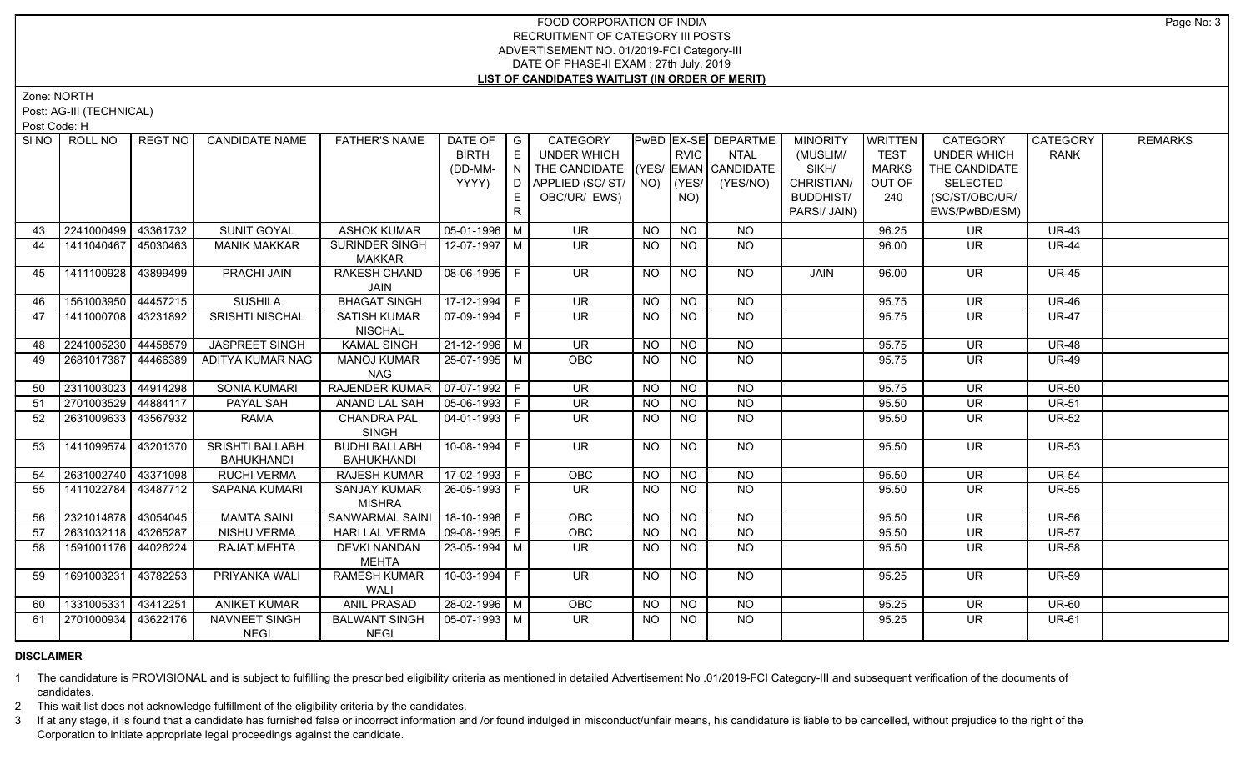Zone: NORTH

Post: AG-III (TECHNICAL)

Post Code: H

| SI NO | ROLL NO             | REGT NO  | <b>CANDIDATE NAME</b>  | <b>FATHER'S NAME</b>                 | DATE OF                | I G | CATEGORY                           |                |                  | PwBD EX-SE DEPARTME | <b>MINORITY</b>  | WRITTEN      | CATEGORY                 | <b>CATEGORY</b> | <b>REMARKS</b> |
|-------|---------------------|----------|------------------------|--------------------------------------|------------------------|-----|------------------------------------|----------------|------------------|---------------------|------------------|--------------|--------------------------|-----------------|----------------|
|       |                     |          |                        |                                      | <b>BIRTH</b>           | E   | UNDER WHICH                        |                | <b>RVIC</b>      | NTAL                | (MUSLIM/         | <b>TEST</b>  | <b>UNDER WHICH</b>       | <b>RANK</b>     |                |
|       |                     |          |                        |                                      | (DD-MM-                | N   | THE CANDIDATE (YES/ EMAN CANDIDATE |                |                  |                     | SIKH/            | <b>MARKS</b> | THE CANDIDATE            |                 |                |
|       |                     |          |                        |                                      | YYYY)                  | D.  | APPLIED (SC/ST/ $\vert$ NO)        |                | (YES/            | (YES/NO)            | CHRISTIAN/       | OUT OF       | <b>SELECTED</b>          |                 |                |
|       |                     |          |                        |                                      |                        | E.  | OBC/UR/ EWS)                       |                | NO)              |                     | <b>BUDDHIST/</b> | 240          | (SC/ST/OBC/UR/           |                 |                |
|       |                     |          |                        |                                      |                        | R.  |                                    |                |                  |                     | PARSI/ JAIN)     |              | EWS/PwBD/ESM)            |                 |                |
| 43    | 2241000499          | 43361732 | SUNIT GOYAL            | <b>ASHOK KUMAR</b>                   | 05-01-1996   M         |     | <b>UR</b>                          | <b>NO</b>      | <b>NO</b>        | <b>NO</b>           |                  | 96.25        | <b>UR</b>                | <b>UR-43</b>    |                |
| 44    | 1411040467 45030463 |          | <b>MANIK MAKKAR</b>    | SURINDER SINGH                       | $12 - 07 - 1997$ M     |     | $\overline{\mathsf{UR}}$           | <b>NO</b>      | NO               | NO                  |                  | 96.00        | UR.                      | <b>UR-44</b>    |                |
|       |                     |          |                        | <b>MAKKAR</b>                        |                        |     |                                    |                |                  |                     |                  |              |                          |                 |                |
| 45    | 1411100928          | 43899499 | PRACHI JAIN            | RAKESH CHAND<br>JAIN                 | 08-06-1995 F           |     | <b>UR</b>                          | <b>NO</b>      | <b>NO</b>        | NO                  | JAIN             | 96.00        | <b>UR</b>                | <b>UR-45</b>    |                |
| 46    | 1561003950 44457215 |          | <b>SUSHILA</b>         | <b>BHAGAT SINGH</b>                  | 17-12-1994 F           |     | $\overline{\mathsf{UR}}$           | <b>NO</b>      | <b>NO</b>        | $\overline{NO}$     |                  | 95.75        | UR.                      | <b>UR-46</b>    |                |
| 47    | 1411000708 43231892 |          | SRISHTI NISCHAL        | <b>SATISH KUMAR</b>                  | 07-09-1994 F           |     | $\overline{\mathsf{UR}}$           | NO.            | <b>NO</b>        | <b>NO</b>           |                  | 95.75        | <b>UR</b>                | <b>UR-47</b>    |                |
|       |                     |          |                        | <b>NISCHAL</b>                       |                        |     |                                    |                |                  |                     |                  |              |                          |                 |                |
| 48    | 2241005230 44458579 |          | <b>JASPREET SINGH</b>  | <b>KAMAL SINGH</b>                   | 21-12-1996   M         |     | <b>UR</b>                          | <b>NO</b>      | <b>NO</b>        | <b>NO</b>           |                  | 95.75        | <b>UR</b>                | <b>UR-48</b>    |                |
| 49    | 2681017387 44466389 |          | ADITYA KUMAR NAG       | <b>MANOJ KUMAR</b>                   | $25-07-1995$ M         |     | OBC                                | <b>NO</b>      | $N$ <sup>O</sup> | $\overline{NO}$     |                  | 95.75        | $\overline{\mathsf{UR}}$ | <b>UR-49</b>    |                |
|       |                     |          |                        | <b>NAG</b>                           |                        |     |                                    |                |                  |                     |                  |              |                          |                 |                |
| 50    | 2311003023          | 44914298 | <b>SONIA KUMARI</b>    | RAJENDER KUMAR   07-07-1992   F      |                        |     | $\overline{\mathsf{UR}}$           | <b>NO</b>      | <b>NO</b>        | <b>NO</b>           |                  | 95.75        | <b>UR</b>                | <b>UR-50</b>    |                |
| 51    | 2701003529 44884117 |          | PAYAL SAH              | <b>ANAND LAL SAH</b>                 | $ 05-06-1993 F$        |     | <b>UR</b>                          | <b>NO</b>      | <b>NO</b>        | N <sub>O</sub>      |                  | 95.50        | <b>UR</b>                | <b>UR-51</b>    |                |
| 52    | 2631009633 43567932 |          | RAMA                   | <b>CHANDRA PAL</b>                   | $\boxed{04-01-1993}$ F |     | $\overline{\mathsf{UR}}$           | <b>NO</b>      | <b>NO</b>        | $N$ O               |                  | 95.50        | $\overline{\mathsf{UR}}$ | <b>UR-52</b>    |                |
|       |                     |          |                        | <b>SINGH</b>                         |                        |     |                                    |                |                  |                     |                  |              |                          |                 |                |
| 53    | 1411099574 43201370 |          | <b>SRISHTI BALLABH</b> | <b>BUDHI BALLABH</b>                 | 10-08-1994 F           |     | UR.                                | NO.            | NO.              | NO.                 |                  | 95.50        | UR                       | <b>UR-53</b>    |                |
|       |                     |          | <b>BAHUKHANDI</b>      | <b>BAHUKHANDI</b>                    |                        |     |                                    |                |                  |                     |                  |              |                          |                 |                |
| 54    | 2631002740 43371098 |          | <b>RUCHI VERMA</b>     | <b>RAJESH KUMAR</b>                  | $17 - 02 - 1993$ F     |     | OBC                                | <b>NO</b>      | <b>NO</b>        | <b>NO</b>           |                  | 95.50        | UR                       | <b>UR-54</b>    |                |
| 55    | 1411022784          | 43487712 | SAPANA KUMARI          | <b>SANJAY KUMAR</b><br><b>MISHRA</b> | 26-05-1993 F           |     | <b>UR</b>                          | <b>NO</b>      | NO.              | <b>NO</b>           |                  | 95.50        | <b>UR</b>                | <b>UR-55</b>    |                |
| 56    | 2321014878 43054045 |          | <b>MAMTA SAINI</b>     | SANWARMAL SAINI   18-10-1996   F     |                        |     | OBC                                | N <sub>O</sub> | $\overline{NQ}$  | $\overline{NO}$     |                  | 95.50        | $\overline{\mathsf{UR}}$ | <b>UR-56</b>    |                |
| 57    | 2631032118 43265287 |          | <b>NISHU VERMA</b>     | <b>HARI LAL VERMA</b>                | $ 09-08-1995 F$        |     | OBC                                | <b>NO</b>      | N <sub>O</sub>   | $\overline{NO}$     |                  | 95.50        | $\overline{\mathsf{UR}}$ | $UR-57$         |                |
| 58    | 1591001176 44026224 |          | <b>RAJAT MEHTA</b>     | <b>DEVKI NANDAN</b>                  | 23-05-1994   M         |     | UR.                                | NO.            | NO.              | NO                  |                  | 95.50        | UR.                      | <b>UR-58</b>    |                |
|       |                     |          |                        | <b>MEHTA</b>                         |                        |     |                                    |                |                  |                     |                  |              |                          |                 |                |
| 59    | 1691003231 43782253 |          | PRIYANKA WALI          | <b>RAMESH KUMAR</b>                  | $10-03-1994$ F         |     | $\overline{\mathsf{UR}}$           | <b>NO</b>      | NO               | $N$ <sup>O</sup>    |                  | 95.25        | $\overline{\mathsf{UR}}$ | <b>UR-59</b>    |                |
|       |                     |          |                        | <b>WALI</b>                          |                        |     |                                    |                |                  |                     |                  |              |                          |                 |                |
| 60    | 1331005331          | 43412251 | <b>ANIKET KUMAR</b>    | <b>ANIL PRASAD</b>                   | $28 - 02 - 1996$ M     |     | <b>OBC</b>                         | <b>NO</b>      | <b>NO</b>        | NO                  |                  | 95.25        | <b>UR</b>                | <b>UR-60</b>    |                |
| 61    | 2701000934          | 43622176 | NAVNEET SINGH          | <b>BALWANT SINGH</b>                 | 05-07-1993   M         |     | UR.                                | NO.            | NO.              | <b>NO</b>           |                  | 95.25        | <b>UR</b>                | <b>UR-61</b>    |                |
|       |                     |          | <b>NEGI</b>            | <b>NEGI</b>                          |                        |     |                                    |                |                  |                     |                  |              |                          |                 |                |

# **DISCLAIMER**

1 The candidature is PROVISIONAL and is subject to fulfilling the prescribed eligibility criteria as mentioned in detailed Advertisement No .01/2019-FCI Category-III and subsequent verification of the documents of candidates.

2 This wait list does not acknowledge fulfillment of the eligibility criteria by the candidates.

3 If at any stage, it is found that a candidate has furnished false or incorrect information and /or found indulged in misconduct/unfair means, his candidature is liable to be cancelled, without prejudice to the right of t Corporation to initiate appropriate legal proceedings against the candidate.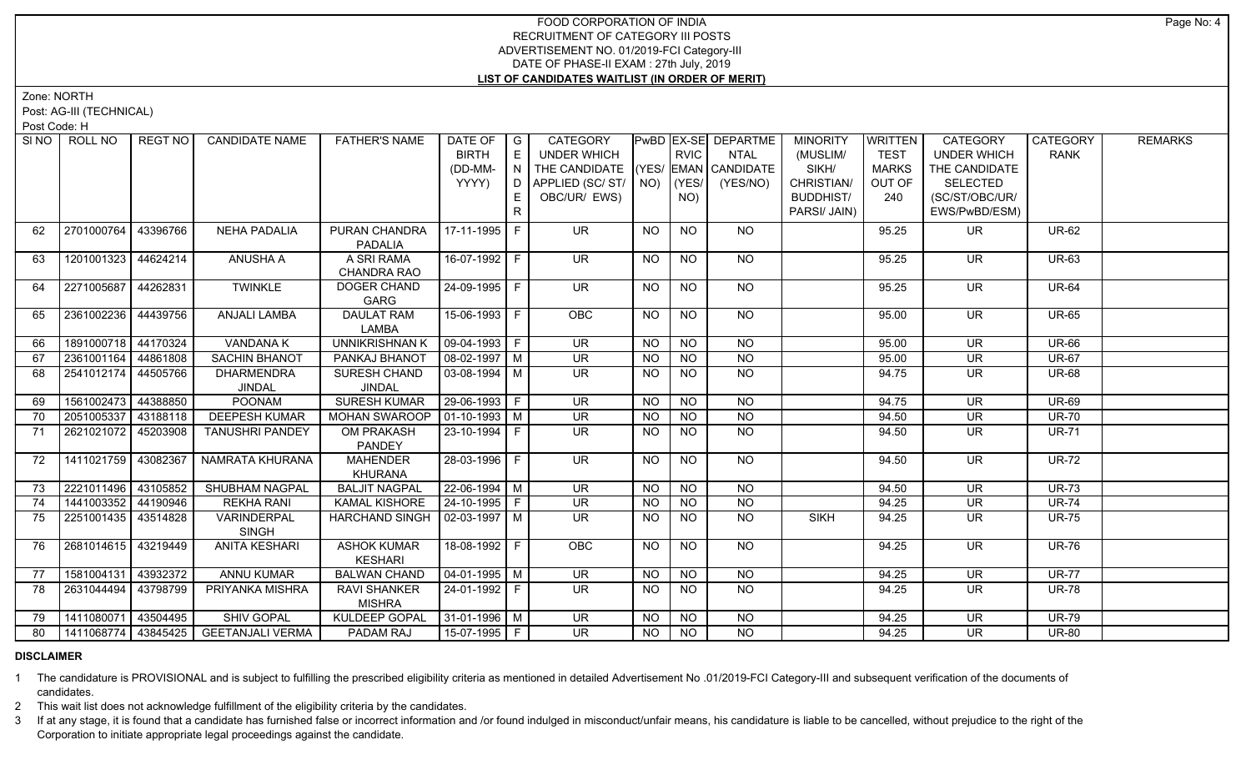Zone: NORTH

Post: AG-III (TECHNICAL)

Post Code: H

| SI <sub>NO</sub> | ROLL NO             | <b>REGT NO</b> | <b>CANDIDATE NAME</b>   | <b>FATHER'S NAME</b>            | DATE OF                      | $\overline{\phantom{a}}$ G | CATEGORY                           |           |                 | PwBD EX-SE DEPARTME | <b>MINORITY</b>  | WRITTEN      | CATEGORY                 | CATEGORY     | <b>REMARKS</b> |
|------------------|---------------------|----------------|-------------------------|---------------------------------|------------------------------|----------------------------|------------------------------------|-----------|-----------------|---------------------|------------------|--------------|--------------------------|--------------|----------------|
|                  |                     |                |                         |                                 | <b>BIRTH</b>                 | E                          | UNDER WHICH                        |           | <b>RVIC</b>     | <b>NTAL</b>         | (MUSLIM/         | <b>TEST</b>  | <b>UNDER WHICH</b>       | <b>RANK</b>  |                |
|                  |                     |                |                         |                                 | (DD-MM-                      | IN.                        | THE CANDIDATE (YES/ EMAN CANDIDATE |           |                 |                     | SIKH/            | <b>MARKS</b> | THE CANDIDATE            |              |                |
|                  |                     |                |                         |                                 | YYYY)                        | D                          | APPLIED (SC/ST/ NO)                |           | (YES/           | (YES/NO)            | CHRISTIAN/       | OUT OF       | <b>SELECTED</b>          |              |                |
|                  |                     |                |                         |                                 |                              |                            | OBC/UR/ EWS)                       |           | NO)             |                     | <b>BUDDHIST/</b> | 240          | (SC/ST/OBC/UR/           |              |                |
|                  |                     |                |                         |                                 |                              | R.                         |                                    |           |                 |                     | PARSI/ JAIN)     |              | EWS/PwBD/ESM)            |              |                |
| 62               | 2701000764          | 43396766       | <b>NEHA PADALIA</b>     | PURAN CHANDRA                   | 17-11-1995   F               |                            | <b>UR</b>                          | <b>NO</b> | <b>NO</b>       | NO                  |                  | 95.25        | UR.                      | <b>UR-62</b> |                |
|                  |                     |                |                         | <b>PADALIA</b>                  |                              |                            |                                    |           |                 |                     |                  |              |                          |              |                |
| 63               | 1201001323 44624214 |                | <b>ANUSHA A</b>         | A SRI RAMA                      | 16-07-1992 F                 |                            | <b>UR</b>                          | <b>NO</b> | <b>NO</b>       | NO                  |                  | 95.25        | <b>UR</b>                | <b>UR-63</b> |                |
|                  |                     |                |                         | CHANDRA RAO                     |                              |                            |                                    |           |                 |                     |                  |              |                          |              |                |
| 64               | 2271005687 44262831 |                | <b>TWINKLE</b>          | DOGER CHAND                     | 24-09-1995 F                 |                            | $\overline{\mathsf{UR}}$           | NO.       | <b>NO</b>       | NO                  |                  | 95.25        | <b>UR</b>                | <b>UR-64</b> |                |
|                  |                     |                |                         | GARG                            |                              |                            |                                    |           |                 |                     |                  |              |                          |              |                |
| 65               | 2361002236          | 44439756       | <b>ANJALI LAMBA</b>     | <b>DAULAT RAM</b>               | 15-06-1993 F                 |                            | <b>OBC</b>                         | NO        | NO              | NO.                 |                  | 95.00        | UR.                      | <b>UR-65</b> |                |
|                  |                     |                |                         | LAMBA                           |                              |                            |                                    |           |                 |                     |                  |              |                          |              |                |
| 66               | 1891000718 44170324 |                | <b>VANDANA K</b>        | <b>UNNIKRISHNAN K</b>           | $\boxed{09 - 04 - 1993}$ F   |                            | $\overline{\mathsf{UR}}$           | <b>NO</b> | $N$ O           | $N$ <sup>O</sup>    |                  | 95.00        | $\overline{\mathsf{UR}}$ | <b>UR-66</b> |                |
| 67               | 2361001164 44861808 |                | <b>SACHIN BHANOT</b>    | PANKAJ BHANOT                   | $\sqrt{08-02-1997}$ M        |                            | UR.                                | <b>NO</b> | NO.             | <b>NO</b>           |                  | 95.00        | <b>UR</b>                | <b>UR-67</b> |                |
| 68               | 2541012174 44505766 |                | <b>DHARMENDRA</b>       | <b>SURESH CHAND</b>             | $\sqrt{03-08-1994}$ M        |                            | $\overline{\mathsf{UR}}$           | <b>NO</b> | $N$ O           | $N$ <sup>O</sup>    |                  | 94.75        | $\overline{\mathsf{UR}}$ | <b>UR-68</b> |                |
|                  |                     |                | <b>JINDAL</b>           | JINDAL                          |                              |                            |                                    |           |                 |                     |                  |              |                          |              |                |
| 69               | 1561002473          | 44388850       | <b>POONAM</b>           | <b>SURESH KUMAR</b>             | $29-06-1993$ F               |                            | $\overline{\mathsf{UR}}$           | <b>NO</b> | <b>NO</b>       | <b>NO</b>           |                  | 94.75        | <b>UR</b>                | <b>UR-69</b> |                |
| 70               | 2051005337 43188118 |                | <b>DEEPESH KUMAR</b>    | <b>MOHAN SWAROOP</b>            | $\vert$ 01-10-1993 $\vert$ M |                            | UR                                 | NO        | N <sub>O</sub>  | N <sub>O</sub>      |                  | 94.50        | $\overline{\mathsf{UR}}$ | <b>UR-70</b> |                |
| 71               | 2621021072          | 45203908       | <b>TANUSHRI PANDEY</b>  | <b>OM PRAKASH</b>               | $23 - 10 - 1994$ F           |                            | $\overline{\mathsf{UR}}$           | <b>NO</b> | <b>NO</b>       | $N$ O               |                  | 94.50        | UR                       | <b>UR-71</b> |                |
|                  |                     |                |                         | PANDEY                          |                              |                            |                                    |           |                 |                     |                  |              |                          |              |                |
| 72               | 1411021759 43082367 |                | NAMRATA KHURANA         | <b>MAHENDER</b>                 | 28-03-1996 F                 |                            | UR.                                | NO.       | <b>NO</b>       | NO                  |                  | 94.50        | <b>UR</b>                | <b>UR-72</b> |                |
|                  |                     |                |                         | <b>KHURANA</b>                  |                              |                            |                                    |           |                 |                     |                  |              |                          |              |                |
| 73               | 2221011496 43105852 |                | <b>SHUBHAM NAGPAL</b>   | <b>BALJIT NAGPAL</b>            | 22-06-1994 M                 |                            | $\overline{\mathsf{UR}}$           | <b>NO</b> | $\overline{NO}$ | <b>NO</b>           |                  | 94.50        | <b>UR</b>                | <b>UR-73</b> |                |
| 74               | 1441003352          | 44190946       | <b>REKHA RANI</b>       | <b>KAMAL KISHORE</b>            | $24 - 10 - 1995$ F           |                            | $\overline{\mathsf{UR}}$           | <b>NO</b> | <b>NO</b>       | <b>NO</b>           |                  | 94.25        | <b>UR</b>                | <b>UR-74</b> |                |
| 75               | 2251001435 43514828 |                | VARINDERPAL             | HARCHAND SINGH   02-03-1997   M |                              |                            | $\overline{\mathsf{UR}}$           | NO.       | <b>NO</b>       | <b>NO</b>           | <b>SIKH</b>      | 94.25        | <b>UR</b>                | <b>UR-75</b> |                |
|                  |                     |                | <b>SINGH</b>            |                                 |                              |                            |                                    |           |                 |                     |                  |              |                          |              |                |
| 76               | 2681014615 43219449 |                | <b>ANITA KESHARI</b>    | <b>ASHOK KUMAR</b>              | $18-08-1992$ F               |                            | OBC                                | <b>NO</b> | <b>NO</b>       | $\overline{NO}$     |                  | 94.25        | $\overline{\mathsf{UR}}$ | <b>UR-76</b> |                |
|                  |                     |                |                         | <b>KESHARI</b>                  |                              |                            |                                    |           |                 |                     |                  |              |                          |              |                |
| 77               | 1581004131 43932372 |                | <b>ANNU KUMAR</b>       | <b>BALWAN CHAND</b>             | 04-01-1995   M               |                            | <b>UR</b>                          | <b>NO</b> | <b>NO</b>       | NO                  |                  | 94.25        | <b>UR</b>                | <b>UR-77</b> |                |
| 78               | 2631044494          | 43798799       | PRIYANKA MISHRA         | <b>RAVI SHANKER</b>             | $24 - 01 - 1992$ F           |                            | $\overline{\mathsf{UR}}$           | <b>NO</b> | <b>NO</b>       | NO                  |                  | 94.25        | UR.                      | <b>UR-78</b> |                |
|                  |                     |                |                         | <b>MISHRA</b>                   |                              |                            |                                    |           |                 |                     |                  |              |                          |              |                |
| 79               | 1411080071 43504495 |                | <b>SHIV GOPAL</b>       | <b>KULDEEP GOPAL</b>            | 31-01-1996 M                 |                            | <b>UR</b>                          | <b>NO</b> | <b>NO</b>       | <b>NO</b>           |                  | 94.25        | <b>UR</b>                | <b>UR-79</b> |                |
| 80               | 1411068774 43845425 |                | <b>GEETANJALI VERMA</b> | PADAM RAJ                       | 15-07-1995 F                 |                            | $\overline{\mathsf{UR}}$           | NO.       | NO              | <b>NO</b>           |                  | 94.25        | <b>UR</b>                | <b>UR-80</b> |                |

## **DISCLAIMER**

1 The candidature is PROVISIONAL and is subject to fulfilling the prescribed eligibility criteria as mentioned in detailed Advertisement No .01/2019-FCI Category-III and subsequent verification of the documents of candidates.

2 This wait list does not acknowledge fulfillment of the eligibility criteria by the candidates.

3 If at any stage, it is found that a candidate has furnished false or incorrect information and /or found indulged in misconduct/unfair means, his candidature is liable to be cancelled, without prejudice to the right of t Corporation to initiate appropriate legal proceedings against the candidate.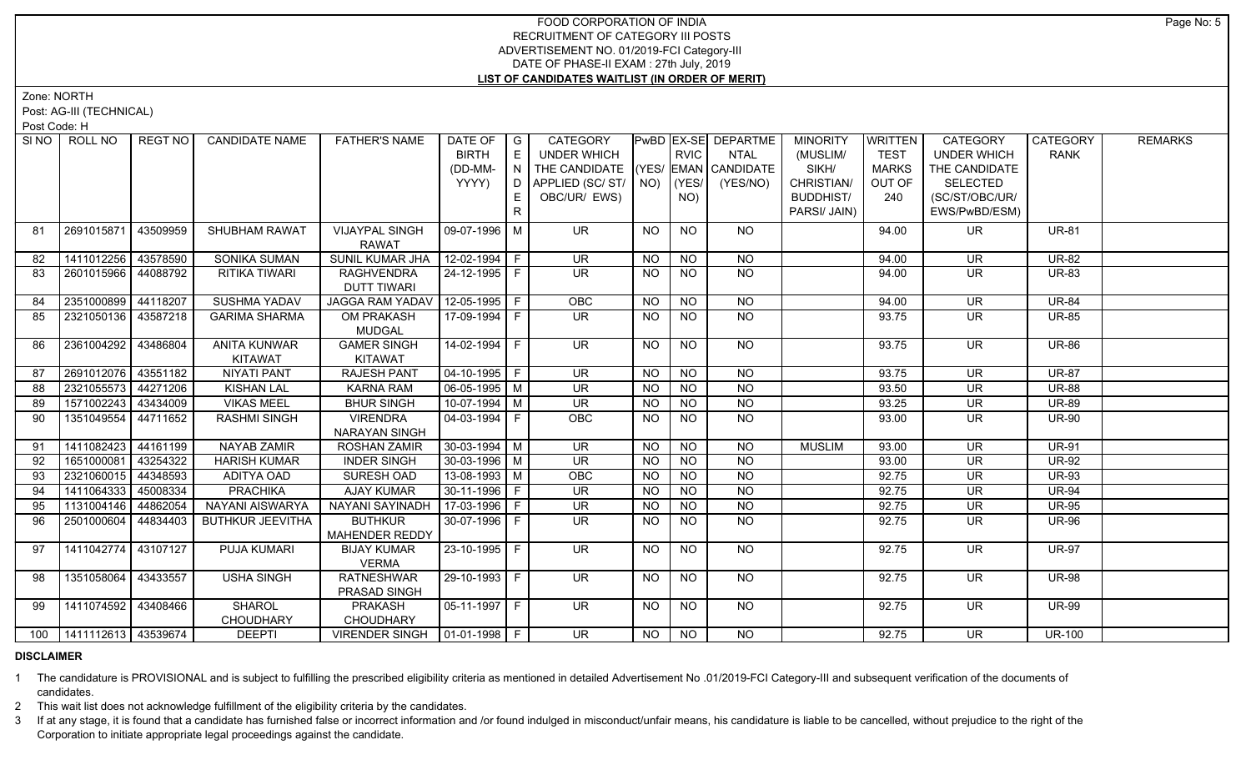Zone: NORTH

Post: AG-III (TECHNICAL)

Post Code: H

|    | SINO ROLL NO                | REGT NO  | <b>CANDIDATE NAME</b>   | <b>FATHER'S NAME</b>            | DATE OF            | $\overline{\phantom{a}}$ G | CATEGORY                           |           |                | PwBD EX-SE DEPARTME | <b>MINORITY</b>  | <b>WRITTEN</b> | CATEGORY                 | CATEGORY      | <b>REMARKS</b> |
|----|-----------------------------|----------|-------------------------|---------------------------------|--------------------|----------------------------|------------------------------------|-----------|----------------|---------------------|------------------|----------------|--------------------------|---------------|----------------|
|    |                             |          |                         |                                 | <b>BIRTH</b>       | E                          | <b>UNDER WHICH</b>                 |           | <b>RVIC</b>    | <b>NTAL</b>         | (MUSLIM/         | <b>TEST</b>    | <b>UNDER WHICH</b>       | <b>RANK</b>   |                |
|    |                             |          |                         |                                 | (DD-MM-            | N                          | THE CANDIDATE (YES/ EMAN CANDIDATE |           |                |                     | SIKH/            | <b>MARKS</b>   | THE CANDIDATE            |               |                |
|    |                             |          |                         |                                 | YYYY)              | D                          | APPLIED (SC/ST/                    | NO)       | YES/           | (YES/NO)            | CHRISTIAN/       | OUT OF         | <b>SELECTED</b>          |               |                |
|    |                             |          |                         |                                 |                    | E                          | OBC/UR/ EWS)                       |           | NO)            |                     | <b>BUDDHIST/</b> | 240            | (SC/ST/OBC/UR/           |               |                |
|    |                             |          |                         |                                 |                    | R.                         |                                    |           |                |                     | PARSI/ JAIN)     |                | EWS/PwBD/ESM)            |               |                |
| 81 | 2691015871                  | 43509959 | SHUBHAM RAWAT           | <b>VIJAYPAL SINGH</b>           | 09-07-1996 M       |                            | <b>UR</b>                          | <b>NO</b> | <b>NO</b>      | <b>NO</b>           |                  | 94.00          | UR.                      | <b>UR-81</b>  |                |
|    |                             |          |                         | <b>RAWAT</b>                    |                    |                            |                                    |           |                |                     |                  |                |                          |               |                |
| 82 | 1411012256                  | 43578590 | <b>SONIKA SUMAN</b>     | SUNIL KUMAR JHA                 | 12-02-1994 F       |                            | <b>UR</b>                          | <b>NO</b> | <b>NO</b>      | <b>NO</b>           |                  | 94.00          | <b>UR</b>                | <b>UR-82</b>  |                |
| 83 | 2601015966 44088792         |          | RITIKA TIWARI           | <b>RAGHVENDRA</b>               | 24-12-1995 F       |                            | <b>UR</b>                          | <b>NO</b> | <b>NO</b>      | <b>NO</b>           |                  | 94.00          | <b>UR</b>                | <b>UR-83</b>  |                |
|    |                             |          |                         | <b>DUTT TIWARI</b>              |                    |                            |                                    |           |                |                     |                  |                |                          |               |                |
| 84 | 2351000899                  | 44118207 | <b>SUSHMA YADAV</b>     | <b>JAGGA RAM YADAV</b>          | $12-05-1995$ F     |                            | OBC                                | <b>NO</b> | <b>NO</b>      | $N$ <sup>O</sup>    |                  | 94.00          | UR.                      | <b>UR-84</b>  |                |
| 85 | 2321050136 43587218         |          | <b>GARIMA SHARMA</b>    | OM PRAKASH                      | 17-09-1994 F       |                            | $\overline{\mathsf{UR}}$           | NO.       | <b>NO</b>      | $\overline{NQ}$     |                  | 93.75          | <b>UR</b>                | <b>UR-85</b>  |                |
|    |                             |          |                         | <b>MUDGAL</b>                   |                    |                            |                                    |           |                |                     |                  |                |                          |               |                |
| 86 | 2361004292                  | 43486804 | <b>ANITA KUNWAR</b>     | <b>GAMER SINGH</b>              | 14-02-1994 F       |                            | $\overline{\mathsf{UR}}$           | <b>NO</b> | N <sub>O</sub> | N <sub>O</sub>      |                  | 93.75          | $\overline{\mathsf{UR}}$ | <b>UR-86</b>  |                |
|    |                             |          | <b>KITAWAT</b>          | <b>KITAWAT</b>                  |                    |                            |                                    |           |                |                     |                  |                |                          |               |                |
| 87 | 2691012076 43551182         |          | <b>NIYATI PANT</b>      | <b>RAJESH PANT</b>              | $04 - 10 - 1995$ F |                            | <b>UR</b>                          | <b>NO</b> | N <sub>O</sub> | <b>NO</b>           |                  | 93.75          | <b>UR</b>                | <b>UR-87</b>  |                |
| 88 | 2321055573 44271206         |          | <b>KISHAN LAL</b>       | <b>KARNA RAM</b>                | $06-05-1995$ M     |                            | $\overline{\mathsf{UR}}$           | <b>NO</b> | $N$ O          | $N$ O               |                  | 93.50          | $\overline{\mathsf{UR}}$ | <b>UR-88</b>  |                |
| 89 | 1571002243                  | 43434009 | <b>VIKAS MEEL</b>       | <b>BHUR SINGH</b>               | $10-07-1994$ M     |                            | <b>UR</b>                          | $N$ O     | N <sub>O</sub> | N                   |                  | 93.25          | <b>UR</b>                | <b>UR-89</b>  |                |
| 90 | 1351049554                  | 44711652 | <b>RASHMI SINGH</b>     | <b>VIRENDRA</b>                 | $04 - 03 - 1994$ F |                            | OBC                                | NO.       | <b>NO</b>      | $N$ O               |                  | 93.00          | <b>UR</b>                | <b>UR-90</b>  |                |
|    |                             |          |                         | NARAYAN SINGH                   |                    |                            |                                    |           |                |                     |                  |                |                          |               |                |
| 91 | 1411082423                  | 44161199 | NAYAB ZAMIR             | <b>ROSHAN ZAMIR</b>             | $30 - 03 - 1994$ M |                            | <b>UR</b>                          | <b>NO</b> | <b>NO</b>      | <b>NO</b>           | <b>MUSLIM</b>    | 93.00          | <b>UR</b>                | <b>UR-91</b>  |                |
| 92 | 1651000081                  | 43254322 | <b>HARISH KUMAR</b>     | <b>INDER SINGH</b>              | $30 - 03 - 1996$ M |                            | $\overline{\mathsf{UR}}$           | <b>NO</b> | NO             | $N$ O               |                  | 93.00          | <b>UR</b>                | <b>UR-92</b>  |                |
| 93 | 2321060015                  | 44348593 | ADITYA OAD              | SURESH OAD                      | $13-08-1993$ M     |                            | OBC                                | <b>NO</b> | NO             | N <sub>O</sub>      |                  | 92.75          | UR                       | <b>UR-93</b>  |                |
| 94 | 1411064333                  | 45008334 | <b>PRACHIKA</b>         | <b>AJAY KUMAR</b>               | 30-11-1996 F       |                            | <b>UR</b>                          | <b>NO</b> | <b>NO</b>      | $N$ O               |                  | 92.75          | <b>UR</b>                | <b>UR-94</b>  |                |
| 95 | 1131004146                  | 44862054 | NAYANI AISWARYA         | NAYANI SAYINADH                 | 17-03-1996 F       |                            | UR                                 | <b>NO</b> | N <sub>O</sub> | N <sub>O</sub>      |                  | 92.75          | $\overline{\mathsf{UR}}$ | $UR-95$       |                |
| 96 | 2501000604                  | 44834403 | <b>BUTHKUR JEEVITHA</b> | <b>BUTHKUR</b>                  | 30-07-1996   F     |                            | <b>UR</b>                          | NO.       | <b>NO</b>      | $N$ O               |                  | 92.75          | <b>UR</b>                | <b>UR-96</b>  |                |
|    |                             |          |                         | MAHENDER REDDY                  |                    |                            |                                    |           |                |                     |                  |                |                          |               |                |
| 97 | 1411042774                  | 43107127 | PUJA KUMARI             | <b>BIJAY KUMAR</b>              | 23-10-1995 F       |                            | <b>UR</b>                          | <b>NO</b> | <b>NO</b>      | <b>NO</b>           |                  | 92.75          | <b>UR</b>                | <b>UR-97</b>  |                |
|    |                             |          |                         | <b>VERMA</b>                    |                    |                            |                                    |           |                |                     |                  |                |                          |               |                |
| 98 | 1351058064                  | 43433557 | <b>USHA SINGH</b>       | <b>RATNESHWAR</b>               | 29-10-1993 F       |                            | UR.                                | NO.       | NO.            | NO                  |                  | 92.75          | UR.                      | <b>UR-98</b>  |                |
|    |                             |          |                         | PRASAD SINGH                    |                    |                            |                                    |           |                |                     |                  |                |                          |               |                |
| 99 | 1411074592 43408466         |          | <b>SHAROL</b>           | <b>PRAKASH</b>                  | $05-11-1997$ F     |                            | UR                                 | <b>NO</b> | <b>NO</b>      | NO                  |                  | 92.75          | UR.                      | <b>UR-99</b>  |                |
|    |                             |          | <b>CHOUDHARY</b>        | <b>CHOUDHARY</b>                |                    |                            |                                    |           |                |                     |                  |                |                          |               |                |
|    | 100   1411112613   43539674 |          | <b>DEEPTI</b>           | VIRENDER SINGH   01-01-1998   F |                    |                            | UR.                                | <b>NO</b> | NO.            | NO.                 |                  | 92.75          | UR.                      | <b>UR-100</b> |                |

## **DISCLAIMER**

1 The candidature is PROVISIONAL and is subject to fulfilling the prescribed eligibility criteria as mentioned in detailed Advertisement No .01/2019-FCI Category-III and subsequent verification of the documents of candidates.

2 This wait list does not acknowledge fulfillment of the eligibility criteria by the candidates.

3 If at any stage, it is found that a candidate has furnished false or incorrect information and /or found indulged in misconduct/unfair means, his candidature is liable to be cancelled, without prejudice to the right of t Corporation to initiate appropriate legal proceedings against the candidate.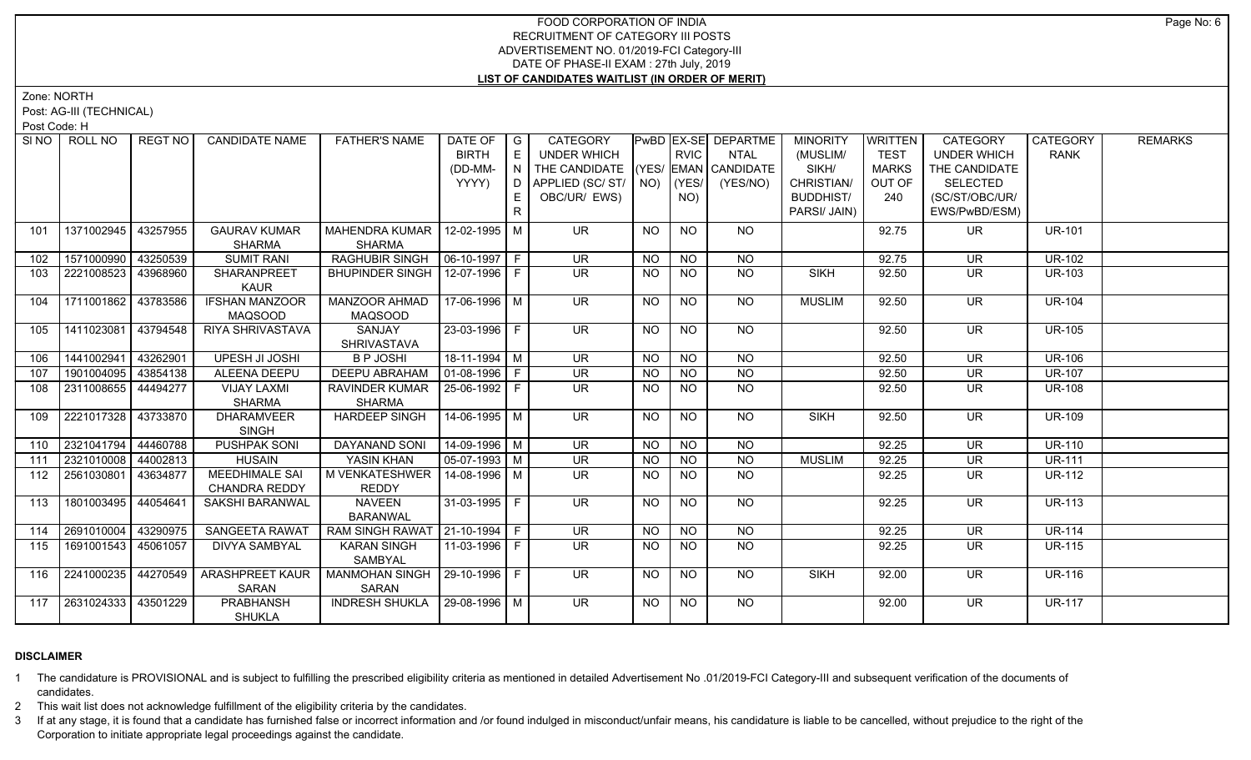Zone: NORTH

Post: AG-III (TECHNICAL)

Post Code: H

|     | SINO FROLL NO         | REGT NO  | <b>CANDIDATE NAME</b>  | <b>FATHER'S NAME</b>             | DATE OF $ G $                     |     | CATEGORY                                       |                 |                 | PwBD EX-SE DEPARTME | <b>MINORITY</b>  | <b>WRITTEN</b> | CATEGORY                 | CATEGORY      | <b>REMARKS</b> |
|-----|-----------------------|----------|------------------------|----------------------------------|-----------------------------------|-----|------------------------------------------------|-----------------|-----------------|---------------------|------------------|----------------|--------------------------|---------------|----------------|
|     |                       |          |                        |                                  | <b>BIRTH</b>                      | E   | <b>UNDER WHICH</b>                             |                 | <b>RVIC</b>     | <b>NTAL</b>         | (MUSLIM/         | <b>TEST</b>    | <b>UNDER WHICH</b>       | <b>RANK</b>   |                |
|     |                       |          |                        |                                  | (DD-MM-                           | N I | THE CANDIDATE (YES/ EMAN CANDIDATE             |                 |                 |                     | SIKH/            | <b>MARKS</b>   | THE CANDIDATE            |               |                |
|     |                       |          |                        |                                  | YYYY)                             |     | D   APPLIED (SC/ ST/ $\vert$ NO) $\vert$ (YES/ |                 |                 | (YES/NO)            | CHRISTIAN/       | OUT OF         | <b>SELECTED</b>          |               |                |
|     |                       |          |                        |                                  |                                   |     | OBC/UR/ EWS)                                   |                 | NO)             |                     | <b>BUDDHIST/</b> | 240            | (SC/ST/OBC/UR/           |               |                |
|     |                       |          |                        |                                  |                                   | R.  |                                                |                 |                 |                     | PARSI/ JAIN)     |                | EWS/PwBD/ESM)            |               |                |
| 101 | 1371002945            | 43257955 | <b>GAURAV KUMAR</b>    | MAHENDRA KUMAR   12-02-1995   M  |                                   |     | <b>UR</b>                                      | <b>NO</b>       | <b>NO</b>       | NO.                 |                  | 92.75          | UR.                      | <b>UR-101</b> |                |
|     |                       |          | SHARMA                 | <b>SHARMA</b>                    |                                   |     |                                                |                 |                 |                     |                  |                |                          |               |                |
| 102 | 1571000990            | 43250539 | <b>SUMIT RANI</b>      | RAGHUBIR SINGH                   | $\left  06 - 10 - 1997 \right $ F |     | <b>UR</b>                                      | <b>NO</b>       | <b>NO</b>       | <b>NO</b>           |                  | 92.75          | <b>UR</b>                | <b>UR-102</b> |                |
| 103 | 2221008523            | 43968960 | SHARANPREET            | BHUPINDER SINGH                  | 12-07-1996 F                      |     | <b>UR</b>                                      | <b>NO</b>       | <b>NO</b>       | <b>NO</b>           | <b>SIKH</b>      | 92.50          | <b>UR</b>                | <b>UR-103</b> |                |
|     |                       |          | <b>KAUR</b>            |                                  |                                   |     |                                                |                 |                 |                     |                  |                |                          |               |                |
| 104 | 1711001862            | 43783586 | <b>IFSHAN MANZOOR</b>  | MANZOOR AHMAD                    | 17-06-1996 M                      |     | UR                                             | <b>NO</b>       | $\overline{NQ}$ | NO                  | <b>MUSLIM</b>    | 92.50          | UR.                      | <b>UR-104</b> |                |
|     |                       |          | <b>MAQSOOD</b>         | <b>MAQSOOD</b>                   |                                   |     |                                                |                 |                 |                     |                  |                |                          |               |                |
| 105 | 1411023081            | 43794548 | RIYA SHRIVASTAVA       | <b>SANJAY</b>                    | $23 - 03 - 1996$ F                |     | $\overline{\mathsf{UR}}$                       | NO              | N <sub>O</sub>  | $N$ O               |                  | 92.50          | $\overline{\mathsf{UR}}$ | <b>UR-105</b> |                |
|     |                       |          |                        | <b>SHRIVASTAVA</b>               |                                   |     |                                                |                 |                 |                     |                  |                |                          |               |                |
| 106 | 1441002941            | 43262901 | UPESH JI JOSHI         | <b>B P JOSHI</b>                 | $18-11-1994$ M                    |     | <b>UR</b>                                      | <b>NO</b>       | <b>NO</b>       | <b>NO</b>           |                  | 92.50          | <b>UR</b>                | <b>UR-106</b> |                |
| 107 | 1901004095            | 43854138 | <b>ALEENA DEEPU</b>    | <b>DEEPU ABRAHAM</b>             | $ 01-08-1996 F$                   |     | $\overline{\mathsf{UR}}$                       | <b>NO</b>       | N <sub>O</sub>  | N <sub>O</sub>      |                  | 92.50          | $\overline{\mathsf{UR}}$ | <b>UR-107</b> |                |
| 108 | 2311008655   44494277 |          | VIJAY LAXMI            | RAVINDER KUMAR   25-06-1992   F  |                                   |     | <b>UR</b>                                      | <b>NO</b>       | <b>NO</b>       | $N$ O               |                  | 92.50          | UR                       | <b>UR-108</b> |                |
|     |                       |          | SHARMA                 | <b>SHARMA</b>                    |                                   |     |                                                |                 |                 |                     |                  |                |                          |               |                |
| 109 | 2221017328            | 43733870 | <b>DHARAMVEER</b>      | <b>HARDEEP SINGH</b>             | 14-06-1995   M                    |     | <b>UR</b>                                      | NO              | <b>NO</b>       | NO                  | <b>SIKH</b>      | 92.50          | <b>UR</b>                | <b>UR-109</b> |                |
|     |                       |          | <b>SINGH</b>           |                                  |                                   |     |                                                |                 |                 |                     |                  |                |                          |               |                |
| 110 | 2321041794            | 44460788 | <b>PUSHPAK SONI</b>    | <b>DAYANAND SONI</b>             | 14-09-1996 M                      |     | <b>UR</b>                                      | <b>NO</b>       | <b>NO</b>       | <b>NO</b>           |                  | 92.25          | <b>UR</b>                | <b>UR-110</b> |                |
| 111 | 2321010008 44002813   |          | <b>HUSAIN</b>          | YASIN KHAN                       | $\sqrt{05-07-1993}$ M             |     | <b>UR</b>                                      | <b>NO</b>       | <b>NO</b>       | <b>NO</b>           | <b>MUSLIM</b>    | 92.25          | <b>UR</b>                | <b>UR-111</b> |                |
| 112 | 2561030801            | 43634877 | <b>MEEDHIMALE SAI</b>  | M VENKATESHWER                   | 14-08-1996 M                      |     | <b>UR</b>                                      | NO.             | <b>NO</b>       | <b>NO</b>           |                  | 92.25          | <b>UR</b>                | <b>UR-112</b> |                |
|     |                       |          | <b>CHANDRA REDDY</b>   | <b>REDDY</b>                     |                                   |     |                                                |                 |                 |                     |                  |                |                          |               |                |
| 113 | 1801003495            | 44054641 | SAKSHI BARANWAL        | <b>NAVEEN</b>                    | 31-03-1995 F                      |     | <b>UR</b>                                      | <b>NO</b>       | <b>NO</b>       | NO                  |                  | 92.25          | UR                       | <b>UR-113</b> |                |
|     |                       |          |                        | <b>BARANWAL</b>                  |                                   |     |                                                |                 |                 |                     |                  |                |                          |               |                |
| 114 | 2691010004            | 43290975 | SANGEETA RAWAT         | RAM SINGH RAWAT   21-10-1994   F |                                   |     | $\overline{\mathsf{UR}}$                       | $\overline{NO}$ | N <sub>O</sub>  | $N$ <sup>O</sup>    |                  | 92.25          | $\overline{\mathsf{UR}}$ | <b>UR-114</b> |                |
| 115 | 1691001543 45061057   |          | <b>DIVYA SAMBYAL</b>   | <b>KARAN SINGH</b>               | 11-03-1996 F                      |     | <b>UR</b>                                      | <b>NO</b>       | <b>NO</b>       | N <sub>O</sub>      |                  | 92.25          | <b>UR</b>                | <b>UR-115</b> |                |
|     |                       |          |                        | SAMBYAL                          |                                   |     |                                                |                 |                 |                     |                  |                |                          |               |                |
| 116 | 2241000235            | 44270549 | <b>ARASHPREET KAUR</b> | MANMOHAN SINGH   29-10-1996   F  |                                   |     | <b>UR</b>                                      | NO              | N <sub>O</sub>  | $N$ O               | <b>SIKH</b>      | 92.00          | UR.                      | <b>UR-116</b> |                |
|     |                       |          | SARAN                  | SARAN                            |                                   |     |                                                |                 |                 |                     |                  |                |                          |               |                |
| 117 | 2631024333 43501229   |          | <b>PRABHANSH</b>       | INDRESH SHUKLA   29-08-1996   M  |                                   |     | $\overline{\mathsf{UR}}$                       | NO              | <b>NO</b>       | NO                  |                  | 92.00          | UR.                      | <b>UR-117</b> |                |
|     |                       |          | <b>SHUKLA</b>          |                                  |                                   |     |                                                |                 |                 |                     |                  |                |                          |               |                |

## **DISCLAIMER**

1 The candidature is PROVISIONAL and is subject to fulfilling the prescribed eligibility criteria as mentioned in detailed Advertisement No .01/2019-FCI Category-III and subsequent verification of the documents of candidates.

2 This wait list does not acknowledge fulfillment of the eligibility criteria by the candidates.

3 If at any stage, it is found that a candidate has furnished false or incorrect information and /or found indulged in misconduct/unfair means, his candidature is liable to be cancelled, without prejudice to the right of t Corporation to initiate appropriate legal proceedings against the candidate.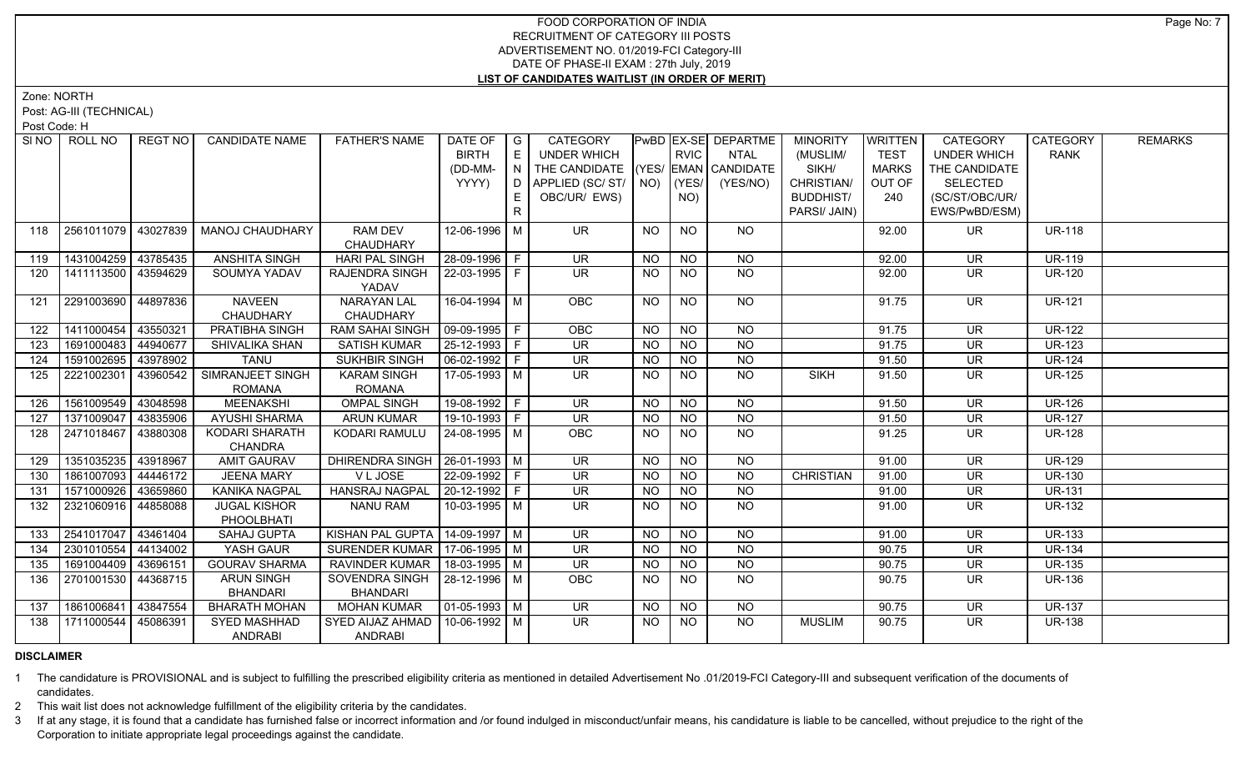Zone: NORTH

Post: AG-III (TECHNICAL)

Post Code: H

| SI NO I | ROLL NO             | REGT NO  | <b>CANDIDATE NAME</b>                | <b>FATHER'S NAME</b>            | DATE OF                | $\overline{\phantom{a}}$ G | CATEGORY                           |                |                 | PwBD EX-SE DEPARTME | <b>MINORITY</b>  | <b>WRITTEN</b> | CATEGORY                 | CATEGORY      | <b>REMARKS</b> |
|---------|---------------------|----------|--------------------------------------|---------------------------------|------------------------|----------------------------|------------------------------------|----------------|-----------------|---------------------|------------------|----------------|--------------------------|---------------|----------------|
|         |                     |          |                                      |                                 | <b>BIRTH</b>           | E                          | <b>UNDER WHICH</b>                 |                | RVIC            | <b>NTAL</b>         | (MUSLIM/         | <b>TEST</b>    | <b>UNDER WHICH</b>       | <b>RANK</b>   |                |
|         |                     |          |                                      |                                 | (DD-MM-                | N                          | THE CANDIDATE (YES/ EMAN CANDIDATE |                |                 |                     | SIKH/            | <b>MARKS</b>   | THE CANDIDATE            |               |                |
|         |                     |          |                                      |                                 | YYYY)                  | D                          | APPLIED (SC/ST/                    | NO)            | (YES/           | (YES/NO)            | CHRISTIAN/       | OUT OF         | <b>SELECTED</b>          |               |                |
|         |                     |          |                                      |                                 |                        | E.                         | OBC/UR/ EWS)                       |                | NO)             |                     | <b>BUDDHIST/</b> | 240            | (SC/ST/OBC/UR/           |               |                |
|         |                     |          |                                      |                                 |                        | R                          |                                    |                |                 |                     | PARSI/ JAIN)     |                | EWS/PwBD/ESM)            |               |                |
| 118     | 2561011079          | 43027839 | <b>MANOJ CHAUDHARY</b>               | <b>RAM DEV</b>                  | 12-06-1996 M           |                            | <b>UR</b>                          | <b>NO</b>      | <b>NO</b>       | <b>NO</b>           |                  | 92.00          | UR.                      | <b>UR-118</b> |                |
|         |                     |          |                                      | CHAUDHARY                       |                        |                            |                                    |                |                 |                     |                  |                |                          |               |                |
| 119     | 1431004259          | 43785435 | <b>ANSHITA SINGH</b>                 | <b>HARI PAL SINGH</b>           | 28-09-1996 F           |                            | <b>UR</b>                          | <b>NO</b>      | <b>NO</b>       | <b>NO</b>           |                  | 92.00          | <b>UR</b>                | <b>UR-119</b> |                |
| 120     | 1411113500 43594629 |          | SOUMYA YADAV                         | RAJENDRA SINGH                  | 22-03-1995 F           |                            | $\overline{\mathsf{UR}}$           | <b>NO</b>      | <b>NO</b>       | $\overline{NQ}$     |                  | 92.00          | <b>UR</b>                | <b>UR-120</b> |                |
|         |                     |          |                                      | YADAV                           |                        |                            |                                    |                |                 |                     |                  |                |                          |               |                |
| 121     | 2291003690          | 44897836 | <b>NAVEEN</b>                        | <b>NARAYAN LAL</b>              | 16-04-1994 M           |                            | <b>OBC</b>                         | NO.            | <b>NO</b>       | <b>NO</b>           |                  | 91.75          | <b>UR</b>                | <b>UR-121</b> |                |
|         |                     |          | CHAUDHARY                            | CHAUDHARY                       |                        |                            |                                    |                |                 |                     |                  |                |                          |               |                |
| 122     | 1411000454          | 43550321 | <b>PRATIBHA SINGH</b>                | <b>RAM SAHAI SINGH</b>          | 09-09-1995 F           |                            | OBC                                | N <sub>O</sub> | N <sub>O</sub>  | N <sub>O</sub>      |                  | 91.75          | $\overline{\mathsf{UR}}$ | <b>UR-122</b> |                |
| 123     | 1691000483          | 44940677 | SHIVALIKA SHAN                       | <b>SATISH KUMAR</b>             | 25-12-1993 F           |                            | $\overline{\mathsf{UR}}$           | <b>NO</b>      | N <sub>O</sub>  | N <sub>O</sub>      |                  | 91.75          | $\overline{\mathsf{UR}}$ | <b>UR-123</b> |                |
| 124     | 1591002695          | 43978902 | <b>TANU</b>                          | <b>SUKHBIR SINGH</b>            | 06-02-1992 F           |                            | <b>UR</b>                          | <b>NO</b>      | <b>NO</b>       | N <sub>O</sub>      |                  | 91.50          | <b>UR</b>                | <b>UR-124</b> |                |
| 125     | 2221002301          | 43960542 | <b>SIMRANJEET SINGH</b>              | <b>KARAM SINGH</b>              | $17-05-1993$ M         |                            | $\overline{\mathsf{UR}}$           | <b>NO</b>      | $\overline{NO}$ | <b>NO</b>           | <b>SIKH</b>      | 91.50          | $\overline{\mathsf{UR}}$ | <b>UR-125</b> |                |
|         |                     |          | <b>ROMANA</b>                        | <b>ROMANA</b>                   |                        |                            |                                    |                |                 |                     |                  |                |                          |               |                |
| 126     | 1561009549          | 43048598 | <b>MEENAKSHI</b>                     | <b>OMPAL SINGH</b>              | 19-08-1992 F           |                            | $\overline{\mathsf{UR}}$           | <b>NO</b>      | $N$ O           | N <sub>O</sub>      |                  | 91.50          | <b>UR</b>                | <b>UR-126</b> |                |
| 127     | 1371009047          | 43835906 | <b>AYUSHI SHARMA</b>                 | <b>ARUN KUMAR</b>               | $19-10-1993$ F         |                            | $\overline{\mathsf{UR}}$           | $N$ O          | N <sub>O</sub>  | N <sub>O</sub>      |                  | 91.50          | $\overline{\mathsf{UR}}$ | $UR-127$      |                |
| 128     | 2471018467          | 43880308 | <b>KODARI SHARATH</b>                | KODARI RAMULU                   | 24-08-1995 M           |                            | OBC                                | <b>NO</b>      | N <sub>O</sub>  | $N$ O               |                  | 91.25          | $\overline{\mathsf{UR}}$ | <b>UR-128</b> |                |
| 129     | 1351035235          | 43918967 | <b>CHANDRA</b><br><b>AMIT GAURAV</b> | DHIRENDRA SINGH                 | 26-01-1993 M           |                            | <b>UR</b>                          | NO.            | <b>NO</b>       | <b>NO</b>           |                  | 91.00          | <b>UR</b>                | <b>UR-129</b> |                |
| 130     | 1861007093          | 44446172 | <b>JEENA MARY</b>                    | V L JOSE                        | 22-09-1992 F           |                            | <b>UR</b>                          | <b>NO</b>      | NO              | <b>NO</b>           | <b>CHRISTIAN</b> | 91.00          | <b>UR</b>                | <b>UR-130</b> |                |
| 131     | 1571000926          | 43659860 | KANIKA NAGPAL                        | <b>HANSRAJ NAGPAL</b>           | $ 20 - 12 - 1992 $ F   |                            | <b>UR</b>                          | <b>NO</b>      | <b>NO</b>       | $N$ O               |                  | 91.00          | <b>UR</b>                | <b>UR-131</b> |                |
| 132     | 2321060916 44858088 |          | <b>JUGAL KISHOR</b>                  | <b>NANU RAM</b>                 | 10-03-1995   M         |                            | UR.                                | <b>NO</b>      | <b>NO</b>       | $N$ O               |                  | 91.00          | <b>UR</b>                | <b>UR-132</b> |                |
|         |                     |          | PHOOLBHATI                           |                                 |                        |                            |                                    |                |                 |                     |                  |                |                          |               |                |
| 133     | 2541017047          | 43461404 | <b>SAHAJ GUPTA</b>                   | KISHAN PAL GUPTA                | 14-09-1997 M           |                            | <b>UR</b>                          | <b>NO</b>      | <b>NO</b>       | <b>NO</b>           |                  | 91.00          | <b>UR</b>                | $UR-133$      |                |
| 134     | 2301010554          | 44134002 | YASH GAUR                            | SURENDER KUMAR   17-06-1995   M |                        |                            | UR.                                | <b>NO</b>      | <b>NO</b>       | <b>NO</b>           |                  | 90.75          | <b>UR</b>                | <b>UR-134</b> |                |
| 135     | 1691004409          | 43696151 | <b>GOURAV SHARMA</b>                 | <b>RAVINDER KUMAR</b>           | 18-03-1995 M           |                            | <b>UR</b>                          | <b>NO</b>      | <b>NO</b>       | $\overline{N}$      |                  | 90.75          | <b>UR</b>                | <b>UR-135</b> |                |
| 136     | 2701001530          | 44368715 | <b>ARUN SINGH</b>                    | SOVENDRA SINGH                  | 28-12-1996 M           |                            | OBC                                | <b>NO</b>      | <b>NO</b>       | $\overline{NQ}$     |                  | 90.75          | <b>UR</b>                | <b>UR-136</b> |                |
|         |                     |          | <b>BHANDARI</b>                      | <b>BHANDARI</b>                 |                        |                            |                                    |                |                 |                     |                  |                |                          |               |                |
| 137     | 1861006841          | 43847554 | <b>BHARATH MOHAN</b>                 | <b>MOHAN KUMAR</b>              | $\boxed{01-05-1993}$ M |                            | $\overline{\mathsf{UR}}$           | <b>NO</b>      | <b>NO</b>       | <b>NO</b>           |                  | 90.75          | <b>UR</b>                | <b>UR-137</b> |                |
| 138     | 1711000544          | 45086391 | <b>SYED MASHHAD</b>                  | SYED AIJAZ AHMAD                | 10-06-1992 M           |                            | UR.                                | NO.            | NO.             | <b>NO</b>           | <b>MUSLIM</b>    | 90.75          | UR.                      | <b>UR-138</b> |                |
|         |                     |          | <b>ANDRABI</b>                       | <b>ANDRABI</b>                  |                        |                            |                                    |                |                 |                     |                  |                |                          |               |                |

# **DISCLAIMER**

1 The candidature is PROVISIONAL and is subject to fulfilling the prescribed eligibility criteria as mentioned in detailed Advertisement No .01/2019-FCI Category-III and subsequent verification of the documents of candidates.

2 This wait list does not acknowledge fulfillment of the eligibility criteria by the candidates.

3 If at any stage, it is found that a candidate has furnished false or incorrect information and /or found indulged in misconduct/unfair means, his candidature is liable to be cancelled, without prejudice to the right of t Corporation to initiate appropriate legal proceedings against the candidate.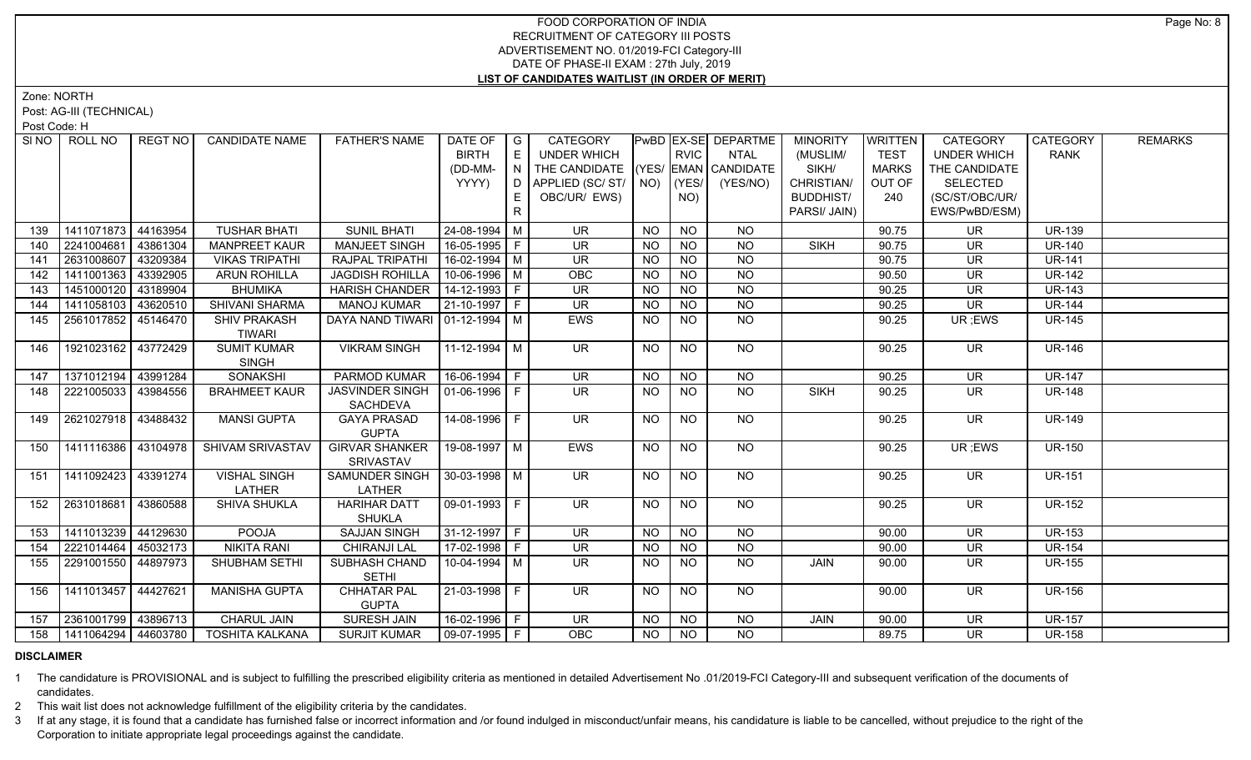Zone: NORTH

Post: AG-III (TECHNICAL)

Post Code: H

|     |            |                                                                                                                                                                                                                |                                                                          |                                      | <b>BIRTH</b>                    | E              | UNDER WHICH                                                                                                                                                                                                                                                                                                                                                                            |                                          |                 |                  |                             |              |                          |               |               |
|-----|------------|----------------------------------------------------------------------------------------------------------------------------------------------------------------------------------------------------------------|--------------------------------------------------------------------------|--------------------------------------|---------------------------------|----------------|----------------------------------------------------------------------------------------------------------------------------------------------------------------------------------------------------------------------------------------------------------------------------------------------------------------------------------------------------------------------------------------|------------------------------------------|-----------------|------------------|-----------------------------|--------------|--------------------------|---------------|---------------|
|     |            |                                                                                                                                                                                                                |                                                                          |                                      |                                 |                |                                                                                                                                                                                                                                                                                                                                                                                        |                                          | <b>RVIC</b>     | <b>NTAL</b>      | (MUSLIM/                    | <b>TEST</b>  | <b>UNDER WHICH</b>       | <b>RANK</b>   |               |
|     |            |                                                                                                                                                                                                                |                                                                          |                                      | (DD-MM-                         | N              | THE CANDIDATE (YES/ EMAN CANDIDATE                                                                                                                                                                                                                                                                                                                                                     |                                          |                 |                  | SIKH/                       | <b>MARKS</b> | THE CANDIDATE            |               |               |
|     |            |                                                                                                                                                                                                                |                                                                          |                                      | YYYY)                           | D              | APPLIED (SC/ ST/   NO)                                                                                                                                                                                                                                                                                                                                                                 |                                          | (YES/           | (YES/NO)         | CHRISTIAN/                  | OUT OF       | <b>SELECTED</b>          |               |               |
|     |            |                                                                                                                                                                                                                |                                                                          |                                      |                                 |                | OBC/UR/ EWS)                                                                                                                                                                                                                                                                                                                                                                           |                                          | NO)             |                  | <b>BUDDHIST/</b>            | 240          | (SC/ST/OBC/UR/           |               |               |
|     |            |                                                                                                                                                                                                                |                                                                          |                                      |                                 | R.             |                                                                                                                                                                                                                                                                                                                                                                                        |                                          |                 |                  | PARSI/ JAIN)                |              | EWS/PwBD/ESM)            |               |               |
| 139 | 1411071873 | 44163954                                                                                                                                                                                                       | <b>TUSHAR BHATI</b>                                                      | <b>SUNIL BHATI</b>                   |                                 |                | <b>UR</b>                                                                                                                                                                                                                                                                                                                                                                              | <b>NO</b>                                | <b>NO</b>       | <b>NO</b>        |                             | 90.75        | <b>UR</b>                | <b>UR-139</b> |               |
| 140 |            | 43861304                                                                                                                                                                                                       | <b>MANPREET KAUR</b>                                                     | <b>MANJEET SINGH</b>                 |                                 |                | <b>UR</b>                                                                                                                                                                                                                                                                                                                                                                              | <b>NO</b>                                |                 |                  | <b>SIKH</b>                 | 90.75        | <b>UR</b>                | <b>UR-140</b> |               |
| 141 |            | 43209384                                                                                                                                                                                                       | <b>VIKAS TRIPATHI</b>                                                    | <b>RAJPAL TRIPATHI</b>               |                                 |                | $\overline{\mathsf{UR}}$                                                                                                                                                                                                                                                                                                                                                               | <b>NO</b>                                | NO              | $N$ O            |                             | 90.75        | <b>UR</b>                | <b>UR-141</b> |               |
| 142 |            | 43392905                                                                                                                                                                                                       | <b>ARUN ROHILLA</b>                                                      | <b>JAGDISH ROHILLA</b>               |                                 |                | OBC                                                                                                                                                                                                                                                                                                                                                                                    | <b>NO</b>                                | <b>NO</b>       | <b>NO</b>        |                             | 90.50        | UR                       | <b>UR-142</b> |               |
| 143 |            | 43189904                                                                                                                                                                                                       | <b>BHUMIKA</b>                                                           | <b>HARISH CHANDER</b>                |                                 |                | <b>UR</b>                                                                                                                                                                                                                                                                                                                                                                              | <b>NO</b>                                | N <sub>O</sub>  | N <sub>O</sub>   |                             | 90.25        | <b>UR</b>                | <b>UR-143</b> |               |
| 144 | 1411058103 | 43620510                                                                                                                                                                                                       | <b>SHIVANI SHARMA</b>                                                    | <b>MANOJ KUMAR</b>                   |                                 |                | <b>UR</b>                                                                                                                                                                                                                                                                                                                                                                              | <b>NO</b>                                | <b>NO</b>       | NO               |                             | 90.25        | <b>UR</b>                | <b>UR-144</b> |               |
| 145 |            | 45146470                                                                                                                                                                                                       | <b>SHIV PRAKASH</b>                                                      |                                      |                                 |                | EWS                                                                                                                                                                                                                                                                                                                                                                                    | <b>NO</b>                                | NO              | <b>NO</b>        |                             | 90.25        | UR; EWS                  | <b>UR-145</b> |               |
|     |            |                                                                                                                                                                                                                | <b>TIWARI</b>                                                            |                                      |                                 |                |                                                                                                                                                                                                                                                                                                                                                                                        |                                          |                 |                  |                             |              |                          |               |               |
| 146 |            |                                                                                                                                                                                                                | <b>SINGH</b>                                                             |                                      |                                 |                | <b>UR</b>                                                                                                                                                                                                                                                                                                                                                                              | <b>NO</b>                                |                 |                  |                             | 90.25        | <b>UR</b>                |               |               |
| 147 |            | 43991284                                                                                                                                                                                                       | <b>SONAKSHI</b>                                                          | PARMOD KUMAR                         |                                 |                | <b>UR</b>                                                                                                                                                                                                                                                                                                                                                                              | <b>NO</b>                                | <b>NO</b>       | NO.              |                             | 90.25        | UR                       | <b>UR-147</b> |               |
| 148 |            | 43984556                                                                                                                                                                                                       | <b>BRAHMEET KAUR</b>                                                     | <b>JASVINDER SINGH</b>               |                                 |                | <b>UR</b>                                                                                                                                                                                                                                                                                                                                                                              | <b>NO</b>                                | $\overline{NQ}$ | $\overline{NO}$  | <b>SIKH</b>                 | 90.25        | <b>UR</b>                | <b>UR-148</b> |               |
| 149 |            |                                                                                                                                                                                                                | <b>MANSI GUPTA</b>                                                       | <b>GAYA PRASAD</b><br><b>GUPTA</b>   |                                 |                | $\overline{\mathsf{UR}}$                                                                                                                                                                                                                                                                                                                                                               | <b>NO</b>                                | <b>NO</b>       | <b>NO</b>        |                             | 90.25        | <b>UR</b>                | <b>UR-149</b> |               |
| 150 |            | 43104978                                                                                                                                                                                                       | SHIVAM SRIVASTAV                                                         | <b>GIRVAR SHANKER</b><br>SRIVASTAV   |                                 |                | EWS                                                                                                                                                                                                                                                                                                                                                                                    | <b>NO</b>                                | <b>NO</b>       | NO               |                             | 90.25        | UR; EWS                  | <b>UR-150</b> |               |
| 151 |            | 43391274                                                                                                                                                                                                       | <b>VISHAL SINGH</b><br>LATHER                                            | LATHER                               |                                 |                | <b>UR</b>                                                                                                                                                                                                                                                                                                                                                                              | <b>NO</b>                                | <b>NO</b>       | NO               |                             | 90.25        | <b>UR</b>                | <b>UR-151</b> |               |
| 152 |            | 43860588                                                                                                                                                                                                       | SHIVA SHUKLA                                                             | <b>HARIHAR DATT</b><br><b>SHUKLA</b> |                                 |                | <b>UR</b>                                                                                                                                                                                                                                                                                                                                                                              | <b>NO</b>                                | <b>NO</b>       | NO               |                             | 90.25        | <b>UR</b>                | <b>UR-152</b> |               |
| 153 |            | 44129630                                                                                                                                                                                                       | <b>POOJA</b>                                                             | <b>SAJJAN SINGH</b>                  |                                 |                | $\overline{\mathsf{UR}}$                                                                                                                                                                                                                                                                                                                                                               | $\overline{NO}$                          | $\overline{NQ}$ | $N$ <sup>O</sup> |                             | 90.00        | $\overline{\mathsf{UR}}$ | <b>UR-153</b> |               |
| 154 |            | 45032173                                                                                                                                                                                                       | <b>NIKITA RANI</b>                                                       | <b>CHIRANJI LAL</b>                  |                                 |                | <b>UR</b>                                                                                                                                                                                                                                                                                                                                                                              | <b>NO</b>                                | $\overline{N}$  | $\overline{NO}$  |                             | 90.00        | $\overline{\mathsf{UR}}$ | <b>UR-154</b> |               |
| 155 |            | 44897973                                                                                                                                                                                                       | SHUBHAM SETHI                                                            | SUBHASH CHAND                        |                                 |                | UR.                                                                                                                                                                                                                                                                                                                                                                                    | NO.                                      | NO.             | NO               | JAIN                        | 90.00        | UR.                      | <b>UR-155</b> |               |
|     |            |                                                                                                                                                                                                                |                                                                          | <b>SETHI</b>                         |                                 |                |                                                                                                                                                                                                                                                                                                                                                                                        |                                          |                 |                  |                             |              |                          |               |               |
| 156 |            | 44427621                                                                                                                                                                                                       | <b>MANISHA GUPTA</b>                                                     | <b>CHHATAR PAL</b><br><b>GUPTA</b>   |                                 |                | <b>UR</b>                                                                                                                                                                                                                                                                                                                                                                              | <b>NO</b>                                | <b>NO</b>       | NO               |                             | 90.00        | <b>UR</b>                | <b>UR-156</b> |               |
| 157 |            | 43896713                                                                                                                                                                                                       | <b>CHARUL JAIN</b>                                                       | SURESH JAIN                          |                                 |                | <b>UR</b>                                                                                                                                                                                                                                                                                                                                                                              | <b>NO</b>                                | <b>NO</b>       | NO.              | <b>JAIN</b>                 | 90.00        | <b>UR</b>                | <b>UR-157</b> |               |
| 158 |            |                                                                                                                                                                                                                | <b>TOSHITA KALKANA</b>                                                   | <b>SURJIT KUMAR</b>                  |                                 |                | <b>OBC</b>                                                                                                                                                                                                                                                                                                                                                                             | $N$ <sup><math>\overline{O}</math></sup> | $N$ O           | NO.              |                             | 89.75        | <b>UR</b>                | <b>UR-158</b> |               |
|     |            | 2241004681<br>2631008607<br>1411001363<br>1451000120<br>2561017852<br>1921023162<br>1371012194<br>2221005033<br>1411092423<br>2631018681<br>1411013239<br>2221014464<br>2291001550<br>1411013457<br>2361001799 | 43772429<br>2621027918 43488432<br>  1411116386  <br>1411064294 44603780 | <b>SUMIT KUMAR</b>                   | <b>VIKRAM SINGH</b><br>SACHDEVA | SAMUNDER SINGH | 24-08-1994 M<br>16-05-1995   F<br>16-02-1994 M<br>10-06-1996 M<br>$14 - 12 - 1993$ F<br>21-10-1997 F<br>DAYA NAND TIWARI   01-12-1994   M<br>$11 - 12 - 1994$ M<br>16-06-1994 F<br>$ 01-06-1996 F$<br>14-08-1996 F<br>19-08-1997   M<br>$30 - 03 - 1998$ M<br>  09-01-1993   F<br>31-12-1997 F<br>$17-02-1998$ F<br>10-04-1994   M<br>21-03-1998 F<br>16-02-1996 F<br>  09-07-1995   F |                                          |                 | NO<br><b>NO</b>  | N <sub>O</sub><br><b>NO</b> |              |                          |               | <b>UR-146</b> |

## **DISCLAIMER**

1 The candidature is PROVISIONAL and is subject to fulfilling the prescribed eligibility criteria as mentioned in detailed Advertisement No .01/2019-FCI Category-III and subsequent verification of the documents of candidates.

2 This wait list does not acknowledge fulfillment of the eligibility criteria by the candidates.

3 If at any stage, it is found that a candidate has furnished false or incorrect information and /or found indulged in misconduct/unfair means, his candidature is liable to be cancelled, without prejudice to the right of t Corporation to initiate appropriate legal proceedings against the candidate.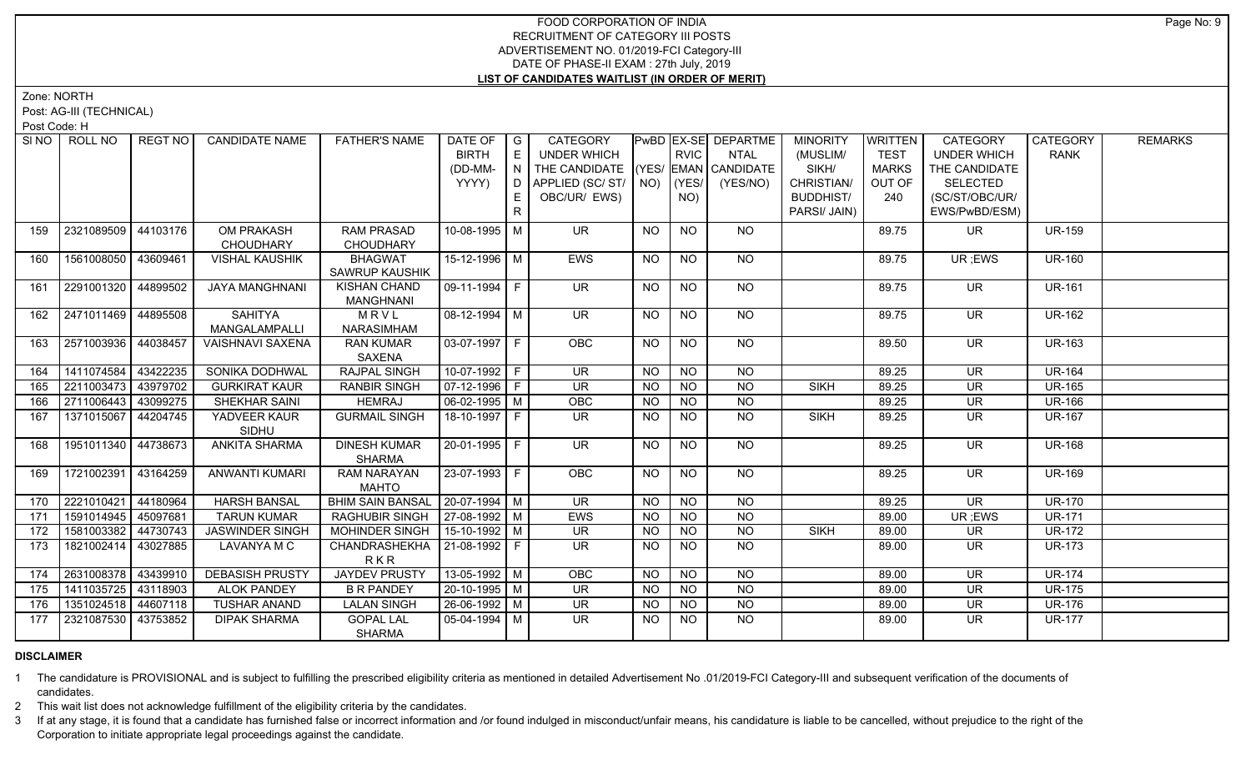Zone: NORTH

Post: AG-III (TECHNICAL)

Post Code: H

| SI NO | ROLL NO             | REGT NO  | <b>CANDIDATE NAME</b>   | <b>FATHER'S NAME</b>              | DATE OF            | $\overline{\phantom{a}}$ G | CATEGORY                           |                |                | PwBD EX-SE DEPARTME | <b>MINORITY</b>  | <b>WRITTEN</b> | CATEGORY           | <b>CATEGORY</b> | <b>REMARKS</b> |
|-------|---------------------|----------|-------------------------|-----------------------------------|--------------------|----------------------------|------------------------------------|----------------|----------------|---------------------|------------------|----------------|--------------------|-----------------|----------------|
|       |                     |          |                         |                                   | <b>BIRTH</b>       | E                          | <b>UNDER WHICH</b>                 |                | <b>RVIC</b>    | <b>NTAL</b>         | (MUSLIM/         | <b>TEST</b>    | <b>UNDER WHICH</b> | <b>RANK</b>     |                |
|       |                     |          |                         |                                   | (DD-MM-            | N                          | THE CANDIDATE (YES/ EMAN CANDIDATE |                |                |                     | SIKH/            | <b>MARKS</b>   | THE CANDIDATE      |                 |                |
|       |                     |          |                         |                                   | YYYY)              | D                          | APPLIED (SC/ST/                    | NO)            | YES/           | (YES/NO)            | CHRISTIAN/       | OUT OF         | <b>SELECTED</b>    |                 |                |
|       |                     |          |                         |                                   |                    | E                          | OBC/UR/ EWS)                       |                | NO)            |                     | <b>BUDDHIST/</b> | 240            | (SC/ST/OBC/UR/     |                 |                |
|       |                     |          |                         |                                   |                    | R                          |                                    |                |                |                     | PARSI/ JAIN)     |                | EWS/PwBD/ESM)      |                 |                |
| 159   | 2321089509          | 44103176 | OM PRAKASH              | <b>RAM PRASAD</b>                 | 10-08-1995 M       |                            | <b>UR</b>                          | <b>NO</b>      | <b>NO</b>      | <b>NO</b>           |                  | 89.75          | UR.                | <b>UR-159</b>   |                |
|       |                     |          | CHOUDHARY               | <b>CHOUDHARY</b>                  |                    |                            |                                    |                |                |                     |                  |                |                    |                 |                |
| 160   | 1561008050 43609461 |          | <b>VISHAL KAUSHIK</b>   | <b>BHAGWAT</b>                    | 15-12-1996 M       |                            | <b>EWS</b>                         | <b>NO</b>      | <b>NO</b>      | NO                  |                  | 89.75          | UR; EWS            | <b>UR-160</b>   |                |
|       |                     |          |                         | SAWRUP KAUSHIK                    |                    |                            |                                    |                |                |                     |                  |                |                    |                 |                |
| 161   | 2291001320          | 44899502 | <b>JAYA MANGHNANI</b>   | <b>KISHAN CHAND</b>               | $09-11-1994$ F     |                            | $\overline{\mathsf{UR}}$           | NO             | <b>NO</b>      | NO                  |                  | 89.75          | UR.                | <b>UR-161</b>   |                |
|       |                     |          |                         | <b>MANGHNANI</b>                  |                    |                            |                                    |                |                |                     |                  |                |                    |                 |                |
| 162   | 2471011469 44895508 |          | <b>SAHITYA</b>          | MRVL                              | $08-12-1994$ M     |                            | $\overline{\mathsf{UR}}$           | <b>NO</b>      | <b>NO</b>      | $N$ <sup>O</sup>    |                  | 89.75          | UR.                | <b>UR-162</b>   |                |
|       |                     |          | MANGALAMPALLI           | NARASIMHAM                        |                    |                            |                                    |                |                |                     |                  |                |                    |                 |                |
| 163   | 2571003936 44038457 |          | <b>VAISHNAVI SAXENA</b> | <b>RAN KUMAR</b>                  | $03-07-1997$ F     |                            | <b>OBC</b>                         | NO             | <b>NO</b>      | $N$ O               |                  | 89.50          | <b>UR</b>          | <b>UR-163</b>   |                |
|       |                     |          |                         | SAXENA                            |                    |                            |                                    |                |                |                     |                  |                |                    |                 |                |
| 164   | 1411074584          | 43422235 | SONIKA DODHWAL          | <b>RAJPAL SINGH</b>               | 10-07-1992 F       |                            | $\overline{\mathsf{UR}}$           | <b>NO</b>      | NO             | $N$ O               |                  | 89.25          | <b>UR</b>          | <b>UR-164</b>   |                |
| 165   | 2211003473          | 43979702 | <b>GURKIRAT KAUR</b>    | <b>RANBIR SINGH</b>               | $07-12-1996$ F     |                            | UR                                 | <b>NO</b>      | <b>NO</b>      | $N$ O               | <b>SIKH</b>      | 89.25          | <b>UR</b>          | <b>UR-165</b>   |                |
| 166   | 2711006443          | 43099275 | <b>SHEKHAR SAINI</b>    | <b>HEMRAJ</b>                     | $06 - 02 - 1995$ M |                            | OBC                                | $N$ O          | $N$ O          | $N$ O               |                  | 89.25          | UR                 | <b>UR-166</b>   |                |
| 167   | 1371015067          | 44204745 | YADVEER KAUR            | <b>GURMAIL SINGH</b>              | 18-10-1997 F       |                            | UR.                                | <b>NO</b>      | <b>NO</b>      | <b>NO</b>           | <b>SIKH</b>      | 89.25          | <b>UR</b>          | <b>UR-167</b>   |                |
|       |                     |          | SIDHU                   |                                   |                    |                            |                                    |                |                |                     |                  |                |                    |                 |                |
| 168   | 1951011340 44738673 |          | ANKITA SHARMA           | <b>DINESH KUMAR</b>               | 20-01-1995 F       |                            | UR.                                | NO             | <b>NO</b>      | NO                  |                  | 89.25          | <b>UR</b>          | <b>UR-168</b>   |                |
|       |                     |          |                         | <b>SHARMA</b>                     |                    |                            |                                    |                |                |                     |                  |                |                    |                 |                |
| 169   | 1721002391          | 43164259 | ANWANTI KUMARI          | <b>RAM NARAYAN</b>                | 23-07-1993 F       |                            | OBC                                | <b>NO</b>      | <b>NO</b>      | <b>NO</b>           |                  | 89.25          | <b>UR</b>          | <b>UR-169</b>   |                |
|       |                     |          |                         | <b>MAHTO</b>                      |                    |                            |                                    |                |                |                     |                  |                |                    |                 |                |
| 170   | 2221010421          | 44180964 | <b>HARSH BANSAL</b>     | BHIM SAIN BANSAL   20-07-1994   M |                    |                            | <b>UR</b>                          | NO             | <b>NO</b>      | <b>NO</b>           |                  | 89.25          | <b>UR</b>          | <b>UR-170</b>   |                |
| 171   | 1591014945          | 45097681 | <b>TARUN KUMAR</b>      | <b>RAGHUBIR SINGH</b>             | 27-08-1992 M       |                            | EWS                                | <b>NO</b>      | <b>NO</b>      | $\overline{NO}$     |                  | 89.00          | UR ;EWS            | <b>UR-171</b>   |                |
| 172   | 1581003382          | 44730743 | <b>JASWINDER SINGH</b>  | <b>MOHINDER SINGH</b>             | 15-10-1992 M       |                            | $\overline{\mathsf{UR}}$           | N <sub>O</sub> | N <sub>O</sub> | $N$ O               | <b>SIKH</b>      | 89.00          | <b>UR</b>          | <b>UR-172</b>   |                |
| 173   | 1821002414          | 43027885 | LAVANYA M C             | CHANDRASHEKHA   21-08-1992   F    |                    |                            | <b>UR</b>                          | NO.            | <b>NO</b>      | N <sub>O</sub>      |                  | 89.00          | <b>UR</b>          | <b>UR-173</b>   |                |
|       |                     |          |                         | RKR                               |                    |                            |                                    |                |                |                     |                  |                |                    |                 |                |
| 174   | 2631008378          | 43439910 | <b>DEBASISH PRUSTY</b>  | <b>JAYDEV PRUSTY</b>              | 13-05-1992 M       |                            | OBC                                | NO.            | <b>NO</b>      | <b>NO</b>           |                  | 89.00          | <b>UR</b>          | <b>UR-174</b>   |                |
| 175   | 1411035725 43118903 |          | <b>ALOK PANDEY</b>      | <b>B R PANDEY</b>                 | 20-10-1995 M       |                            | $\overline{\mathsf{UR}}$           | <b>NO</b>      | N <sub>O</sub> | $N$ O               |                  | 89.00          | <b>UR</b>          | <b>UR-175</b>   |                |
| 176   | 1351024518 44607118 |          | <b>TUSHAR ANAND</b>     | <b>LALAN SINGH</b>                | 26-06-1992 M       |                            | <b>UR</b>                          | <b>NO</b>      | <b>NO</b>      | $N$ O               |                  | 89.00          | UR                 | <b>UR-176</b>   |                |
| 177   | 2321087530 43753852 |          | <b>DIPAK SHARMA</b>     | <b>GOPAL LAL</b>                  | $05-04-1994$ M     |                            | $\overline{\mathsf{UR}}$           | <b>NO</b>      | NO.            | N <sub>O</sub>      |                  | 89.00          | <b>UR</b>          | <b>UR-177</b>   |                |
|       |                     |          |                         | <b>SHARMA</b>                     |                    |                            |                                    |                |                |                     |                  |                |                    |                 |                |

## **DISCLAIMER**

1 The candidature is PROVISIONAL and is subject to fulfilling the prescribed eligibility criteria as mentioned in detailed Advertisement No .01/2019-FCI Category-III and subsequent verification of the documents of candidates.

2 This wait list does not acknowledge fulfillment of the eligibility criteria by the candidates.

3 If at any stage, it is found that a candidate has furnished false or incorrect information and /or found indulged in misconduct/unfair means, his candidature is liable to be cancelled, without prejudice to the right of t Corporation to initiate appropriate legal proceedings against the candidate.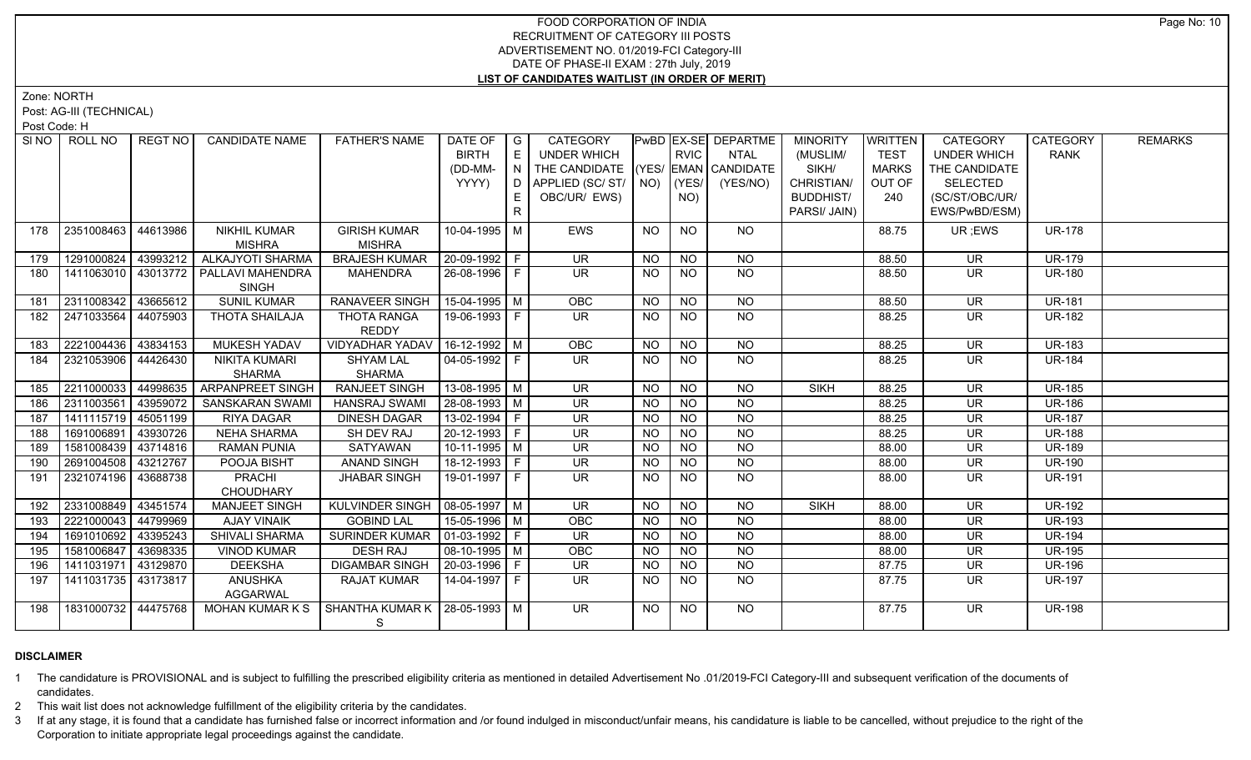Zone: NORTH

Post: AG-III (TECHNICAL)

Post Code: H

|     | SINO   ROLL NO      | REGT NO I | <b>CANDIDATE NAME</b>                    | <b>FATHER'S NAME</b>             | DATE OF                | $\overline{\phantom{a}}$ G | CATEGORY                           |           |                | PwBD EX-SE DEPARTME | <b>MINORITY</b>  | <b>WRITTEN</b> | <b>CATEGORY</b>          | CATEGORY            | <b>REMARKS</b> |
|-----|---------------------|-----------|------------------------------------------|----------------------------------|------------------------|----------------------------|------------------------------------|-----------|----------------|---------------------|------------------|----------------|--------------------------|---------------------|----------------|
|     |                     |           |                                          |                                  | <b>BIRTH</b>           | E                          | <b>UNDER WHICH</b>                 |           | <b>RVIC</b>    | <b>NTAL</b>         | (MUSLIM/         | <b>TEST</b>    | <b>UNDER WHICH</b>       | <b>RANK</b>         |                |
|     |                     |           |                                          |                                  | (DD-MM-                | N                          | THE CANDIDATE (YES/ EMAN CANDIDATE |           |                |                     | SIKH/            | <b>MARKS</b>   | THE CANDIDATE            |                     |                |
|     |                     |           |                                          |                                  | YYYY)                  | D                          | APPLIED (SC/ST/                    |           | $NO)$ (YES/    | (YES/NO)            | CHRISTIAN/       | OUT OF         | <b>SELECTED</b>          |                     |                |
|     |                     |           |                                          |                                  |                        | E                          | OBC/UR/ EWS)                       |           | NO)            |                     | <b>BUDDHIST/</b> | 240            | (SC/ST/OBC/UR/           |                     |                |
|     |                     |           |                                          |                                  |                        | $\mathsf{R}$               |                                    |           |                |                     | PARSI/ JAIN)     |                | EWS/PwBD/ESM)            |                     |                |
| 178 | 2351008463          | 44613986  | <b>NIKHIL KUMAR</b>                      | <b>GIRISH KUMAR</b>              | 10-04-1995   M         |                            | <b>EWS</b>                         | NO        | <b>NO</b>      | NO                  |                  | 88.75          | UR; EWS                  | <b>UR-178</b>       |                |
|     |                     |           | <b>MISHRA</b>                            | <b>MISHRA</b>                    |                        |                            |                                    |           |                |                     |                  |                |                          |                     |                |
| 179 | 1291000824          | 43993212  | <b>ALKAJYOTI SHARMA</b>                  | <b>BRAJESH KUMAR</b>             | 20-09-1992 F           |                            | <b>UR</b>                          | <b>NO</b> | <b>NO</b>      | <b>NO</b>           |                  | 88.50          | <b>UR</b>                | <b>UR-179</b>       |                |
| 180 |                     |           | 1411063010   43013772   PALLAVI MAHENDRA | <b>MAHENDRA</b>                  | 26-08-1996 F           |                            | <b>UR</b>                          | NO.       | <b>NO</b>      | <b>NO</b>           |                  | 88.50          | <b>UR</b>                | <b>UR-180</b>       |                |
|     |                     |           | <b>SINGH</b>                             |                                  |                        |                            |                                    |           |                |                     |                  |                |                          |                     |                |
| 181 | 2311008342          | 43665612  | <b>SUNIL KUMAR</b>                       | <b>RANAVEER SINGH</b>            | $15-04-1995$ M         |                            | OBC                                | <b>NO</b> | <b>NO</b>      | NO                  |                  | 88.50          | <b>UR</b>                | <b>UR-181</b>       |                |
| 182 | 2471033564          | 44075903  | THOTA SHAILAJA                           | THOTA RANGA                      | 19-06-1993 F           |                            | $\overline{\mathsf{UR}}$           | <b>NO</b> | NO.            | NO                  |                  | 88.25          | <b>UR</b>                | <b>UR-182</b>       |                |
|     |                     |           |                                          | <b>REDDY</b>                     |                        |                            |                                    |           |                |                     |                  |                |                          |                     |                |
| 183 | 2221004436 43834153 |           | <b>MUKESH YADAV</b>                      | <b>VIDYADHAR YADAV</b>           | $16-12-1992$ M         |                            | OBC                                | <b>NO</b> | N <sub>O</sub> | N <sub>O</sub>      |                  | 88.25          | $\overline{\mathsf{UR}}$ | <b>UR-183</b>       |                |
| 184 | 2321053906 44426430 |           | <b>NIKITA KUMARI</b>                     | <b>SHYAM LAL</b>                 | $04-05-1992$ F         |                            | $\overline{\mathsf{UR}}$           | <b>NO</b> | N <sub>O</sub> | N <sub>O</sub>      |                  | 88.25          | <b>UR</b>                | <b>UR-184</b>       |                |
|     |                     |           | <b>SHARMA</b>                            | <b>SHARMA</b>                    |                        |                            |                                    |           |                |                     |                  |                |                          |                     |                |
| 185 | 2211000033          | 44998635  | <b>ARPANPREET SINGH</b>                  | <b>RANJEET SINGH</b>             | 13-08-1995 M           |                            | <b>UR</b>                          | <b>NO</b> | $N$ O          | $N$ O               | <b>SIKH</b>      | 88.25          | <b>UR</b>                | <b>UR-185</b>       |                |
| 186 | 2311003561          | 43959072  | <b>SANSKARAN SWAMI</b>                   | <b>HANSRAJ SWAMI</b>             | 28-08-1993 M           |                            | $\overline{\mathsf{UR}}$           | <b>NO</b> | N <sub>O</sub> | $N$ O               |                  | 88.25          | $\overline{\mathsf{UR}}$ | <b>UR-186</b>       |                |
| 187 | 1411115719 45051199 |           | RIYA DAGAR                               | <b>DINESH DAGAR</b>              | $13-02-1994$ F         |                            | <b>UR</b>                          | <b>NO</b> | N <sub>O</sub> | $N$ O               |                  | 88.25          | <b>UR</b>                | <b>UR-187</b>       |                |
| 188 | 1691006891          | 43930726  | <b>NEHA SHARMA</b>                       | <b>SH DEV RAJ</b>                | 20-12-1993 F           |                            | <b>UR</b>                          | <b>NO</b> | N <sub>O</sub> | N <sub>O</sub>      |                  | 88.25          | $\overline{\mathsf{UR}}$ | $\overline{UR-188}$ |                |
| 189 | 1581008439          | 43714816  | <b>RAMAN PUNIA</b>                       | SATYAWAN                         | $10-11-1995$ M         |                            | <b>UR</b>                          | <b>NO</b> | N <sub>O</sub> | N <sub>O</sub>      |                  | 88.00          | <b>UR</b>                | <b>UR-189</b>       |                |
| 190 | 2691004508 43212767 |           | POOJA BISHT                              | <b>ANAND SINGH</b>               | 18-12-1993 F           |                            | <b>UR</b>                          | <b>NO</b> | N <sub>O</sub> | $N$ O               |                  | 88.00          | <b>UR</b>                | <b>UR-190</b>       |                |
| 191 | 2321074196 43688738 |           | PRACHI<br>CHOUDHARY                      | <b>JHABAR SINGH</b>              | 19-01-1997 F           |                            | <b>UR</b>                          | NO.       | <b>NO</b>      | $N$ O               |                  | 88.00          | UR                       | <b>UR-191</b>       |                |
| 192 | 2331008849          | 43451574  | <b>MANJEET SINGH</b>                     | KULVINDER SINGH                  | $08-05-1997$ M         |                            | <b>UR</b>                          | NO.       | <b>NO</b>      | <b>NO</b>           | <b>SIKH</b>      | 88.00          | <b>UR</b>                | <b>UR-192</b>       |                |
| 193 | 2221000043          | 44799969  | AJAY VINAIK                              | <b>GOBIND LAL</b>                | 15-05-1996 M           |                            | OBC                                | <b>NO</b> | N <sub>O</sub> | $N$ O               |                  | 88.00          | <b>UR</b>                | <b>UR-193</b>       |                |
| 194 | 1691010692          | 43395243  | SHIVALI SHARMA                           | <b>SURINDER KUMAR</b>            | $\boxed{01-03-1992}$ F |                            | <b>UR</b>                          | <b>NO</b> | <b>NO</b>      | N <sub>O</sub>      |                  | 88.00          | <b>UR</b>                | <b>UR-194</b>       |                |
| 195 | 1581006847          | 43698335  | <b>VINOD KUMAR</b>                       | <b>DESH RAJ</b>                  | $08-10-1995$ M         |                            | OBC                                | <b>NO</b> | <b>NO</b>      | NO                  |                  | 88.00          | <b>UR</b>                | <b>UR-195</b>       |                |
| 196 | 1411031971          | 43129870  | <b>DEEKSHA</b>                           | <b>DIGAMBAR SINGH</b>            | 20-03-1996   F         |                            | <b>UR</b>                          | <b>NO</b> | <b>NO</b>      | NO                  |                  | 87.75          | <b>UR</b>                | <b>UR-196</b>       |                |
| 197 | 1411031735 43173817 |           | <b>ANUSHKA</b><br><b>AGGARWAL</b>        | RAJAT KUMAR                      | 14-04-1997 F           |                            | $\overline{\mathsf{UR}}$           | NO        | N <sub>O</sub> | NO                  |                  | 87.75          | <b>UR</b>                | <b>UR-197</b>       |                |
| 198 | 1831000732 44475768 |           | MOHAN KUMAR K S                          | SHANTHA KUMAR K   28-05-1993   M |                        |                            | UR.                                | NO.       | NO.            | NO.                 |                  | 87.75          | <b>UR</b>                | <b>UR-198</b>       |                |
|     |                     |           |                                          | S.                               |                        |                            |                                    |           |                |                     |                  |                |                          |                     |                |

## **DISCLAIMER**

1 The candidature is PROVISIONAL and is subject to fulfilling the prescribed eligibility criteria as mentioned in detailed Advertisement No .01/2019-FCI Category-III and subsequent verification of the documents of candidates.

2 This wait list does not acknowledge fulfillment of the eligibility criteria by the candidates.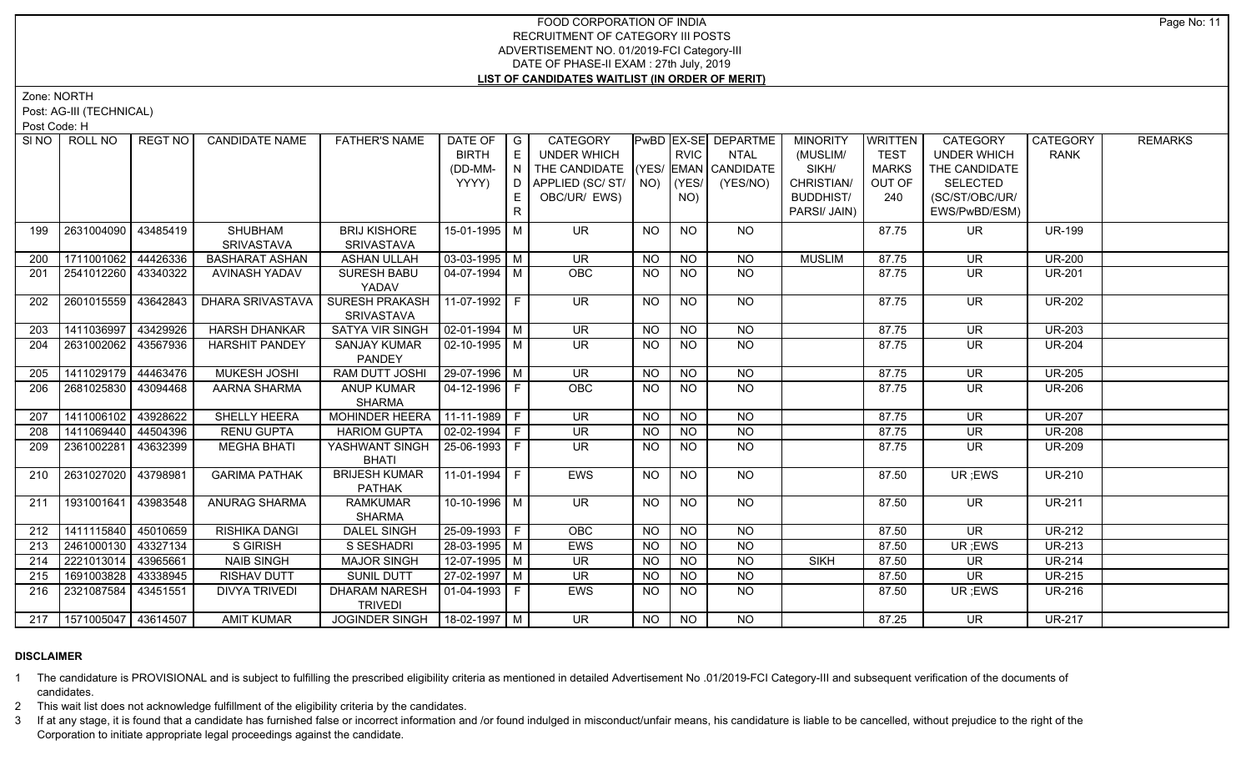Zone: NORTH

Post: AG-III (TECHNICAL)

Post Code: H

| SI NO I | ROLL NO                     | REGT NO  | <b>CANDIDATE NAME</b>        | <b>FATHER'S NAME</b>                     | DATE OF<br><b>BIRTH</b><br>(DD-MM-<br>YYYY) | $\overline{\phantom{a}}$ G<br>E<br>N<br>D<br>E.<br>$\mathsf{R}$ | CATEGORY<br><b>UNDER WHICH</b><br>THE CANDIDATE (YES/ EMAN CANDIDATE<br>APPLIED (SC/ST/<br>OBC/UR/ EWS) |           | <b>RVIC</b><br>$NO)$ (YES/<br>NO) | PwBD EX-SE DEPARTME<br><b>NTAL</b><br>(YES/NO) | <b>MINORITY</b><br>(MUSLIM/<br>SIKH/<br>CHRISTIAN/<br><b>BUDDHIST/</b><br>PARSI/ JAIN) | <b>WRITTEN</b><br><b>TEST</b><br><b>MARKS</b><br>OUT OF<br>240 | <b>CATEGORY</b><br><b>UNDER WHICH</b><br>THE CANDIDATE<br><b>SELECTED</b><br>(SC/ST/OBC/UR/<br>EWS/PwBD/ESM) | CATEGORY<br><b>RANK</b> | <b>REMARKS</b> |
|---------|-----------------------------|----------|------------------------------|------------------------------------------|---------------------------------------------|-----------------------------------------------------------------|---------------------------------------------------------------------------------------------------------|-----------|-----------------------------------|------------------------------------------------|----------------------------------------------------------------------------------------|----------------------------------------------------------------|--------------------------------------------------------------------------------------------------------------|-------------------------|----------------|
| 199     | 2631004090                  | 43485419 | SHUBHAM<br><b>SRIVASTAVA</b> | <b>BRIJ KISHORE</b><br><b>SRIVASTAVA</b> | 15-01-1995 M                                |                                                                 | UR.                                                                                                     | NO        | <b>NO</b>                         | NO.                                            |                                                                                        | 87.75                                                          | UR.                                                                                                          | <b>UR-199</b>           |                |
| 200     | 1711001062                  | 44426336 | <b>BASHARAT ASHAN</b>        | <b>ASHAN ULLAH</b>                       | $03-03-1995$ M                              |                                                                 | <b>UR</b>                                                                                               | <b>NO</b> | <b>NO</b>                         | <b>NO</b>                                      | <b>MUSLIM</b>                                                                          | 87.75                                                          | <b>UR</b>                                                                                                    | <b>UR-200</b>           |                |
| 201     | 2541012260 43340322         |          | AVINASH YADAV                | <b>SURESH BABU</b><br>YADAV              | $04 - 07 - 1994$ M                          |                                                                 | OBC                                                                                                     | NO.       | <b>NO</b>                         | <b>NO</b>                                      |                                                                                        | 87.75                                                          | <b>UR</b>                                                                                                    | <b>UR-201</b>           |                |
| 202     | 2601015559                  | 43642843 | DHARA SRIVASTAVA             | SURESH PRAKASH<br><b>SRIVASTAVA</b>      | 11-07-1992 F                                |                                                                 | <b>UR</b>                                                                                               | <b>NO</b> | <b>NO</b>                         | <b>NO</b>                                      |                                                                                        | 87.75                                                          | <b>UR</b>                                                                                                    | <b>UR-202</b>           |                |
| 203     | 1411036997                  | 43429926 | <b>HARSH DHANKAR</b>         | <b>SATYA VIR SINGH</b>                   | $02 - 01 - 1994$ M                          |                                                                 | $\overline{\mathsf{UR}}$                                                                                | <b>NO</b> | <b>NO</b>                         | $\overline{NO}$                                |                                                                                        | 87.75                                                          | <b>UR</b>                                                                                                    | <b>UR-203</b>           |                |
| 204     | 2631002062                  | 43567936 | <b>HARSHIT PANDEY</b>        | <b>SANJAY KUMAR</b><br>PANDEY            | $02 - 10 - 1995$ M                          |                                                                 | <b>UR</b>                                                                                               | NO.       | <b>NO</b>                         | <b>NO</b>                                      |                                                                                        | 87.75                                                          | UR                                                                                                           | <b>UR-204</b>           |                |
| 205     | 1411029179                  | 44463476 | MUKESH JOSHI                 | <b>RAM DUTT JOSHI</b>                    | 29-07-1996 M                                |                                                                 | <b>UR</b>                                                                                               | NO.       | <b>NO</b>                         | <b>NO</b>                                      |                                                                                        | 87.75                                                          | <b>UR</b>                                                                                                    | <b>UR-205</b>           |                |
| 206     | 2681025830 43094468         |          | AARNA SHARMA                 | ANUP KUMAR<br><b>SHARMA</b>              | $04 - 12 - 1996$ F                          |                                                                 | OBC                                                                                                     | <b>NO</b> | N <sub>O</sub>                    | N <sub>O</sub>                                 |                                                                                        | 87.75                                                          | <b>UR</b>                                                                                                    | <b>UR-206</b>           |                |
| 207     | 1411006102                  | 43928622 | SHELLY HEERA                 | <b>MOHINDER HEERA</b>                    | $11-11-1989$ F                              |                                                                 | $\overline{\mathsf{UR}}$                                                                                | $N$ O     | NO                                | N <sub>O</sub>                                 |                                                                                        | 87.75                                                          | $\overline{\mathsf{UR}}$                                                                                     | <b>UR-207</b>           |                |
| 208     | 1411069440                  | 44504396 | <b>RENU GUPTA</b>            | <b>HARIOM GUPTA</b>                      | $02-02-1994$ F                              |                                                                 | <b>UR</b>                                                                                               | <b>NO</b> | <b>NO</b>                         | NO                                             |                                                                                        | 87.75                                                          | <b>UR</b>                                                                                                    | <b>UR-208</b>           |                |
| 209     | 2361002281                  | 43632399 | <b>MEGHA BHATI</b>           | YASHWANT SINGH<br><b>BHATI</b>           | $25-06-1993$ F                              |                                                                 | UR                                                                                                      | <b>NO</b> | NO                                | $N$ O                                          |                                                                                        | 87.75                                                          | <b>UR</b>                                                                                                    | <b>UR-209</b>           |                |
| 210     | 2631027020                  | 43798981 | <b>GARIMA PATHAK</b>         | <b>BRIJESH KUMAR</b><br><b>PATHAK</b>    | 11-01-1994 F                                |                                                                 | <b>EWS</b>                                                                                              | NO.       | <b>NO</b>                         | <b>NO</b>                                      |                                                                                        | 87.50                                                          | UR ;EWS                                                                                                      | <b>UR-210</b>           |                |
| 211     | 1931001641 43983548         |          | ANURAG SHARMA                | <b>RAMKUMAR</b><br><b>SHARMA</b>         | $10-10-1996$ M                              |                                                                 | $\overline{\mathsf{UR}}$                                                                                | <b>NO</b> | <b>NO</b>                         | NO                                             |                                                                                        | 87.50                                                          | UR.                                                                                                          | <b>UR-211</b>           |                |
| 212     | 1411115840 45010659         |          | RISHIKA DANGI                | <b>DALEL SINGH</b>                       | 25-09-1993 F                                |                                                                 | OBC                                                                                                     | NO        | <b>NO</b>                         | N <sub>O</sub>                                 |                                                                                        | 87.50                                                          | <b>UR</b>                                                                                                    | <b>UR-212</b>           |                |
| 213     | 2461000130 43327134         |          | <b>S GIRISH</b>              | S SESHADRI                               | 28-03-1995   M                              |                                                                 | EWS                                                                                                     | <b>NO</b> | <b>NO</b>                         | <b>NO</b>                                      |                                                                                        | 87.50                                                          | UR; EWS                                                                                                      | <b>UR-213</b>           |                |
| 214     | 2221013014 43965661         |          | <b>NAIB SINGH</b>            | <b>MAJOR SINGH</b>                       | $12-07-1995$ M                              |                                                                 | $\overline{\mathsf{UR}}$                                                                                | <b>NO</b> | N <sub>O</sub>                    | $N$ O                                          | <b>SIKH</b>                                                                            | 87.50                                                          | <b>UR</b>                                                                                                    | <b>UR-214</b>           |                |
| 215     | 1691003828                  | 43338945 | <b>RISHAV DUTT</b>           | SUNIL DUTT                               | 27-02-1997   M                              |                                                                 | <b>UR</b>                                                                                               | NO.       | <b>NO</b>                         | <b>NO</b>                                      |                                                                                        | 87.50                                                          | UR                                                                                                           | <b>UR-215</b>           |                |
| 216     | 2321087584                  | 43451551 | <b>DIVYA TRIVEDI</b>         | <b>DHARAM NARESH</b><br><b>TRIVEDI</b>   | 01-04-1993 $F$                              |                                                                 | EWS                                                                                                     | <b>NO</b> | <b>NO</b>                         | <b>NO</b>                                      |                                                                                        | 87.50                                                          | UR; EWS                                                                                                      | <b>UR-216</b>           |                |
|         | 217   1571005047   43614507 |          | <b>AMIT KUMAR</b>            | JOGINDER SINGH                           | $18-02-1997$ M                              |                                                                 | $\overline{\mathsf{UR}}$                                                                                | NO        | <b>NO</b>                         | N <sub>O</sub>                                 |                                                                                        | 87.25                                                          | $\overline{\mathsf{UR}}$                                                                                     | <b>UR-217</b>           |                |

## **DISCLAIMER**

1 The candidature is PROVISIONAL and is subject to fulfilling the prescribed eligibility criteria as mentioned in detailed Advertisement No .01/2019-FCI Category-III and subsequent verification of the documents of candidates.

2 This wait list does not acknowledge fulfillment of the eligibility criteria by the candidates.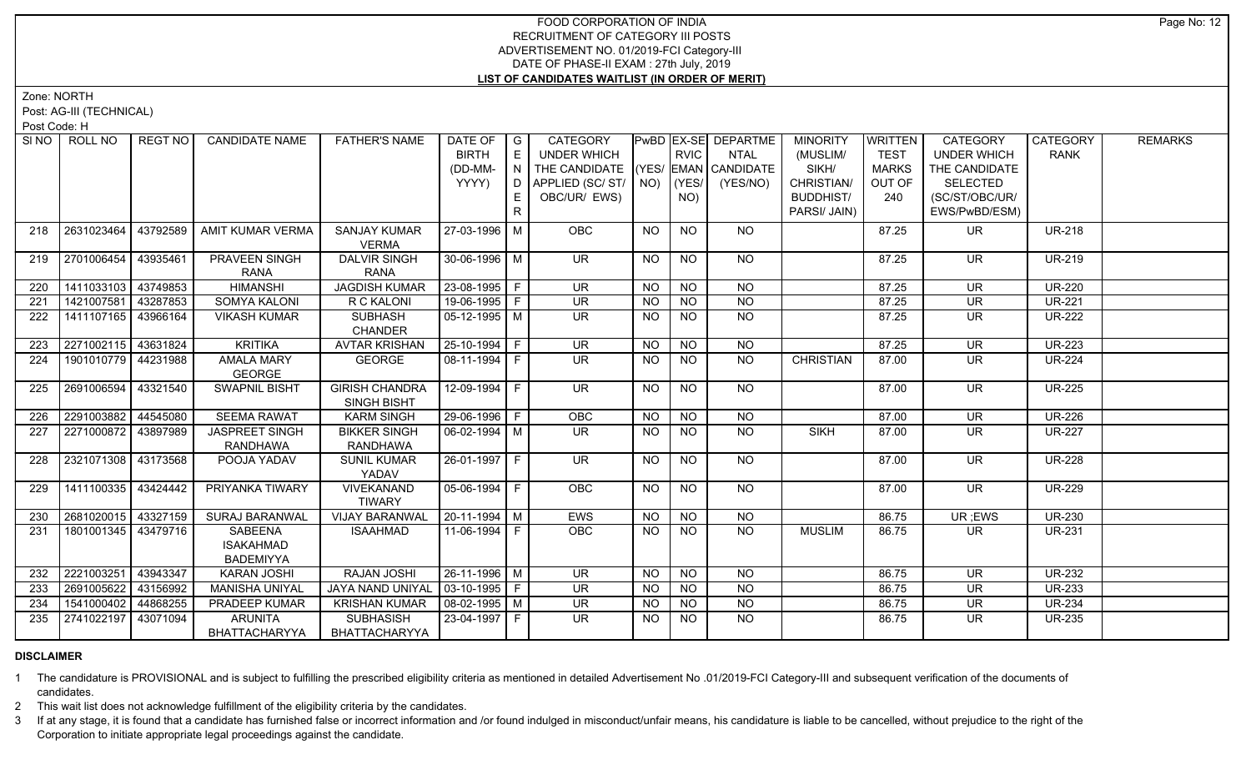Zone: NORTH

Post: AG-III (TECHNICAL)

Post Code: H

| SI <sub>NO</sub> | ROLL NO             | REGT NO  | <b>CANDIDATE NAME</b> | <b>FATHER'S NAME</b>       | DATE OF $ G $          |     | <b>CATEGORY</b>                    |                |             | <b>PWBD EX-SE DEPARTME</b> | <b>MINORITY</b>  | <b>WRITTEN</b> | <b>CATEGORY</b>          | CATEGORY      | <b>REMARKS</b> |
|------------------|---------------------|----------|-----------------------|----------------------------|------------------------|-----|------------------------------------|----------------|-------------|----------------------------|------------------|----------------|--------------------------|---------------|----------------|
|                  |                     |          |                       |                            | <b>BIRTH</b>           | E   | UNDER WHICH                        |                | <b>RVIC</b> | <b>NTAL</b>                | (MUSLIM/         | <b>TEST</b>    | <b>UNDER WHICH</b>       | <b>RANK</b>   |                |
|                  |                     |          |                       |                            | (DD-MM-                | IN. | THE CANDIDATE (YES/ EMAN CANDIDATE |                |             |                            | SIKH/            | <b>MARKS</b>   | THE CANDIDATE            |               |                |
|                  |                     |          |                       |                            | YYYY)                  |     | D APPLIED (SC/ ST/   NO)           |                | (YES/       | (YES/NO)                   | CHRISTIAN/       | OUT OF         | <b>SELECTED</b>          |               |                |
|                  |                     |          |                       |                            |                        | E.  | OBC/UR/ EWS)                       |                | NO)         |                            | <b>BUDDHIST/</b> | 240            | (SC/ST/OBC/UR/           |               |                |
|                  |                     |          |                       |                            |                        | R   |                                    |                |             |                            | PARSI/ JAIN)     |                | EWS/PwBD/ESM)            |               |                |
| 218              | 2631023464          | 43792589 | AMIT KUMAR VERMA      | <b>SANJAY KUMAR</b>        | 27-03-1996   M         |     | <b>OBC</b>                         | <b>NO</b>      | <b>NO</b>   | NO.                        |                  | 87.25          | UR.                      | <b>UR-218</b> |                |
|                  |                     |          |                       | <b>VERMA</b>               |                        |     |                                    |                |             |                            |                  |                |                          |               |                |
| 219              | 2701006454          | 43935461 | PRAVEEN SINGH         | <b>DALVIR SINGH</b>        | 30-06-1996 M           |     | UR.                                | NO.            | <b>NO</b>   | NO.                        |                  | 87.25          | <b>UR</b>                | <b>UR-219</b> |                |
|                  |                     |          | <b>RANA</b>           | <b>RANA</b>                |                        |     |                                    |                |             |                            |                  |                |                          |               |                |
| 220              | 1411033103 43749853 |          | <b>HIMANSHI</b>       | <b>JAGDISH KUMAR</b>       | 23-08-1995 F           |     | <b>UR</b>                          | <b>NO</b>      | <b>NO</b>   | <b>NO</b>                  |                  | 87.25          | <b>UR</b>                | <b>UR-220</b> |                |
| 221              | 1421007581          | 43287853 | <b>SOMYA KALONI</b>   | R C KALONI                 | 19-06-1995 F           |     | $\overline{\mathsf{UR}}$           | <b>NO</b>      | <b>NO</b>   | <b>NO</b>                  |                  | 87.25          | <b>UR</b>                | <b>UR-221</b> |                |
| 222              | 1411107165 43966164 |          | <b>VIKASH KUMAR</b>   | <b>SUBHASH</b>             | 05-12-1995   M         |     | UR.                                | NO.            | NO.         | <b>NO</b>                  |                  | 87.25          | <b>UR</b>                | <b>UR-222</b> |                |
|                  |                     |          |                       | <b>CHANDER</b>             |                        |     |                                    |                |             |                            |                  |                |                          |               |                |
| 223              | 2271002115 43631824 |          | <b>KRITIKA</b>        | <b>AVTAR KRISHAN</b>       | $25 - 10 - 1994$ F     |     | $\overline{\mathsf{UR}}$           | <b>NO</b>      | <b>NO</b>   | <b>NO</b>                  |                  | 87.25          | $\overline{\mathsf{UR}}$ | <b>UR-223</b> |                |
| 224              | 1901010779 44231988 |          | <b>AMALA MARY</b>     | <b>GEORGE</b>              | 08-11-1994   F         |     | UR.                                | NO.            | NO          | NO.                        | <b>CHRISTIAN</b> | 87.00          | UR.                      | <b>UR-224</b> |                |
|                  |                     |          | <b>GEORGE</b>         |                            |                        |     |                                    |                |             |                            |                  |                |                          |               |                |
| 225              | 2691006594          | 43321540 | <b>SWAPNIL BISHT</b>  | <b>GIRISH CHANDRA</b>      | $12-09-1994$ F         |     | $\overline{\mathsf{UR}}$           | <b>NO</b>      | <b>NO</b>   | NO                         |                  | 87.00          | $\overline{\mathsf{UR}}$ | <b>UR-225</b> |                |
|                  |                     |          |                       | SINGH BISHT                |                        |     |                                    |                |             |                            |                  |                |                          |               |                |
| 226              | 2291003882          | 44545080 | <b>SEEMA RAWAT</b>    | <b>KARM SINGH</b>          | 29-06-1996 F           |     | <b>OBC</b>                         | <b>NO</b>      | <b>NO</b>   | N <sub>O</sub>             |                  | 87.00          | <b>UR</b>                | <b>UR-226</b> |                |
| 227              | 2271000872 43897989 |          | JASPREET SINGH        | <b>BIKKER SINGH</b>        | $\boxed{06-02-1994}$ M |     | $\overline{\mathsf{UR}}$           | <b>NO</b>      | <b>NO</b>   | <b>NO</b>                  | <b>SIKH</b>      | 87.00          | $\overline{\mathsf{UR}}$ | <b>UR-227</b> |                |
|                  |                     |          | <b>RANDHAWA</b>       | <b>RANDHAWA</b>            |                        |     |                                    |                |             |                            |                  |                |                          |               |                |
| 228              | 2321071308 43173568 |          | POOJA YADAV           | <b>SUNIL KUMAR</b>         | 26-01-1997 F           |     | <b>UR</b>                          | <b>NO</b>      | <b>NO</b>   | NO                         |                  | 87.00          | <b>UR</b>                | <b>UR-228</b> |                |
| 229              | 1411100335 43424442 |          | PRIYANKA TIWARY       | YADAV<br><b>VIVEKANAND</b> | 05-06-1994   F         |     | OBC                                | NO.            | <b>NO</b>   | NO                         |                  | 87.00          | <b>UR</b>                | <b>UR-229</b> |                |
|                  |                     |          |                       | <b>TIWARY</b>              |                        |     |                                    |                |             |                            |                  |                |                          |               |                |
| 230              | 2681020015 43327159 |          | <b>SURAJ BARANWAL</b> | <b>VIJAY BARANWAL</b>      | $20-11-1994$ M         |     | <b>EWS</b>                         | N <sub>O</sub> | <b>NO</b>   | N <sub>O</sub>             |                  | 86.75          | UR; EWS                  | <b>UR-230</b> |                |
| 231              | 1801001345 43479716 |          | SABEENA               | <b>ISAAHMAD</b>            | 11-06-1994 F           |     | OBC                                | NO.            | NO.         | <b>NO</b>                  | <b>MUSLIM</b>    | 86.75          | <b>UR</b>                | <b>UR-231</b> |                |
|                  |                     |          | <b>ISAKAHMAD</b>      |                            |                        |     |                                    |                |             |                            |                  |                |                          |               |                |
|                  |                     |          | <b>BADEMIYYA</b>      |                            |                        |     |                                    |                |             |                            |                  |                |                          |               |                |
| 232              | 2221003251 43943347 |          | KARAN JOSHI           | RAJAN JOSHI                | 26-11-1996 M           |     | UR                                 | <b>NO</b>      | <b>NO</b>   | <b>NO</b>                  |                  | 86.75          | <b>UR</b>                | <b>UR-232</b> |                |
| 233              | 2691005622          | 43156992 | <b>MANISHA UNIYAL</b> | <b>JAYA NAND UNIYAL</b>    | 03-10-1995 F           |     | UR.                                | <b>NO</b>      | <b>NO</b>   | <b>NO</b>                  |                  | 86.75          | <b>UR</b>                | <b>UR-233</b> |                |
| 234              | 1541000402          | 44868255 | PRADEEP KUMAR         | <b>KRISHAN KUMAR</b>       | $\sqrt{08-02-1995}$ M  |     | $\overline{\mathsf{UR}}$           | <b>NO</b>      | <b>NO</b>   | $\overline{NQ}$            |                  | 86.75          | $\overline{\mathsf{UR}}$ | <b>UR-234</b> |                |
| 235              | 2741022197 43071094 |          | ARUNITA               | <b>SUBHASISH</b>           | 23-04-1997   F         |     | UR.                                | NO.            | NO.         | NO                         |                  | 86.75          | <b>UR</b>                | <b>UR-235</b> |                |
|                  |                     |          | <b>BHATTACHARYYA</b>  | BHATTACHARYYA              |                        |     |                                    |                |             |                            |                  |                |                          |               |                |
|                  |                     |          |                       |                            |                        |     |                                    |                |             |                            |                  |                |                          |               |                |

## **DISCLAIMER**

1 The candidature is PROVISIONAL and is subject to fulfilling the prescribed eligibility criteria as mentioned in detailed Advertisement No .01/2019-FCI Category-III and subsequent verification of the documents of candidates.

2 This wait list does not acknowledge fulfillment of the eligibility criteria by the candidates.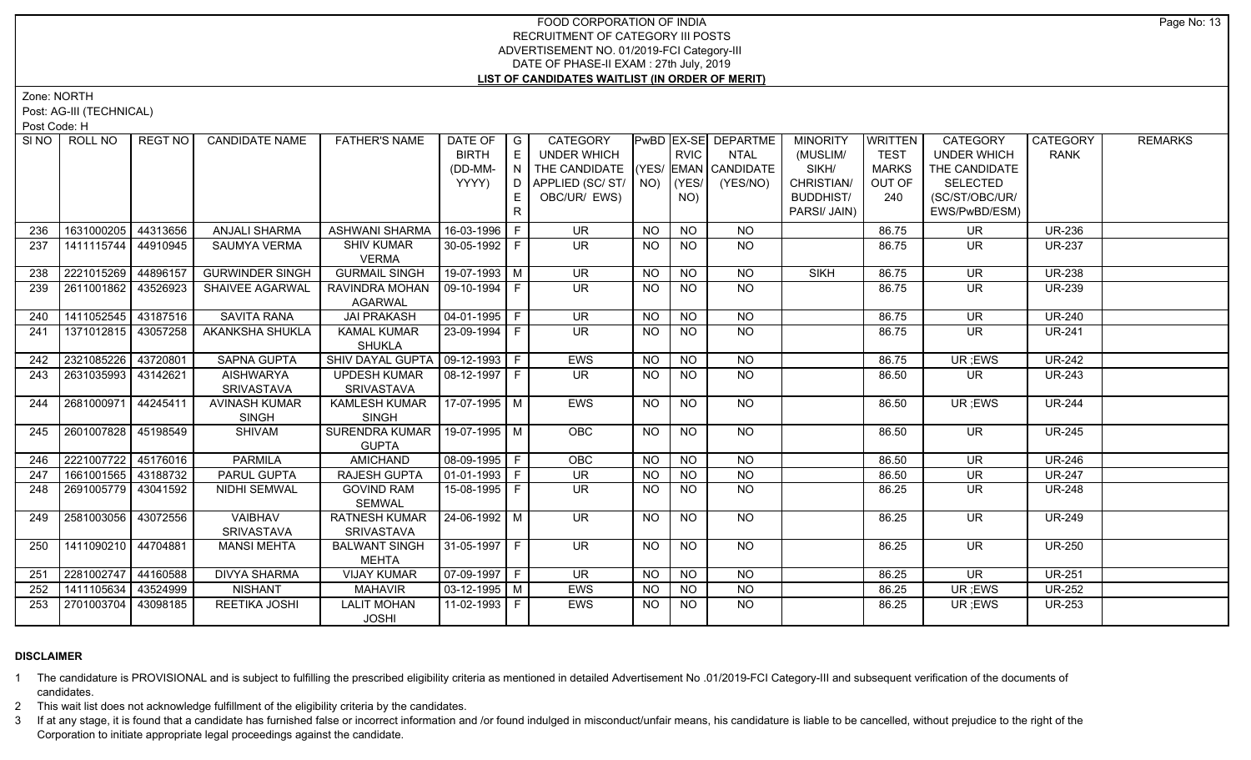Zone: NORTH

Post: AG-III (TECHNICAL)

Post Code: H

|     | SINO ROLL NO          | REGT NO  | <b>CANDIDATE NAME</b>  | <b>FATHER'S NAME</b>              | DATE OF                | G | CATEGORY                           |           |                 | <b>PwBD EX-SE DEPARTME</b> | <b>MINORITY</b>  | <b>WRITTEN</b> | CATEGORY           | <b>CATEGORY</b> | <b>REMARKS</b> |
|-----|-----------------------|----------|------------------------|-----------------------------------|------------------------|---|------------------------------------|-----------|-----------------|----------------------------|------------------|----------------|--------------------|-----------------|----------------|
|     |                       |          |                        |                                   | <b>BIRTH</b>           | E | UNDER WHICH                        |           | <b>RVIC</b>     | <b>NTAL</b>                | (MUSLIM/         | <b>TEST</b>    | <b>UNDER WHICH</b> | <b>RANK</b>     |                |
|     |                       |          |                        |                                   | (DD-MM-                | N | THE CANDIDATE (YES/ EMAN CANDIDATE |           |                 |                            | SIKH/            | <b>MARKS</b>   | THE CANDIDATE      |                 |                |
|     |                       |          |                        |                                   | YYYY)                  | D | APPLIED (SC/ST/                    | NO)       | (YES/           | (YES/NO)                   | CHRISTIAN/       | OUT OF         | <b>SELECTED</b>    |                 |                |
|     |                       |          |                        |                                   |                        |   | OBC/UR/ EWS)                       |           | NO)             |                            | <b>BUDDHIST/</b> | 240            | (SC/ST/OBC/UR/     |                 |                |
|     |                       |          |                        |                                   |                        | R |                                    |           |                 |                            | PARSI/ JAIN)     |                | EWS/PwBD/ESM)      |                 |                |
| 236 | 1631000205            | 44313656 | <b>ANJALI SHARMA</b>   | ASHWANI SHARMA                    | 16-03-1996 F           |   | <b>UR</b>                          | <b>NO</b> | <b>NO</b>       | NO.                        |                  | 86.75          | <b>UR</b>          | <b>UR-236</b>   |                |
| 237 | 1411115744   44910945 |          | SAUMYA VERMA           | <b>SHIV KUMAR</b>                 | 30-05-1992 F           |   | <b>UR</b>                          | NO.       | <b>NO</b>       | <b>NO</b>                  |                  | 86.75          | <b>UR</b>          | <b>UR-237</b>   |                |
|     |                       |          |                        | <b>VERMA</b>                      |                        |   |                                    |           |                 |                            |                  |                |                    |                 |                |
| 238 | 2221015269            | 44896157 | <b>GURWINDER SINGH</b> | <b>GURMAIL SINGH</b>              | 19-07-1993 M           |   | <b>UR</b>                          | <b>NO</b> | <b>NO</b>       | <b>NO</b>                  | <b>SIKH</b>      | 86.75          | <b>UR</b>          | <b>UR-238</b>   |                |
| 239 | 2611001862            | 43526923 | SHAIVEE AGARWAL        | RAVINDRA MOHAN                    | 09-10-1994 F           |   | <b>UR</b>                          | <b>NO</b> | <b>NO</b>       | <b>NO</b>                  |                  | 86.75          | <b>UR</b>          | <b>UR-239</b>   |                |
|     |                       |          |                        | <b>AGARWAL</b>                    |                        |   |                                    |           |                 |                            |                  |                |                    |                 |                |
| 240 | 1411052545 43187516   |          | <b>SAVITA RANA</b>     | <b>JAI PRAKASH</b>                | $04-01-1995$ F         |   | $\overline{\mathsf{UR}}$           | <b>NO</b> | $\overline{NQ}$ | NO                         |                  | 86.75          | <b>UR</b>          | <b>UR-240</b>   |                |
| 241 | 1371012815 43057258   |          | AKANKSHA SHUKLA        | <b>KAMAL KUMAR</b>                | 23-09-1994 F           |   | <b>UR</b>                          | <b>NO</b> | <b>NO</b>       | <b>NO</b>                  |                  | 86.75          | <b>UR</b>          | <b>UR-241</b>   |                |
|     |                       |          |                        | <b>SHUKLA</b>                     |                        |   |                                    |           |                 |                            |                  |                |                    |                 |                |
| 242 | 2321085226            | 43720801 | <b>SAPNA GUPTA</b>     | SHIV DAYAL GUPTA   09-12-1993   F |                        |   | EWS                                | NO        | N <sub>O</sub>  | <b>NO</b>                  |                  | 86.75          | UR ;EWS            | <b>UR-242</b>   |                |
| 243 | 2631035993            | 43142621 | <b>AISHWARYA</b>       | <b>UPDESH KUMAR</b>               | 08-12-1997 F           |   | <b>UR</b>                          | <b>NO</b> | <b>NO</b>       | NO.                        |                  | 86.50          | UR.                | <b>UR-243</b>   |                |
|     |                       |          | <b>SRIVASTAVA</b>      | SRIVASTAVA                        |                        |   |                                    |           |                 |                            |                  |                |                    |                 |                |
| 244 | 2681000971            | 44245411 | <b>AVINASH KUMAR</b>   | KAMLESH KUMAR                     | 17-07-1995 M           |   | EWS                                | <b>NO</b> | N <sub>O</sub>  | $N$ O                      |                  | 86.50          | UR; EWS            | <b>UR-244</b>   |                |
|     |                       |          | <b>SINGH</b>           | <b>SINGH</b>                      |                        |   |                                    |           |                 |                            |                  |                |                    |                 |                |
| 245 | 2601007828 45198549   |          | SHIVAM                 | SURENDRA KUMAR                    | 19-07-1995 M           |   | <b>OBC</b>                         | NO        | N <sub>O</sub>  | <b>NO</b>                  |                  | 86.50          | UR                 | <b>UR-245</b>   |                |
|     |                       |          |                        | <b>GUPTA</b>                      |                        |   |                                    |           |                 |                            |                  |                |                    |                 |                |
| 246 | 2221007722            | 45176016 | <b>PARMILA</b>         | <b>AMICHAND</b>                   | 08-09-1995   F         |   | <b>OBC</b>                         | <b>NO</b> | <b>NO</b>       | NO.                        |                  | 86.50          | <b>UR</b>          | <b>UR-246</b>   |                |
| 247 | 1661001565 43188732   |          | PARUL GUPTA            | <b>RAJESH GUPTA</b>               | $\boxed{01-01-1993}$ F |   | <b>UR</b>                          | <b>NO</b> | $\overline{N}$  | $\overline{N}$             |                  | 86.50          | <b>UR</b>          | <b>UR-247</b>   |                |
| 248 | 2691005779            | 43041592 | NIDHI SEMWAL           | <b>GOVIND RAM</b>                 | 15-08-1995   F         |   | UR                                 | NO.       | <b>NO</b>       | <b>NO</b>                  |                  | 86.25          | UR                 | <b>UR-248</b>   |                |
|     |                       |          |                        | <b>SEMWAL</b>                     |                        |   |                                    |           |                 |                            |                  |                |                    |                 |                |
| 249 | 2581003056            | 43072556 | <b>VAIBHAV</b>         | <b>RATNESH KUMAR</b>              | $ 24-06-1992 $ M       |   | $\overline{\mathsf{UR}}$           | NO.       | <b>NO</b>       | NO                         |                  | 86.25          | UR.                | <b>UR-249</b>   |                |
|     |                       |          | <b>SRIVASTAVA</b>      | SRIVASTAVA                        |                        |   |                                    |           |                 |                            |                  |                |                    |                 |                |
| 250 | 1411090210 44704881   |          | <b>MANSI MEHTA</b>     | <b>BALWANT SINGH</b>              | 31-05-1997   F         |   | <b>UR</b>                          | <b>NO</b> | N <sub>O</sub>  | N <sub>O</sub>             |                  | 86.25          | <b>UR</b>          | <b>UR-250</b>   |                |
|     |                       |          |                        | <b>MEHTA</b>                      |                        |   |                                    |           |                 |                            |                  |                |                    |                 |                |
| 251 | 2281002747            | 44160588 | <b>DIVYA SHARMA</b>    | <b>VIJAY KUMAR</b>                | $07-09-1997$ F         |   | UR.                                | NO.       | <b>NO</b>       | <b>NO</b>                  |                  | 86.25          | <b>UR</b>          | <b>UR-251</b>   |                |
| 252 | 1411105634            | 43524999 | <b>NISHANT</b>         | <b>MAHAVIR</b>                    | $03-12-1995$ M         |   | EWS                                | <b>NO</b> | <b>NO</b>       | <b>NO</b>                  |                  | 86.25          | UR; EWS            | <b>UR-252</b>   |                |
| 253 | 2701003704            | 43098185 | REETIKA JOSHI          | <b>LALIT MOHAN</b>                |                        |   | EWS                                | NO.       | <b>NO</b>       | N <sub>O</sub>             |                  | 86.25          | UR ;EWS            | <b>UR-253</b>   |                |
|     |                       |          |                        | <b>JOSHI</b>                      |                        |   |                                    |           |                 |                            |                  |                |                    |                 |                |

## **DISCLAIMER**

1 The candidature is PROVISIONAL and is subject to fulfilling the prescribed eligibility criteria as mentioned in detailed Advertisement No .01/2019-FCI Category-III and subsequent verification of the documents of candidates.

2 This wait list does not acknowledge fulfillment of the eligibility criteria by the candidates.

3 If at any stage, it is found that a candidate has furnished false or incorrect information and /or found indulged in misconduct/unfair means, his candidature is liable to be cancelled, without prejudice to the right of t Corporation to initiate appropriate legal proceedings against the candidate.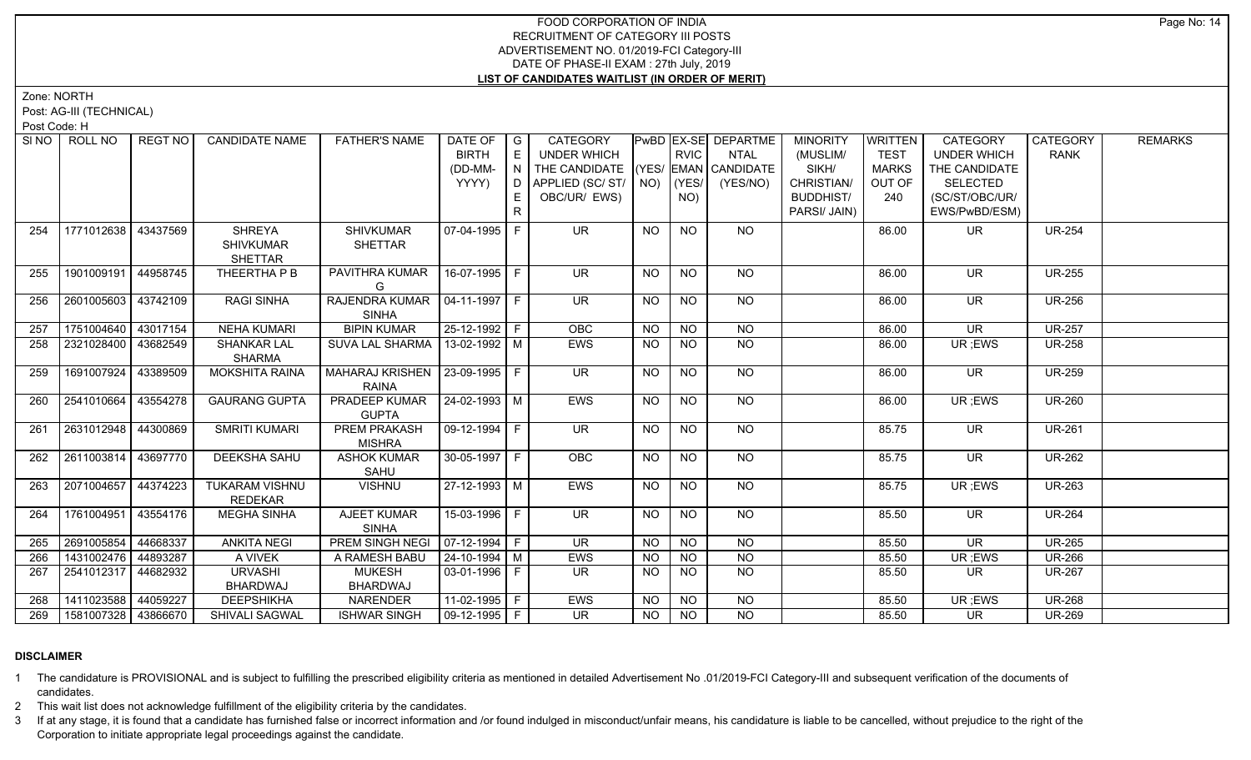Zone: NORTH

Post: AG-III (TECHNICAL)

Post Code: H

|     | SINO   ROLL NO      | REGT NO  | <b>CANDIDATE NAME</b>                        | <b>FATHER'S NAME</b>                            | DATE OF<br><b>BIRTH</b><br>(DD-MM-<br>YYYY) | $\overline{\phantom{a}}$ $\overline{\phantom{a}}$<br>E<br>$\mid N \mid$<br>D<br>E<br>$\mathsf{R}$ | CATEGORY<br><b>UNDER WHICH</b><br>THE CANDIDATE (YES/ EMAN CANDIDATE<br>  APPLIED (SC/ ST/   NO)     (YES/  <br>OBC/UR/ EWS) |           | <b>RVIC</b><br>NO) | PwBD EX-SE DEPARTME<br><b>NTAL</b><br>(YES/NO) | <b>MINORITY</b><br>(MUSLIM/<br>SIKH/<br>CHRISTIAN/<br><b>BUDDHIST/</b><br>PARSI/ JAIN) | <b>WRITTEN</b><br><b>TEST</b><br><b>MARKS</b><br>OUT OF<br>240 | CATEGORY<br><b>UNDER WHICH</b><br>THE CANDIDATE<br><b>SELECTED</b><br>(SC/ST/OBC/UR/<br>EWS/PwBD/ESM) | CATEGORY<br><b>RANK</b> | <b>REMARKS</b> |
|-----|---------------------|----------|----------------------------------------------|-------------------------------------------------|---------------------------------------------|---------------------------------------------------------------------------------------------------|------------------------------------------------------------------------------------------------------------------------------|-----------|--------------------|------------------------------------------------|----------------------------------------------------------------------------------------|----------------------------------------------------------------|-------------------------------------------------------------------------------------------------------|-------------------------|----------------|
| 254 | 1771012638          | 43437569 | <b>SHREYA</b><br><b>SHIVKUMAR</b><br>SHETTAR | <b>SHIVKUMAR</b><br>SHETTAR                     | 07-04-1995 F                                |                                                                                                   | <b>UR</b>                                                                                                                    | <b>NO</b> | <b>NO</b>          | NO.                                            |                                                                                        | 86.00                                                          | UR.                                                                                                   | <b>UR-254</b>           |                |
| 255 | 1901009191          | 44958745 | THEERTHA P B                                 | PAVITHRA KUMAR<br>G                             | 16-07-1995 F                                |                                                                                                   | $\overline{\mathsf{UR}}$                                                                                                     | <b>NO</b> | <b>NO</b>          | NO                                             |                                                                                        | 86.00                                                          | <b>UR</b>                                                                                             | <b>UR-255</b>           |                |
| 256 | 2601005603          | 43742109 | <b>RAGI SINHA</b>                            | RAJENDRA KUMAR   04-11-1997   F<br><b>SINHA</b> |                                             |                                                                                                   | $\overline{\mathsf{UR}}$                                                                                                     | <b>NO</b> | $N$ O              | NO                                             |                                                                                        | 86.00                                                          | <b>UR</b>                                                                                             | <b>UR-256</b>           |                |
| 257 | 1751004640          | 43017154 | <b>NEHA KUMARI</b>                           | <b>BIPIN KUMAR</b>                              | 25-12-1992 F                                |                                                                                                   | OBC                                                                                                                          | <b>NO</b> | <b>NO</b>          | <b>NO</b>                                      |                                                                                        | 86.00                                                          | <b>UR</b>                                                                                             | <b>UR-257</b>           |                |
| 258 | 2321028400          | 43682549 | <b>SHANKAR LAL</b><br><b>SHARMA</b>          | SUVA LAL SHARMA   13-02-1992   M                |                                             |                                                                                                   | <b>EWS</b>                                                                                                                   | <b>NO</b> | <b>NO</b>          | <b>NO</b>                                      |                                                                                        | 86.00                                                          | UR; EWS                                                                                               | <b>UR-258</b>           |                |
| 259 | 1691007924          | 43389509 | <b>MOKSHITA RAINA</b>                        | MAHARAJ KRISHEN   23-09-1995   F<br>RAINA       |                                             |                                                                                                   | $\overline{\mathsf{UR}}$                                                                                                     | <b>NO</b> | <b>NO</b>          | NO                                             |                                                                                        | 86.00                                                          | UR.                                                                                                   | <b>UR-259</b>           |                |
| 260 | 2541010664          | 43554278 | <b>GAURANG GUPTA</b>                         | PRADEEP KUMAR<br><b>GUPTA</b>                   | 24-02-1993 M                                |                                                                                                   | EWS                                                                                                                          | <b>NO</b> | <b>NO</b>          | NO                                             |                                                                                        | 86.00                                                          | UR ;EWS                                                                                               | <b>UR-260</b>           |                |
| 261 | 2631012948 44300869 |          | <b>SMRITI KUMARI</b>                         | <b>PREM PRAKASH</b><br><b>MISHRA</b>            | 09-12-1994   F                              |                                                                                                   | $\overline{\mathsf{UR}}$                                                                                                     | <b>NO</b> | <b>NO</b>          | $N$ O                                          |                                                                                        | 85.75                                                          | <b>UR</b>                                                                                             | <b>UR-261</b>           |                |
| 262 | 2611003814          | 43697770 | <b>DEEKSHA SAHU</b>                          | <b>ASHOK KUMAR</b><br>SAHU                      | 30-05-1997 F                                |                                                                                                   | <b>OBC</b>                                                                                                                   | <b>NO</b> | $N$ O              | NO                                             |                                                                                        | 85.75                                                          | <b>UR</b>                                                                                             | <b>UR-262</b>           |                |
| 263 | 2071004657          | 44374223 | <b>TUKARAM VISHNU</b><br><b>REDEKAR</b>      | <b>VISHNU</b>                                   | 27-12-1993 M                                |                                                                                                   | <b>EWS</b>                                                                                                                   | <b>NO</b> | <b>NO</b>          | NO                                             |                                                                                        | 85.75                                                          | UR ;EWS                                                                                               | <b>UR-263</b>           |                |
| 264 | 1761004951 43554176 |          | <b>MEGHA SINHA</b>                           | AJEET KUMAR<br><b>SINHA</b>                     | 15-03-1996 F                                |                                                                                                   | <b>UR</b>                                                                                                                    | <b>NO</b> | NO.                | <b>NO</b>                                      |                                                                                        | 85.50                                                          | <b>UR</b>                                                                                             | <b>UR-264</b>           |                |
| 265 | 2691005854          | 44668337 | <b>ANKITA NEGI</b>                           | PREM SINGH NEGI                                 | $\vert 07 - 12 - 1994 \vert F \vert$        |                                                                                                   | $\overline{\mathsf{UR}}$                                                                                                     | <b>NO</b> | N <sub>O</sub>     | <b>NO</b>                                      |                                                                                        | 85.50                                                          | <b>UR</b>                                                                                             | <b>UR-265</b>           |                |
| 266 | 1431002476          | 44893287 | A VIVEK                                      | A RAMESH BABU                                   | $ 24 - 10 - 1994 $ M                        |                                                                                                   | <b>EWS</b>                                                                                                                   | <b>NO</b> | <b>NO</b>          | <b>NO</b>                                      |                                                                                        | 85.50                                                          | UR; EWS                                                                                               | <b>UR-266</b>           |                |
| 267 | 2541012317 44682932 |          | <b>URVASHI</b><br>BHARDWAJ                   | <b>MUKESH</b><br>BHARDWAJ                       | $03-01-1996$ F                              |                                                                                                   | <b>UR</b>                                                                                                                    | NO.       | <b>NO</b>          | <b>NO</b>                                      |                                                                                        | 85.50                                                          | <b>UR</b>                                                                                             | <b>UR-267</b>           |                |
| 268 | 1411023588 44059227 |          | <b>DEEPSHIKHA</b>                            | NARENDER                                        | $11-02-1995$ F                              |                                                                                                   | <b>EWS</b>                                                                                                                   | <b>NO</b> | $N$ O              | $N$ O                                          |                                                                                        | 85.50                                                          | UR; EWS                                                                                               | $\overline{UR-268}$     |                |
| 269 | 1581007328 43866670 |          | SHIVALI SAGWAL                               | <b>ISHWAR SINGH</b>                             | 09-12-1995   F                              |                                                                                                   | $\overline{\mathsf{UR}}$                                                                                                     | NO.       | <b>NO</b>          | <b>NO</b>                                      |                                                                                        | 85.50                                                          | UR.                                                                                                   | <b>UR-269</b>           |                |

## **DISCLAIMER**

1 The candidature is PROVISIONAL and is subject to fulfilling the prescribed eligibility criteria as mentioned in detailed Advertisement No .01/2019-FCI Category-III and subsequent verification of the documents of candidates.

2 This wait list does not acknowledge fulfillment of the eligibility criteria by the candidates.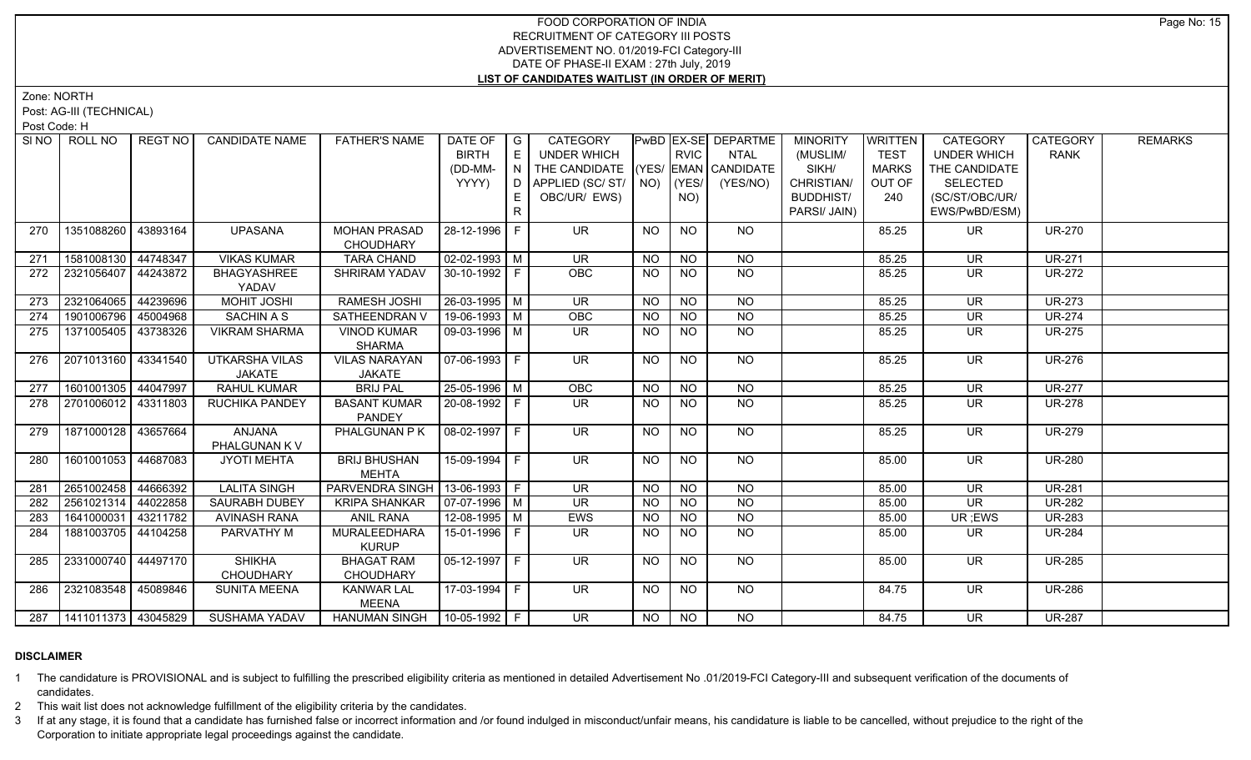Zone: NORTH

Post: AG-III (TECHNICAL)

Post Code: H

|     | SINO   ROLL NO              | REGT NO  | <b>CANDIDATE NAME</b>           | <b>FATHER'S NAME</b>                    | DATE OF G<br><b>BIRTH</b><br>(DD-MM-<br>YYYY) | E<br>IN.<br>D.<br>E<br>R | CATEGORY<br><b>UNDER WHICH</b><br>THE CANDIDATE (YES/ EMAN CANDIDATE<br>APPLIED (SC/ ST/   NO)<br>OBC/UR/ EWS) |           | <b>RVIC</b><br>(YES/<br>NO) | <b>PWBD EX-SE DEPARTME</b><br><b>NTAL</b><br>(YES/NO) | <b>MINORITY</b><br>(MUSLIM/<br>SIKH/<br>CHRISTIAN/<br><b>BUDDHIST/</b><br>PARSI/ JAIN) | <b>WRITTEN</b><br><b>TEST</b><br><b>MARKS</b><br>OUT OF<br>240 | <b>CATEGORY</b><br><b>UNDER WHICH</b><br>THE CANDIDATE<br><b>SELECTED</b><br>(SC/ST/OBC/UR/<br>EWS/PwBD/ESM) | CATEGORY<br><b>RANK</b> | <b>REMARKS</b> |
|-----|-----------------------------|----------|---------------------------------|-----------------------------------------|-----------------------------------------------|--------------------------|----------------------------------------------------------------------------------------------------------------|-----------|-----------------------------|-------------------------------------------------------|----------------------------------------------------------------------------------------|----------------------------------------------------------------|--------------------------------------------------------------------------------------------------------------|-------------------------|----------------|
| 270 | 1351088260                  | 43893164 | <b>UPASANA</b>                  | <b>MOHAN PRASAD</b><br><b>CHOUDHARY</b> | 28-12-1996 F                                  |                          | UR.                                                                                                            | <b>NO</b> | <b>NO</b>                   | NO.                                                   |                                                                                        | 85.25                                                          | <b>UR</b>                                                                                                    | <b>UR-270</b>           |                |
| 271 | 1581008130 44748347         |          | <b>VIKAS KUMAR</b>              | <b>TARA CHAND</b>                       | $\sqrt{02-02-1993}$ M                         |                          | <b>UR</b>                                                                                                      | <b>NO</b> | <b>NO</b>                   | <b>NO</b>                                             |                                                                                        | 85.25                                                          | <b>UR</b>                                                                                                    | <b>UR-271</b>           |                |
| 272 | 2321056407 44243872         |          | <b>BHAGYASHREE</b><br>YADAV     | SHRIRAM YADAV                           | 30-10-1992 F                                  |                          | <b>OBC</b>                                                                                                     | NO.       | <b>NO</b>                   | <b>NO</b>                                             |                                                                                        | 85.25                                                          | <b>UR</b>                                                                                                    | <b>UR-272</b>           |                |
| 273 | 2321064065                  | 44239696 | MOHIT JOSHI                     | <b>RAMESH JOSHI</b>                     | $26 - 03 - 1995$ M                            |                          | <b>UR</b>                                                                                                      | <b>NO</b> | $\overline{NO}$             | <b>NO</b>                                             |                                                                                        | 85.25                                                          | <b>UR</b>                                                                                                    | <b>UR-273</b>           |                |
| 274 | 1901006796                  | 45004968 | SACHIN A S                      | SATHEENDRAN V                           | 19-06-1993 M                                  |                          | OBC                                                                                                            | <b>NO</b> | $\overline{NO}$             | $\overline{NQ}$                                       |                                                                                        | 85.25                                                          | <b>UR</b>                                                                                                    | <b>UR-274</b>           |                |
| 275 | 1371005405 43738326         |          | <b>VIKRAM SHARMA</b>            | <b>VINOD KUMAR</b><br><b>SHARMA</b>     | 09-03-1996 M                                  |                          | UR                                                                                                             | NO.       | NO.                         | <b>NO</b>                                             |                                                                                        | 85.25                                                          | <b>UR</b>                                                                                                    | <b>UR-275</b>           |                |
| 276 | 2071013160   43341540       |          | <b>UTKARSHA VILAS</b><br>JAKATE | <b>VILAS NARAYAN</b><br>JAKATE          | 07-06-1993   F                                |                          | <b>UR</b>                                                                                                      | <b>NO</b> | $\overline{NO}$             | NO                                                    |                                                                                        | 85.25                                                          | <b>UR</b>                                                                                                    | <b>UR-276</b>           |                |
| 277 | 1601001305 44047997         |          | RAHUL KUMAR                     | <b>BRIJ PAL</b>                         | 25-05-1996 M                                  |                          | OBC                                                                                                            | <b>NO</b> | <b>NO</b>                   | <b>NO</b>                                             |                                                                                        | 85.25                                                          | <b>UR</b>                                                                                                    | <b>UR-277</b>           |                |
| 278 | 2701006012 43311803         |          | <b>RUCHIKA PANDEY</b>           | <b>BASANT KUMAR</b><br><b>PANDEY</b>    | $20-08-1992$ F                                |                          | UR.                                                                                                            | NO.       | NO.                         | NO                                                    |                                                                                        | 85.25                                                          | <b>UR</b>                                                                                                    | <b>UR-278</b>           |                |
| 279 | 1871000128 43657664         |          | ANJANA<br>PHALGUNAN K V         | PHALGUNAN P K                           | $08-02-1997$ F                                |                          | <b>UR</b>                                                                                                      | <b>NO</b> | <b>NO</b>                   | NO                                                    |                                                                                        | 85.25                                                          | <b>UR</b>                                                                                                    | <b>UR-279</b>           |                |
| 280 | 1601001053 44687083         |          | <b>JYOTI MEHTA</b>              | <b>BRIJ BHUSHAN</b><br><b>MEHTA</b>     | 15-09-1994 F                                  |                          | <b>UR</b>                                                                                                      | <b>NO</b> | <b>NO</b>                   | NO                                                    |                                                                                        | 85.00                                                          | <b>UR</b>                                                                                                    | <b>UR-280</b>           |                |
| 281 | 2651002458 44666392         |          | <b>LALITA SINGH</b>             | PARVENDRA SINGH   13-06-1993   F        |                                               |                          | <b>UR</b>                                                                                                      | <b>NO</b> | <b>NO</b>                   | NO                                                    |                                                                                        | 85.00                                                          | <b>UR</b>                                                                                                    | <b>UR-281</b>           |                |
| 282 | 2561021314                  | 44022858 | SAURABH DUBEY                   | <b>KRIPA SHANKAR</b>                    | $\boxed{07-07-1996}$ M                        |                          | <b>UR</b>                                                                                                      | <b>NO</b> | <b>NO</b>                   | $\overline{NQ}$                                       |                                                                                        | 85.00                                                          | <b>UR</b>                                                                                                    | <b>UR-282</b>           |                |
| 283 | 1641000031                  | 43211782 | <b>AVINASH RANA</b>             | <b>ANIL RANA</b>                        | 12-08-1995 M                                  |                          | <b>EWS</b>                                                                                                     | <b>NO</b> | <b>NO</b>                   | <b>NO</b>                                             |                                                                                        | 85.00                                                          | UR ;EWS                                                                                                      | <b>UR-283</b>           |                |
| 284 | 1881003705 44104258         |          | PARVATHY M                      | MURALEEDHARA<br><b>KURUP</b>            | 15-01-1996 F                                  |                          | <b>UR</b>                                                                                                      | NO.       | NO.                         | NO                                                    |                                                                                        | 85.00                                                          | <b>UR</b>                                                                                                    | <b>UR-284</b>           |                |
| 285 | 2331000740 44497170         |          | <b>SHIKHA</b><br>CHOUDHARY      | <b>BHAGAT RAM</b><br><b>CHOUDHARY</b>   | $05-12-1997$ F                                |                          | $\overline{\mathsf{UR}}$                                                                                       | <b>NO</b> | N <sub>O</sub>              | N <sub>O</sub>                                        |                                                                                        | 85.00                                                          | $\overline{\mathsf{UR}}$                                                                                     | <b>UR-285</b>           |                |
| 286 | 2321083548 45089846         |          | <b>SUNITA MEENA</b>             | <b>KANWAR LAL</b><br><b>MEENA</b>       | 17-03-1994 F                                  |                          | UR.                                                                                                            | NO.       | <b>NO</b>                   | NO                                                    |                                                                                        | 84.75                                                          | <b>UR</b>                                                                                                    | <b>UR-286</b>           |                |
|     | 287   1411011373   43045829 |          | <b>SUSHAMA YADAV</b>            | HANUMAN SINGH   10-05-1992   F          |                                               |                          | $\overline{\mathsf{UR}}$                                                                                       | <b>NO</b> | NO                          | NO.                                                   |                                                                                        | 84.75                                                          | UR.                                                                                                          | <b>UR-287</b>           |                |

## **DISCLAIMER**

1 The candidature is PROVISIONAL and is subject to fulfilling the prescribed eligibility criteria as mentioned in detailed Advertisement No .01/2019-FCI Category-III and subsequent verification of the documents of candidates.

2 This wait list does not acknowledge fulfillment of the eligibility criteria by the candidates.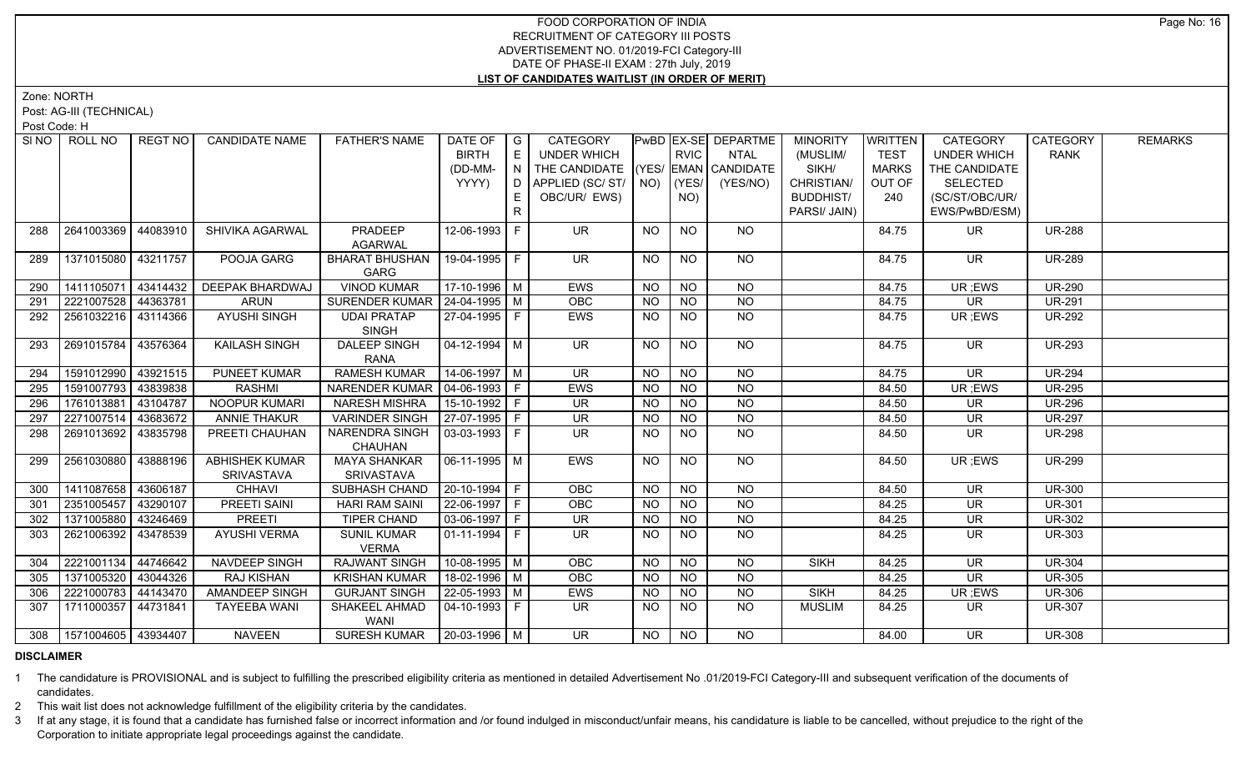Zone: NORTH

Post: AG-III (TECHNICAL)

Post Code: H

| SI <sub>NO</sub> | ROLL NO                     | REGT NO  | <b>CANDIDATE NAME</b> | <b>FATHER'S NAME</b>               | DATE OF   G    |                                    | <b>CATEGORY</b>                    |           |             | PwBD EX-SE DEPARTME | <b>MINORITY</b>  | <b>WRITTEN</b> | <b>CATEGORY</b>          | CATEGORY      | <b>REMARKS</b> |
|------------------|-----------------------------|----------|-----------------------|------------------------------------|----------------|------------------------------------|------------------------------------|-----------|-------------|---------------------|------------------|----------------|--------------------------|---------------|----------------|
|                  |                             |          |                       |                                    | <b>BIRTH</b>   | E                                  | UNDER WHICH                        |           | <b>RVIC</b> | <b>NTAL</b>         | (MUSLIM/         | <b>TEST</b>    | <b>UNDER WHICH</b>       | <b>RANK</b>   |                |
|                  |                             |          |                       |                                    | (DD-MM-        | $\mathsf{I} \mathsf{N} \mathsf{I}$ | THE CANDIDATE (YES/ EMAN CANDIDATE |           |             |                     | SIKH/            | <b>MARKS</b>   | THE CANDIDATE            |               |                |
|                  |                             |          |                       |                                    | YYYY)          |                                    | D   APPLIED (SC/ ST/   NO)         |           | (YES/       | (YES/NO)            | CHRISTIAN/       | OUT OF         | <b>SELECTED</b>          |               |                |
|                  |                             |          |                       |                                    |                | E.                                 | OBC/UR/ EWS)                       |           | NO)         |                     | <b>BUDDHIST/</b> | 240            | (SC/ST/OBC/UR/           |               |                |
|                  |                             |          |                       |                                    |                | R                                  |                                    |           |             |                     | PARSI/ JAIN)     |                | EWS/PwBD/ESM)            |               |                |
| 288              | 2641003369 44083910         |          | SHIVIKA AGARWAL       | PRADEEP                            | 12-06-1993 F   |                                    | UR.                                | <b>NO</b> | <b>NO</b>   | NO.                 |                  | 84.75          | UR.                      | <b>UR-288</b> |                |
|                  |                             |          |                       | <b>AGARWAL</b>                     |                |                                    |                                    |           |             |                     |                  |                |                          |               |                |
| 289              | 1371015080 43211757         |          | POOJA GARG            | <b>BHARAT BHUSHAN</b>              | 19-04-1995 F   |                                    | <b>UR</b>                          | NO.       | <b>NO</b>   | NO                  |                  | 84.75          | <b>UR</b>                | <b>UR-289</b> |                |
|                  |                             |          |                       | GARG                               |                |                                    |                                    |           |             |                     |                  |                |                          |               |                |
| 290              | 1411105071 43414432         |          | DEEPAK BHARDWAJ       | <b>VINOD KUMAR</b>                 | $17-10-1996$ M |                                    | <b>EWS</b>                         | <b>NO</b> | <b>NO</b>   | <b>NO</b>           |                  | 84.75          | UR; EWS                  | <b>UR-290</b> |                |
| 291              | 2221007528 44363781         |          | <b>ARUN</b>           | SURENDER KUMAR   24-04-1995   M    |                |                                    | OBC                                | <b>NO</b> | <b>NO</b>   | <b>NO</b>           |                  | 84.75          | $\overline{\mathsf{UR}}$ | <b>UR-291</b> |                |
| 292              | 2561032216 43114366         |          | <b>AYUSHI SINGH</b>   | <b>UDAI PRATAP</b>                 | 27-04-1995   F |                                    | <b>EWS</b>                         | <b>NO</b> | NO.         | NO                  |                  | 84.75          | UR; EWS                  | <b>UR-292</b> |                |
|                  |                             |          |                       | <b>SINGH</b>                       |                |                                    |                                    |           |             |                     |                  |                |                          |               |                |
| 293              | 2691015784 43576364         |          | <b>KAILASH SINGH</b>  | <b>DALEEP SINGH</b>                | 04-12-1994   M |                                    | $\overline{\mathsf{UR}}$           | <b>NO</b> | <b>NO</b>   | NO                  |                  | 84.75          | <b>UR</b>                | <b>UR-293</b> |                |
| 294              | 1591012990 43921515         |          | <b>PUNEET KUMAR</b>   | <b>RANA</b><br><b>RAMESH KUMAR</b> | 14-06-1997   M |                                    | <b>UR</b>                          | <b>NO</b> | <b>NO</b>   | <b>NO</b>           |                  | 84.75          | $\overline{\mathsf{UR}}$ | <b>UR-294</b> |                |
| 295              | 1591007793                  | 43839838 | <b>RASHMI</b>         | NARENDER KUMAR   04-06-1993   F    |                |                                    | <b>EWS</b>                         | <b>NO</b> | <b>NO</b>   | <b>NO</b>           |                  | 84.50          | UR; EWS                  | <b>UR-295</b> |                |
| 296              | 1761013881                  | 43104787 | <b>NOOPUR KUMARI</b>  | <b>NARESH MISHRA</b>               | $15-10-1992$ F |                                    | $\overline{\mathsf{UR}}$           | <b>NO</b> | $N$ O       | $N$ O               |                  | 84.50          | <b>UR</b>                | <b>UR-296</b> |                |
| 297              | 2271007514                  | 43683672 | <b>ANNIE THAKUR</b>   | <b>VARINDER SINGH</b>              | $27-07-1995$ F |                                    | <b>UR</b>                          | <b>NO</b> | <b>NO</b>   | $N$ O               |                  | 84.50          | <b>UR</b>                | <b>UR-297</b> |                |
|                  | 2691013692 43835798         |          | PREETI CHAUHAN        | <b>NARENDRA SINGH</b>              | 03-03-1993   F |                                    | <b>UR</b>                          |           |             | <b>NO</b>           |                  |                | <b>UR</b>                | <b>UR-298</b> |                |
| 298              |                             |          |                       | CHAUHAN                            |                |                                    |                                    | <b>NO</b> | NO.         |                     |                  | 84.50          |                          |               |                |
| 299              | 2561030880                  | 43888196 | <b>ABHISHEK KUMAR</b> | <b>MAYA SHANKAR</b>                | 06-11-1995   M |                                    | <b>EWS</b>                         | <b>NO</b> | <b>NO</b>   | NO                  |                  | 84.50          | UR ;EWS                  | <b>UR-299</b> |                |
|                  |                             |          | <b>SRIVASTAVA</b>     | <b>SRIVASTAVA</b>                  |                |                                    |                                    |           |             |                     |                  |                |                          |               |                |
| 300              | 1411087658 43606187         |          | <b>CHHAVI</b>         | SUBHASH CHAND                      | 20-10-1994 F   |                                    | <b>OBC</b>                         | <b>NO</b> | <b>NO</b>   | <b>NO</b>           |                  | 84.50          | <b>UR</b>                | <b>UR-300</b> |                |
| 301              | 2351005457 43290107         |          | PREETI SAINI          | <b>HARI RAM SAINI</b>              | 22-06-1997 F   |                                    | OBC                                | <b>NO</b> | <b>NO</b>   | <b>NO</b>           |                  | 84.25          | <b>UR</b>                | <b>UR-301</b> |                |
| 302              | 1371005880 43246469         |          | <b>PREETI</b>         | TIPER CHAND                        |                |                                    | <b>UR</b>                          | <b>NO</b> | <b>NO</b>   | <b>NO</b>           |                  | 84.25          | <b>UR</b>                | <b>UR-302</b> |                |
| 303              | 2621006392 43478539         |          | <b>AYUSHI VERMA</b>   | <b>SUNIL KUMAR</b>                 | $01-11-1994$ F |                                    | <b>UR</b>                          | NO.       | <b>NO</b>   | <b>NO</b>           |                  | 84.25          | <b>UR</b>                | <b>UR-303</b> |                |
|                  |                             |          |                       | <b>VERMA</b>                       |                |                                    |                                    |           |             |                     |                  |                |                          |               |                |
| 304              | 2221001134 44746642         |          | NAVDEEP SINGH         | <b>RAJWANT SINGH</b>               | $10-08-1995$ M |                                    | <b>OBC</b>                         | <b>NO</b> | <b>NO</b>   | <b>NO</b>           | <b>SIKH</b>      | 84.25          | $\overline{\mathsf{UR}}$ | <b>UR-304</b> |                |
| 305              | 1371005320 43044326         |          | RAJ KISHAN            | <b>KRISHAN KUMAR</b>               | 18-02-1996 M   |                                    | <b>OBC</b>                         | <b>NO</b> | NO.         | <b>NO</b>           |                  | 84.25          | <b>UR</b>                | <b>UR-305</b> |                |
| 306              | 2221000783 44143470         |          | AMANDEEP SINGH        | <b>GURJANT SINGH</b>               | 22-05-1993   M |                                    | EWS                                | <b>NO</b> | NO.         | <b>NO</b>           | <b>SIKH</b>      | 84.25          | UR ;EWS                  | <b>UR-306</b> |                |
| 307              | 1711000357 44731841         |          | <b>TAYEEBA WANI</b>   | SHAKEEL AHMAD<br>WANI              | 04-10-1993   F |                                    | UR.                                | NO.       | NO.         | NO.                 | <b>MUSLIM</b>    | 84.25          | UR.                      | <b>UR-307</b> |                |
|                  | 308   1571004605   43934407 |          | <b>NAVEEN</b>         | SURESH KUMAR   20-03-1996   M      |                |                                    | UR.                                | NO.       | NO.         | NO.                 |                  | 84.00          | <b>UR</b>                | <b>UR-308</b> |                |

## **DISCLAIMER**

1 The candidature is PROVISIONAL and is subject to fulfilling the prescribed eligibility criteria as mentioned in detailed Advertisement No .01/2019-FCI Category-III and subsequent verification of the documents of candidates.

2 This wait list does not acknowledge fulfillment of the eligibility criteria by the candidates.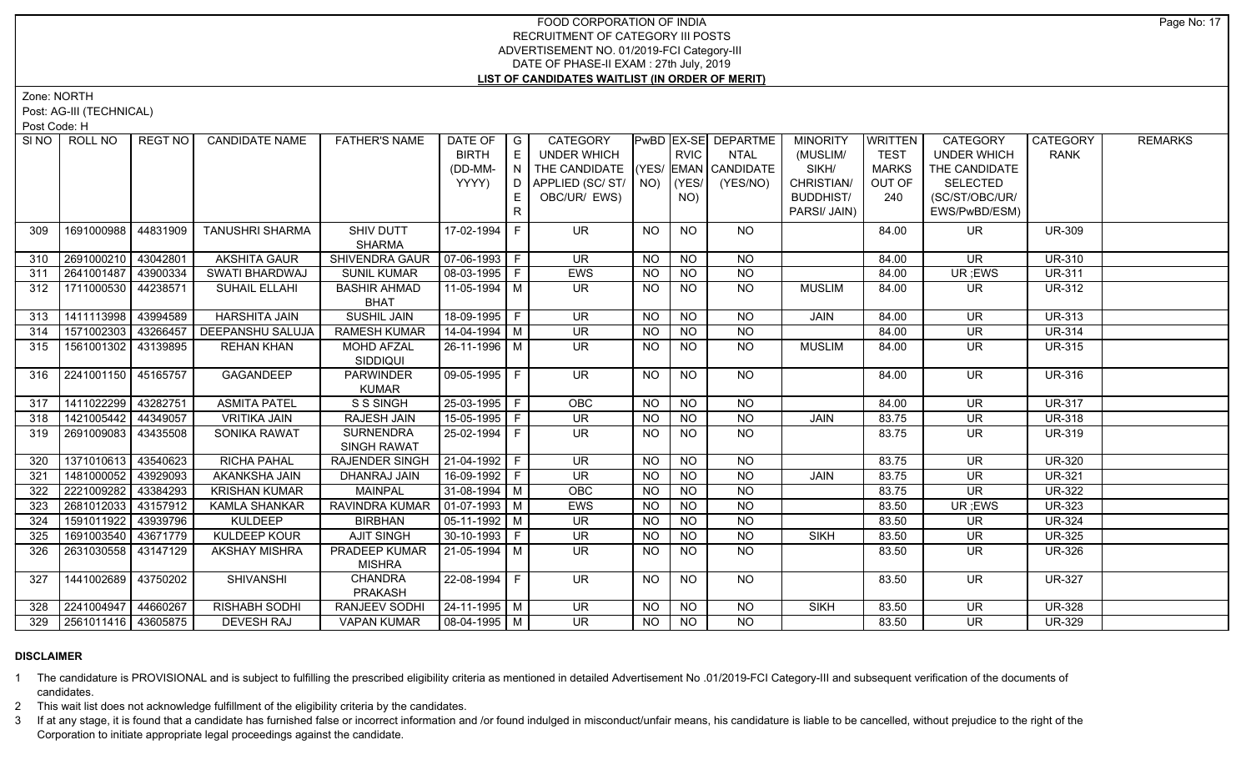Zone: NORTH

Post: AG-III (TECHNICAL)

Post Code: H

| SI NO I | ROLL NO                 | REGT NO I | <b>CANDIDATE NAME</b>   | <b>FATHER'S NAME</b>  | DATE OF        | $\overline{\phantom{a}}$ G  | CATEGORY                           |           |                | PwBD EX-SE DEPARTME | <b>MINORITY</b>  | <b>WRITTEN</b> | <b>CATEGORY</b>          | <b>CATEGORY</b> | <b>REMARKS</b> |
|---------|-------------------------|-----------|-------------------------|-----------------------|----------------|-----------------------------|------------------------------------|-----------|----------------|---------------------|------------------|----------------|--------------------------|-----------------|----------------|
|         |                         |           |                         |                       | <b>BIRTH</b>   | $\mathsf{E}% _{\mathsf{H}}$ | <b>UNDER WHICH</b>                 |           | <b>RVIC</b>    | <b>NTAL</b>         | (MUSLIM/         | <b>TEST</b>    | <b>UNDER WHICH</b>       | <b>RANK</b>     |                |
|         |                         |           |                         |                       | (DD-MM-        | N                           | THE CANDIDATE (YES/ EMAN CANDIDATE |           |                |                     | SIKH/            | <b>MARKS</b>   | THE CANDIDATE            |                 |                |
|         |                         |           |                         |                       | YYYY)          | D                           | APPLIED (SC/ST/                    |           | $NO)$ (YES/    | (YES/NO)            | CHRISTIAN/       | OUT OF         | <b>SELECTED</b>          |                 |                |
|         |                         |           |                         |                       |                | E.                          | OBC/UR/ EWS)                       |           | NO)            |                     | <b>BUDDHIST/</b> | 240            | (SC/ST/OBC/UR/           |                 |                |
|         |                         |           |                         |                       |                | R.                          |                                    |           |                |                     | PARSI/ JAIN)     |                | EWS/PwBD/ESM)            |                 |                |
| 309     | 1691000988              | 44831909  | <b>TANUSHRI SHARMA</b>  | SHIV DUTT             | 17-02-1994 F   |                             | <b>UR</b>                          | NO        | NO             | NO.                 |                  | 84.00          | UR.                      | <b>UR-309</b>   |                |
|         |                         |           |                         | <b>SHARMA</b>         |                |                             |                                    |           |                |                     |                  |                |                          |                 |                |
| 310     | 2691000210              | 43042801  | <b>AKSHITA GAUR</b>     | SHIVENDRA GAUR        | 07-06-1993 F   |                             | <b>UR</b>                          | <b>NO</b> | <b>NO</b>      | <b>NO</b>           |                  | 84.00          | <b>UR</b>                | <b>UR-310</b>   |                |
| 311     | 2641001487              | 43900334  | SWATI BHARDWAJ          | <b>SUNIL KUMAR</b>    | $08-03-1995$ F |                             | EWS                                | <b>NO</b> | <b>NO</b>      | <b>NO</b>           |                  | 84.00          | UR; EWS                  | <b>UR-311</b>   |                |
| 312     | 1711000530              | 44238571  | SUHAIL ELLAHI           | <b>BASHIR AHMAD</b>   | 11-05-1994 M   |                             | <b>UR</b>                          | <b>NO</b> | <b>NO</b>      | <b>NO</b>           | <b>MUSLIM</b>    | 84.00          | <b>UR</b>                | <b>UR-312</b>   |                |
|         |                         |           |                         | <b>BHAT</b>           |                |                             |                                    |           |                |                     |                  |                |                          |                 |                |
| 313     | 1411113998              | 43994589  | <b>HARSHITA JAIN</b>    | <b>SUSHIL JAIN</b>    | 18-09-1995 F   |                             | <b>UR</b>                          | <b>NO</b> | <b>NO</b>      | <b>NO</b>           | <b>JAIN</b>      | 84.00          | <b>UR</b>                | <b>UR-313</b>   |                |
| 314     | 1571002303 43266457     |           | <b>DEEPANSHU SALUJA</b> | <b>RAMESH KUMAR</b>   | $14-04-1994$ M |                             | <b>UR</b>                          | <b>NO</b> | <b>NO</b>      | <b>NO</b>           |                  | 84.00          | UR                       | <b>UR-314</b>   |                |
| 315     | 1561001302 43139895     |           | <b>REHAN KHAN</b>       | <b>MOHD AFZAL</b>     | 26-11-1996 M   |                             | <b>UR</b>                          | NO.       | <b>NO</b>      | <b>NO</b>           | <b>MUSLIM</b>    | 84.00          | UR                       | <b>UR-315</b>   |                |
|         |                         |           |                         | <b>SIDDIQUI</b>       |                |                             |                                    |           |                |                     |                  |                |                          |                 |                |
| 316     | 2241001150 45165757     |           | GAGANDEEP               | <b>PARWINDER</b>      | 09-05-1995 F   |                             | <b>UR</b>                          | <b>NO</b> | <b>NO</b>      | NO                  |                  | 84.00          | <b>UR</b>                | <b>UR-316</b>   |                |
|         |                         |           |                         | <b>KUMAR</b>          |                |                             |                                    |           |                |                     |                  |                |                          |                 |                |
| 317     | 1411022299              | 43282751  | <b>ASMITA PATEL</b>     | S S SINGH             | $25-03-1995$ F |                             | OBC                                | <b>NO</b> | N <sub>O</sub> | <b>NO</b>           |                  | 84.00          | <b>UR</b>                | <b>UR-317</b>   |                |
| 318     | 1421005442 44349057     |           | <b>VRITIKA JAIN</b>     | <b>RAJESH JAIN</b>    | $15-05-1995$ F |                             | <b>UR</b>                          | <b>NO</b> | <b>NO</b>      | N <sub>O</sub>      | JAIN             | 83.75          | <b>UR</b>                | <b>UR-318</b>   |                |
| 319     | 2691009083              | 43435508  | SONIKA RAWAT            | <b>SURNENDRA</b>      | 25-02-1994 F   |                             | UR.                                | NO.       | <b>NO</b>      | N <sub>O</sub>      |                  | 83.75          | <b>UR</b>                | <b>UR-319</b>   |                |
|         |                         |           |                         | <b>SINGH RAWAT</b>    |                |                             |                                    |           |                |                     |                  |                |                          |                 |                |
| 320     | 1371010613              | 43540623  | <b>RICHA PAHAL</b>      | <b>RAJENDER SINGH</b> | $21-04-1992$ F |                             | UR                                 | <b>NO</b> | NO             | $N$ O               |                  | 83.75          | <b>UR</b>                | <b>UR-320</b>   |                |
| 321     | 1481000052              | 43929093  | <b>AKANKSHA JAIN</b>    | DHANRAJ JAIN          | 16-09-1992 F   |                             | <b>UR</b>                          | <b>NO</b> | <b>NO</b>      | <b>NO</b>           | JAIN             | 83.75          | <b>UR</b>                | <b>UR-321</b>   |                |
| 322     | 2221009282 43384293     |           | <b>KRISHAN KUMAR</b>    | <b>MAINPAL</b>        | $31-08-1994$ M |                             | OBC                                | <b>NO</b> | $N$ O          | $N$ O               |                  | 83.75          | $\overline{\mathsf{UR}}$ | <b>UR-322</b>   |                |
| 323     | 2681012033              | 43157912  | <b>KAMLA SHANKAR</b>    | RAVINDRA KUMAR        | $01-07-1993$ M |                             | EWS                                | NO.       | <b>NO</b>      | N <sub>O</sub>      |                  | 83.50          | UR; EWS                  | <b>UR-323</b>   |                |
| 324     | 1591011922              | 43939796  | <b>KULDEEP</b>          | <b>BIRBHAN</b>        | $05-11-1992$ M |                             | <b>UR</b>                          | <b>NO</b> | NO             | $N$ O               |                  | 83.50          | <b>UR</b>                | <b>UR-324</b>   |                |
| 325     | 1691003540              | 43671779  | KULDEEP KOUR            | <b>AJIT SINGH</b>     | $30-10-1993$ F |                             | <b>UR</b>                          | <b>NO</b> | <b>NO</b>      | N <sub>O</sub>      | <b>SIKH</b>      | 83.50          | <b>UR</b>                | <b>UR-325</b>   |                |
| 326     | 2631030558 33147129     |           | <b>AKSHAY MISHRA</b>    | PRADEEP KUMAR         | 21-05-1994 M   |                             | <b>UR</b>                          | NO.       | <b>NO</b>      | <b>NO</b>           |                  | 83.50          | UR                       | <b>UR-326</b>   |                |
|         |                         |           |                         | <b>MISHRA</b>         |                |                             |                                    |           |                |                     |                  |                |                          |                 |                |
| 327     | 1441002689              | 43750202  | <b>SHIVANSHI</b>        | <b>CHANDRA</b>        | 22-08-1994 F   |                             | <b>UR</b>                          | NO.       | <b>NO</b>      | NO                  |                  | 83.50          | <b>UR</b>                | <b>UR-327</b>   |                |
|         |                         |           |                         | <b>PRAKASH</b>        |                |                             |                                    |           |                |                     |                  |                |                          |                 |                |
| 328     | 2241004947              | 44660267  | <b>RISHABH SODHI</b>    | <b>RANJEEV SODHI</b>  | 24-11-1995 M   |                             | <b>UR</b>                          | NO.       | <b>NO</b>      | <b>NO</b>           | <b>SIKH</b>      | 83.50          | <b>UR</b>                | <b>UR-328</b>   |                |
|         | 329 2561011416 43605875 |           | <b>DEVESH RAJ</b>       | <b>VAPAN KUMAR</b>    | $08-04-1995$ M |                             | UR.                                | NO        | <b>NO</b>      | <b>NO</b>           |                  | 83.50          | <b>UR</b>                | <b>UR-329</b>   |                |

## **DISCLAIMER**

1 The candidature is PROVISIONAL and is subject to fulfilling the prescribed eligibility criteria as mentioned in detailed Advertisement No .01/2019-FCI Category-III and subsequent verification of the documents of candidates.

2 This wait list does not acknowledge fulfillment of the eligibility criteria by the candidates.